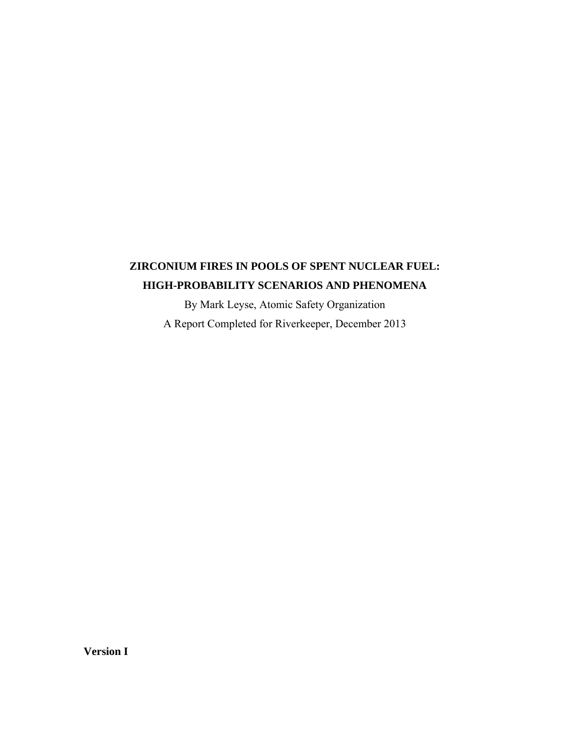# **ZIRCONIUM FIRES IN POOLS OF SPENT NUCLEAR FUEL: HIGH-PROBABILITY SCENARIOS AND PHENOMENA**

By Mark Leyse, Atomic Safety Organization A Report Completed for Riverkeeper, December 2013

**Version I**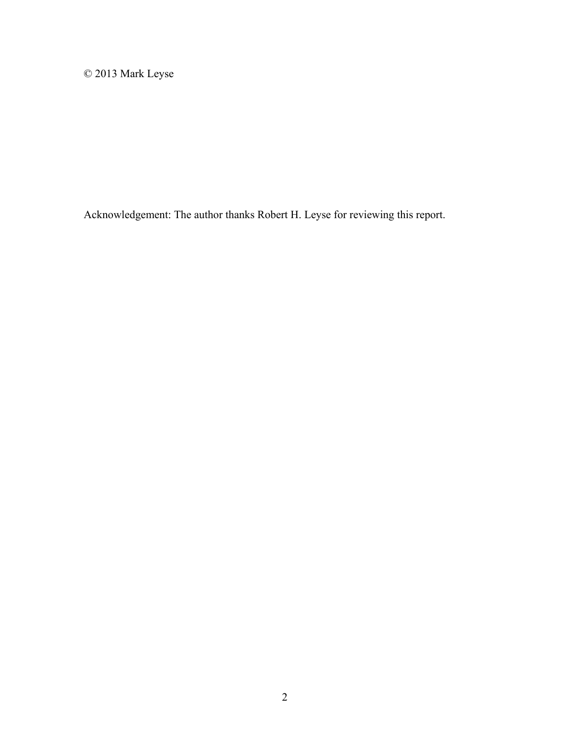© 2013 Mark Leyse

Acknowledgement: The author thanks Robert H. Leyse for reviewing this report.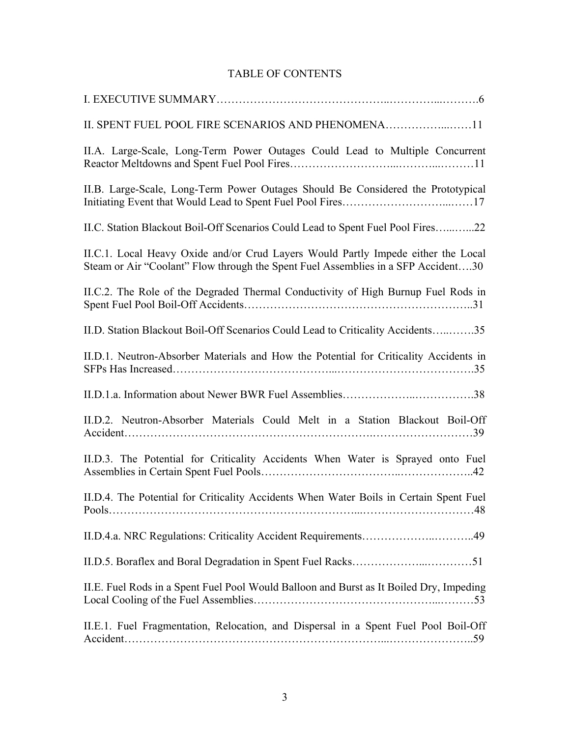### TABLE OF CONTENTS

| II. SPENT FUEL POOL FIRE SCENARIOS AND PHENOMENA11                                                                                                                     |
|------------------------------------------------------------------------------------------------------------------------------------------------------------------------|
| II.A. Large-Scale, Long-Term Power Outages Could Lead to Multiple Concurrent                                                                                           |
| II.B. Large-Scale, Long-Term Power Outages Should Be Considered the Prototypical                                                                                       |
| II.C. Station Blackout Boil-Off Scenarios Could Lead to Spent Fuel Pool Fires22                                                                                        |
| II.C.1. Local Heavy Oxide and/or Crud Layers Would Partly Impede either the Local<br>Steam or Air "Coolant" Flow through the Spent Fuel Assemblies in a SFP Accident30 |
| II.C.2. The Role of the Degraded Thermal Conductivity of High Burnup Fuel Rods in                                                                                      |
| II.D. Station Blackout Boil-Off Scenarios Could Lead to Criticality Accidents35                                                                                        |
| II.D.1. Neutron-Absorber Materials and How the Potential for Criticality Accidents in                                                                                  |
|                                                                                                                                                                        |
| II.D.2. Neutron-Absorber Materials Could Melt in a Station Blackout Boil-Off                                                                                           |
| II.D.3. The Potential for Criticality Accidents When Water is Sprayed onto Fuel                                                                                        |
| II.D.4. The Potential for Criticality Accidents When Water Boils in Certain Spent Fuel                                                                                 |
|                                                                                                                                                                        |
|                                                                                                                                                                        |
| II.E. Fuel Rods in a Spent Fuel Pool Would Balloon and Burst as It Boiled Dry, Impeding                                                                                |
| II.E.1. Fuel Fragmentation, Relocation, and Dispersal in a Spent Fuel Pool Boil-Off                                                                                    |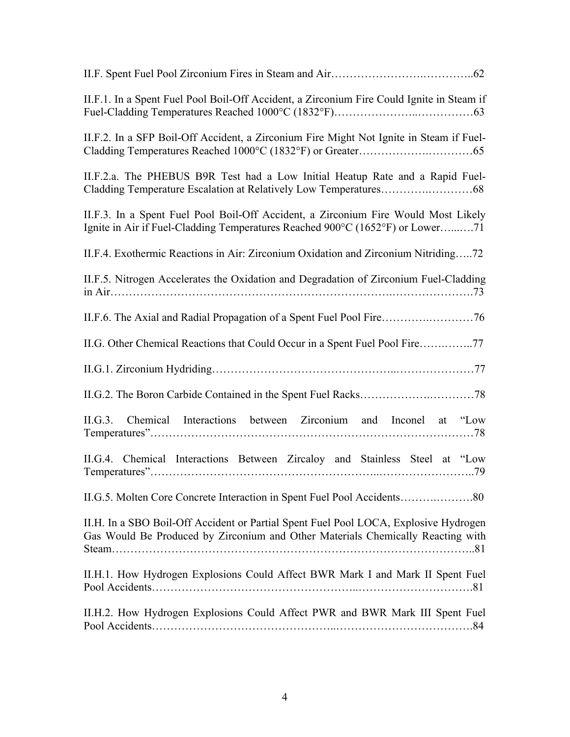| II.F.1. In a Spent Fuel Pool Boil-Off Accident, a Zirconium Fire Could Ignite in Steam if                                                                               |
|-------------------------------------------------------------------------------------------------------------------------------------------------------------------------|
| II.F.2. In a SFP Boil-Off Accident, a Zirconium Fire Might Not Ignite in Steam if Fuel-                                                                                 |
| II.F.2.a. The PHEBUS B9R Test had a Low Initial Heatup Rate and a Rapid Fuel-                                                                                           |
| II.F.3. In a Spent Fuel Pool Boil-Off Accident, a Zirconium Fire Would Most Likely<br>Ignite in Air if Fuel-Cladding Temperatures Reached 900°C (1652°F) or Lower71     |
| II.F.4. Exothermic Reactions in Air: Zirconium Oxidation and Zirconium Nitriding72                                                                                      |
| II.F.5. Nitrogen Accelerates the Oxidation and Degradation of Zirconium Fuel-Cladding                                                                                   |
|                                                                                                                                                                         |
| II.G. Other Chemical Reactions that Could Occur in a Spent Fuel Pool Fire77                                                                                             |
|                                                                                                                                                                         |
|                                                                                                                                                                         |
| Chemical Interactions between Zirconium and Inconel at "Low<br>II.G.3.                                                                                                  |
| II.G.4. Chemical Interactions Between Zircaloy and Stainless Steel at "Low                                                                                              |
|                                                                                                                                                                         |
| II.H. In a SBO Boil-Off Accident or Partial Spent Fuel Pool LOCA, Explosive Hydrogen<br>Gas Would Be Produced by Zirconium and Other Materials Chemically Reacting with |
| II.H.1. How Hydrogen Explosions Could Affect BWR Mark I and Mark II Spent Fuel                                                                                          |
| II.H.2. How Hydrogen Explosions Could Affect PWR and BWR Mark III Spent Fuel                                                                                            |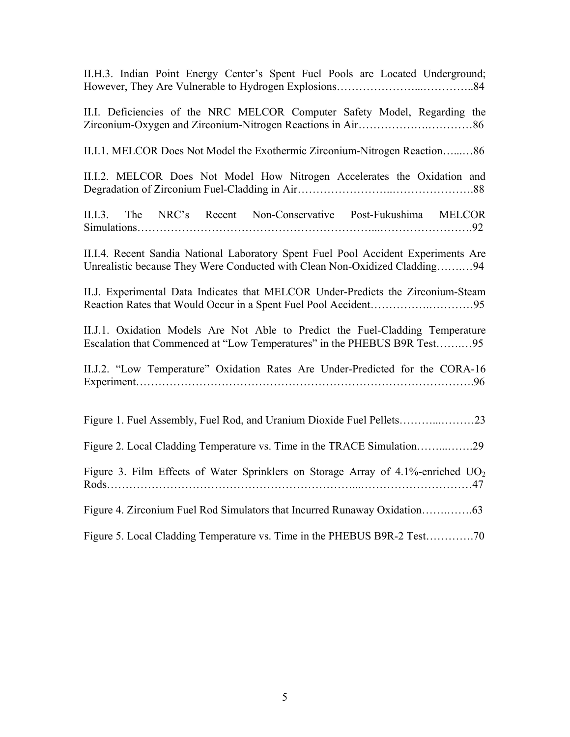II.H.3. Indian Point Energy Center's Spent Fuel Pools are Located Underground; However, They Are Vulnerable to Hydrogen Explosions…………………...…………..84

II.I. Deficiencies of the NRC MELCOR Computer Safety Model, Regarding the Zirconium-Oxygen and Zirconium-Nitrogen Reactions in Air……………….…………86

II.I.1. MELCOR Does Not Model the Exothermic Zirconium-Nitrogen Reaction…...…86

II.I.2. MELCOR Does Not Model How Nitrogen Accelerates the Oxidation and Degradation of Zirconium Fuel-Cladding in Air……………………..………………….88

II.I.3. The NRC's Recent Non-Conservative Post-Fukushima MELCOR Simulations………………………………………………………...…………………….92

II.I.4. Recent Sandia National Laboratory Spent Fuel Pool Accident Experiments Are Unrealistic because They Were Conducted with Clean Non-Oxidized Cladding…….…94

II.J. Experimental Data Indicates that MELCOR Under-Predicts the Zirconium-Steam Reaction Rates that Would Occur in a Spent Fuel Pool Accident……………………………95

II.J.1. Oxidation Models Are Not Able to Predict the Fuel-Cladding Temperature Escalation that Commenced at "Low Temperatures" in the PHEBUS B9R Test…….…95

II.J.2. "Low Temperature" Oxidation Rates Are Under-Predicted for the CORA-16 Experiment……………………………………………………………………………….96

| Figure 3. Film Effects of Water Sprinklers on Storage Array of 4.1%-enriched $UO2$ |  |
|------------------------------------------------------------------------------------|--|
|                                                                                    |  |
|                                                                                    |  |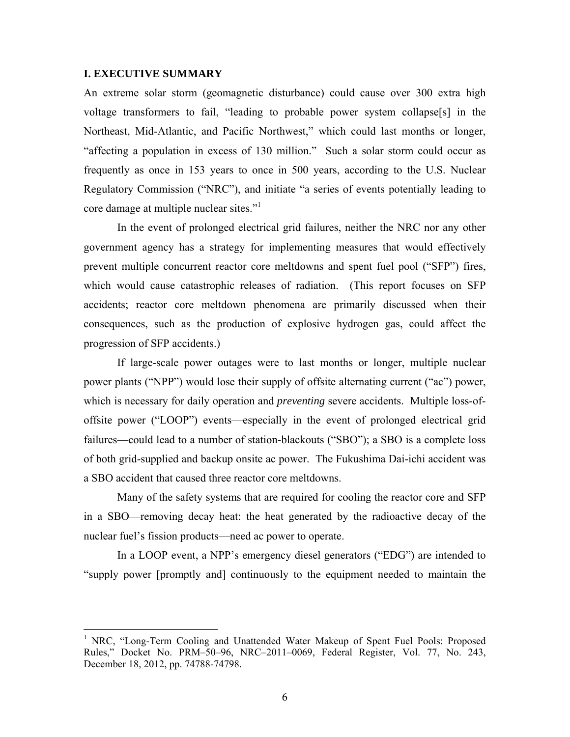#### **I. EXECUTIVE SUMMARY**

1

An extreme solar storm (geomagnetic disturbance) could cause over 300 extra high voltage transformers to fail, "leading to probable power system collapse[s] in the Northeast, Mid-Atlantic, and Pacific Northwest," which could last months or longer, "affecting a population in excess of 130 million." Such a solar storm could occur as frequently as once in 153 years to once in 500 years, according to the U.S. Nuclear Regulatory Commission ("NRC"), and initiate "a series of events potentially leading to core damage at multiple nuclear sites."<sup>1</sup>

In the event of prolonged electrical grid failures, neither the NRC nor any other government agency has a strategy for implementing measures that would effectively prevent multiple concurrent reactor core meltdowns and spent fuel pool ("SFP") fires, which would cause catastrophic releases of radiation. (This report focuses on SFP accidents; reactor core meltdown phenomena are primarily discussed when their consequences, such as the production of explosive hydrogen gas, could affect the progression of SFP accidents.)

If large-scale power outages were to last months or longer, multiple nuclear power plants ("NPP") would lose their supply of offsite alternating current ("ac") power, which is necessary for daily operation and *preventing* severe accidents. Multiple loss-ofoffsite power ("LOOP") events—especially in the event of prolonged electrical grid failures—could lead to a number of station-blackouts ("SBO"); a SBO is a complete loss of both grid-supplied and backup onsite ac power. The Fukushima Dai-ichi accident was a SBO accident that caused three reactor core meltdowns.

Many of the safety systems that are required for cooling the reactor core and SFP in a SBO—removing decay heat: the heat generated by the radioactive decay of the nuclear fuel's fission products—need ac power to operate.

In a LOOP event, a NPP's emergency diesel generators ("EDG") are intended to "supply power [promptly and] continuously to the equipment needed to maintain the

<sup>&</sup>lt;sup>1</sup> NRC, "Long-Term Cooling and Unattended Water Makeup of Spent Fuel Pools: Proposed Rules," Docket No. PRM–50–96, NRC–2011–0069, Federal Register, Vol. 77, No. 243, December 18, 2012, pp. 74788-74798.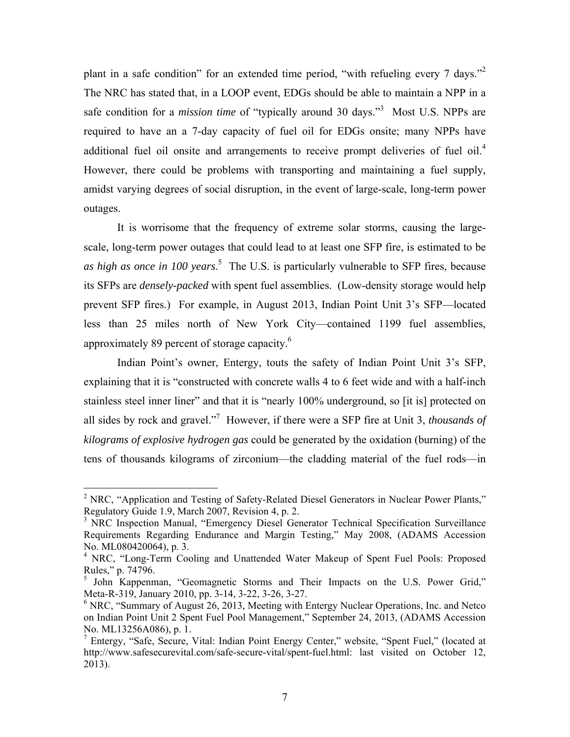plant in a safe condition" for an extended time period, "with refueling every 7 days."<sup>2</sup> The NRC has stated that, in a LOOP event, EDGs should be able to maintain a NPP in a safe condition for a *mission time* of "typically around 30 days."<sup>3</sup> Most U.S. NPPs are required to have an a 7-day capacity of fuel oil for EDGs onsite; many NPPs have additional fuel oil onsite and arrangements to receive prompt deliveries of fuel oil.<sup>4</sup> However, there could be problems with transporting and maintaining a fuel supply, amidst varying degrees of social disruption, in the event of large-scale, long-term power outages.

It is worrisome that the frequency of extreme solar storms, causing the largescale, long-term power outages that could lead to at least one SFP fire, is estimated to be *as high as once in 100 years*. 5 The U.S. is particularly vulnerable to SFP fires, because its SFPs are *densely-packed* with spent fuel assemblies. (Low-density storage would help prevent SFP fires.) For example, in August 2013, Indian Point Unit 3's SFP—located less than 25 miles north of New York City—contained 1199 fuel assemblies, approximately 89 percent of storage capacity.<sup>6</sup>

Indian Point's owner, Entergy, touts the safety of Indian Point Unit 3's SFP, explaining that it is "constructed with concrete walls 4 to 6 feet wide and with a half-inch stainless steel inner liner" and that it is "nearly 100% underground, so [it is] protected on all sides by rock and gravel."7 However, if there were a SFP fire at Unit 3, *thousands of kilograms of explosive hydrogen gas* could be generated by the oxidation (burning) of the tens of thousands kilograms of zirconium—the cladding material of the fuel rods—in

<sup>&</sup>lt;sup>2</sup> NRC, "Application and Testing of Safety-Related Diesel Generators in Nuclear Power Plants," Regulatory Guide 1.9, March 2007, Revision 4, p. 2.

<sup>&</sup>lt;sup>3</sup> NRC Inspection Manual, "Emergency Diesel Generator Technical Specification Surveillance Requirements Regarding Endurance and Margin Testing," May 2008, (ADAMS Accession No. ML080420064), p. 3.

<sup>&</sup>lt;sup>4</sup> NRC, "Long-Term Cooling and Unattended Water Makeup of Spent Fuel Pools: Proposed Rules," p. 74796.

<sup>&</sup>lt;sup>5</sup> John Kappenman, "Geomagnetic Storms and Their Impacts on the U.S. Power Grid," Meta-R-319, January 2010, pp. 3-14, 3-22, 3-26, 3-27.

<sup>&</sup>lt;sup>6</sup> NRC, "Summary of August 26, 2013, Meeting with Entergy Nuclear Operations, Inc. and Netco on Indian Point Unit 2 Spent Fuel Pool Management," September 24, 2013, (ADAMS Accession No. ML13256A086), p. 1.

<sup>&</sup>lt;sup>7</sup> Entergy, "Safe, Secure, Vital: Indian Point Energy Center," website, "Spent Fuel," (located at http://www.safesecurevital.com/safe-secure-vital/spent-fuel.html: last visited on October 12, 2013).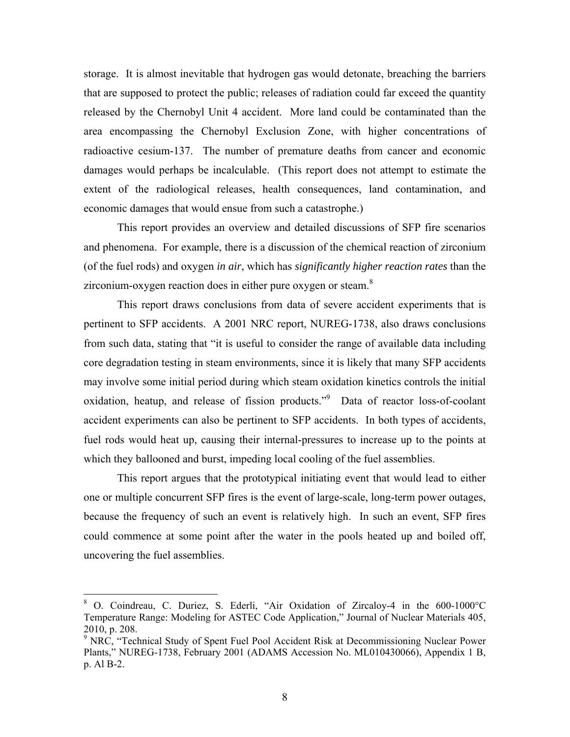storage. It is almost inevitable that hydrogen gas would detonate, breaching the barriers that are supposed to protect the public; releases of radiation could far exceed the quantity released by the Chernobyl Unit 4 accident. More land could be contaminated than the area encompassing the Chernobyl Exclusion Zone, with higher concentrations of radioactive cesium-137. The number of premature deaths from cancer and economic damages would perhaps be incalculable. (This report does not attempt to estimate the extent of the radiological releases, health consequences, land contamination, and economic damages that would ensue from such a catastrophe.)

This report provides an overview and detailed discussions of SFP fire scenarios and phenomena. For example, there is a discussion of the chemical reaction of zirconium (of the fuel rods) and oxygen *in air*, which has *significantly higher reaction rates* than the zirconium-oxygen reaction does in either pure oxygen or steam. $8$ 

This report draws conclusions from data of severe accident experiments that is pertinent to SFP accidents. A 2001 NRC report, NUREG-1738, also draws conclusions from such data, stating that "it is useful to consider the range of available data including core degradation testing in steam environments, since it is likely that many SFP accidents may involve some initial period during which steam oxidation kinetics controls the initial oxidation, heatup, and release of fission products."<sup>9</sup> Data of reactor loss-of-coolant accident experiments can also be pertinent to SFP accidents. In both types of accidents, fuel rods would heat up, causing their internal-pressures to increase up to the points at which they ballooned and burst, impeding local cooling of the fuel assemblies.

This report argues that the prototypical initiating event that would lead to either one or multiple concurrent SFP fires is the event of large-scale, long-term power outages, because the frequency of such an event is relatively high. In such an event, SFP fires could commence at some point after the water in the pools heated up and boiled off, uncovering the fuel assemblies.

<sup>8</sup> O. Coindreau, C. Duriez, S. Ederli, "Air Oxidation of Zircaloy-4 in the 600-1000°C Temperature Range: Modeling for ASTEC Code Application," Journal of Nuclear Materials 405, 2010, p. 208.

<sup>&</sup>lt;sup>9</sup> NRC, "Technical Study of Spent Fuel Pool Accident Risk at Decommissioning Nuclear Power Plants," NUREG-1738, February 2001 (ADAMS Accession No. ML010430066), Appendix 1 B, p. Al B-2.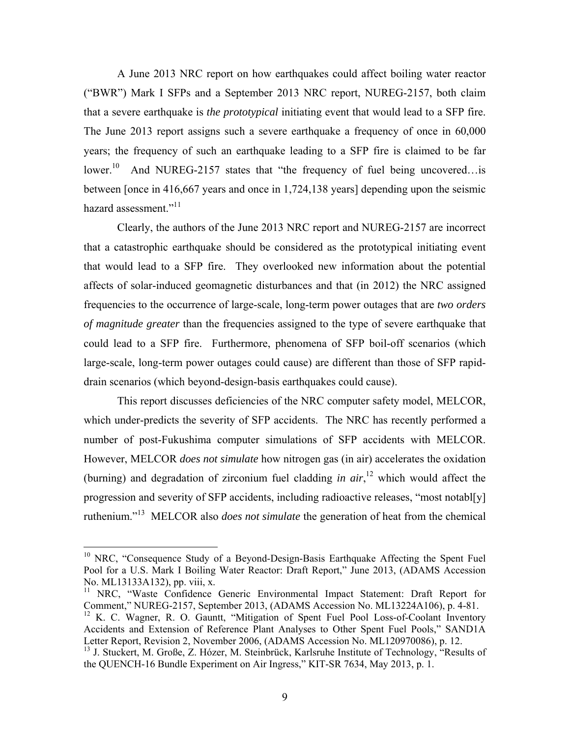A June 2013 NRC report on how earthquakes could affect boiling water reactor ("BWR") Mark I SFPs and a September 2013 NRC report, NUREG-2157, both claim that a severe earthquake is *the prototypical* initiating event that would lead to a SFP fire. The June 2013 report assigns such a severe earthquake a frequency of once in 60,000 years; the frequency of such an earthquake leading to a SFP fire is claimed to be far lower.<sup>10</sup> And NUREG-2157 states that "the frequency of fuel being uncovered... is between [once in 416,667 years and once in 1,724,138 years] depending upon the seismic hazard assessment."<sup>11</sup>

Clearly, the authors of the June 2013 NRC report and NUREG-2157 are incorrect that a catastrophic earthquake should be considered as the prototypical initiating event that would lead to a SFP fire. They overlooked new information about the potential affects of solar-induced geomagnetic disturbances and that (in 2012) the NRC assigned frequencies to the occurrence of large-scale, long-term power outages that are *two orders of magnitude greater* than the frequencies assigned to the type of severe earthquake that could lead to a SFP fire. Furthermore, phenomena of SFP boil-off scenarios (which large-scale, long-term power outages could cause) are different than those of SFP rapiddrain scenarios (which beyond-design-basis earthquakes could cause).

This report discusses deficiencies of the NRC computer safety model, MELCOR, which under-predicts the severity of SFP accidents. The NRC has recently performed a number of post-Fukushima computer simulations of SFP accidents with MELCOR. However, MELCOR *does not simulate* how nitrogen gas (in air) accelerates the oxidation (burning) and degradation of zirconium fuel cladding *in air*, 12 which would affect the progression and severity of SFP accidents, including radioactive releases, "most notabl[y] ruthenium."13 MELCOR also *does not simulate* the generation of heat from the chemical

<sup>&</sup>lt;sup>10</sup> NRC, "Consequence Study of a Beyond-Design-Basis Earthquake Affecting the Spent Fuel Pool for a U.S. Mark I Boiling Water Reactor: Draft Report," June 2013, (ADAMS Accession No. ML13133A132), pp. viii, x.

<sup>&</sup>lt;sup>11</sup> NRC, "Waste Confidence Generic Environmental Impact Statement: Draft Report for Comment," NUREG-2157, September 2013, (ADAMS Accession No. ML13224A106), p. 4-81.

<sup>&</sup>lt;sup>12</sup> K. C. Wagner, R. O. Gauntt, "Mitigation of Spent Fuel Pool Loss-of-Coolant Inventory Accidents and Extension of Reference Plant Analyses to Other Spent Fuel Pools," SAND1A Letter Report, Revision 2, November 2006, (ADAMS Accession No. ML120970086), p. 12.

<sup>&</sup>lt;sup>13</sup> J. Stuckert, M. Große, Z. Hózer, M. Steinbrück, Karlsruhe Institute of Technology, "Results of the QUENCH-16 Bundle Experiment on Air Ingress," KIT-SR 7634, May 2013, p. 1.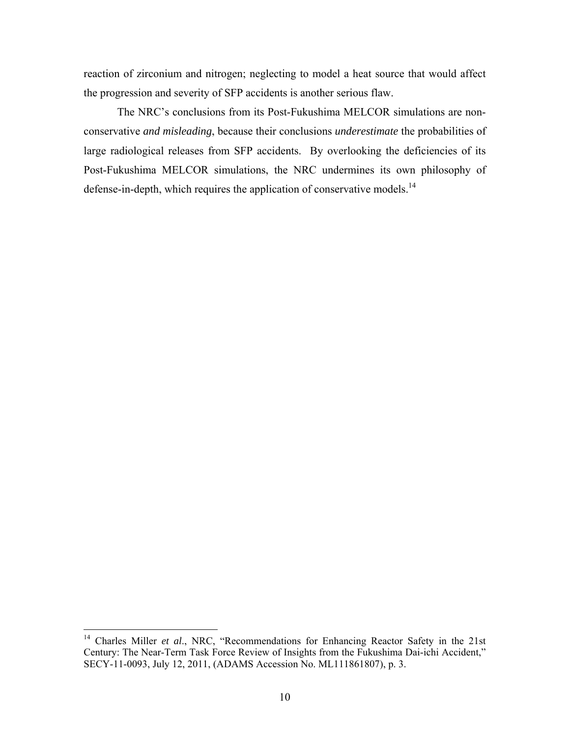reaction of zirconium and nitrogen; neglecting to model a heat source that would affect the progression and severity of SFP accidents is another serious flaw.

The NRC's conclusions from its Post-Fukushima MELCOR simulations are nonconservative *and misleading*, because their conclusions *underestimate* the probabilities of large radiological releases from SFP accidents. By overlooking the deficiencies of its Post-Fukushima MELCOR simulations, the NRC undermines its own philosophy of defense-in-depth, which requires the application of conservative models.<sup>14</sup>

1

<sup>&</sup>lt;sup>14</sup> Charles Miller *et al.*, NRC, "Recommendations for Enhancing Reactor Safety in the 21st Century: The Near-Term Task Force Review of Insights from the Fukushima Dai-ichi Accident," SECY-11-0093, July 12, 2011, (ADAMS Accession No. ML111861807), p. 3.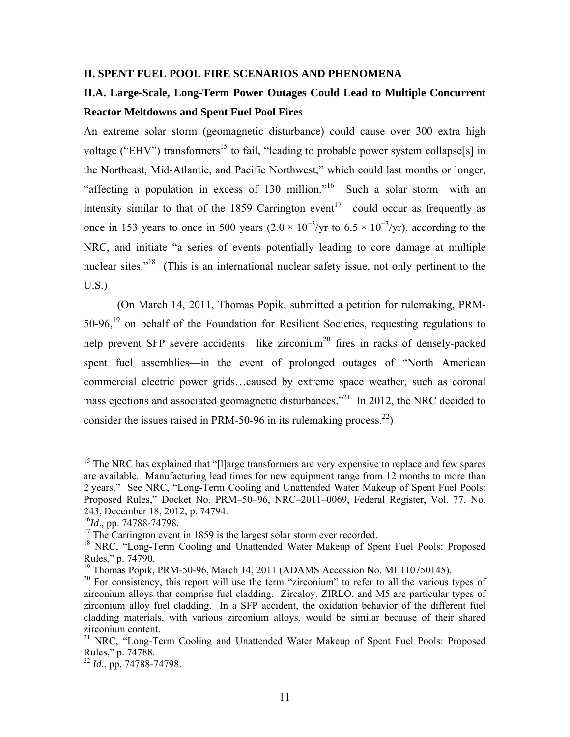#### **II. SPENT FUEL POOL FIRE SCENARIOS AND PHENOMENA**

## **II.A. Large-Scale, Long-Term Power Outages Could Lead to Multiple Concurrent Reactor Meltdowns and Spent Fuel Pool Fires**

An extreme solar storm (geomagnetic disturbance) could cause over 300 extra high voltage ("EHV") transformers<sup>15</sup> to fail, "leading to probable power system collapse[s] in the Northeast, Mid-Atlantic, and Pacific Northwest," which could last months or longer, "affecting a population in excess of 130 million."<sup>16</sup> Such a solar storm—with an intensity similar to that of the 1859 Carrington event<sup>17</sup>—could occur as frequently as once in 153 years to once in 500 years  $(2.0 \times 10^{-3}/yr)$  to  $6.5 \times 10^{-3}/yr$ ), according to the NRC, and initiate "a series of events potentially leading to core damage at multiple nuclear sites."<sup>18</sup> (This is an international nuclear safety issue, not only pertinent to the U.S.)

(On March 14, 2011, Thomas Popik, submitted a petition for rulemaking, PRM-50-96,<sup>19</sup> on behalf of the Foundation for Resilient Societies, requesting regulations to help prevent SFP severe accidents—like zirconium<sup>20</sup> fires in racks of densely-packed spent fuel assemblies—in the event of prolonged outages of "North American commercial electric power grids…caused by extreme space weather, such as coronal mass ejections and associated geomagnetic disturbances."<sup>21</sup> In 2012, the NRC decided to consider the issues raised in PRM-50-96 in its rulemaking process.<sup>22</sup>)

<sup>&</sup>lt;sup>15</sup> The NRC has explained that "[I]arge transformers are very expensive to replace and few spares are available. Manufacturing lead times for new equipment range from 12 months to more than 2 years." See NRC, "Long-Term Cooling and Unattended Water Makeup of Spent Fuel Pools: Proposed Rules," Docket No. PRM–50–96, NRC–2011–0069, Federal Register, Vol. 77, No. 243, December 18, 2012, p. 74794.

<sup>16</sup>*Id*., pp. 74788-74798.

<sup>&</sup>lt;sup>17</sup> The Carrington event in 1859 is the largest solar storm ever recorded.

<sup>&</sup>lt;sup>18</sup> NRC, "Long-Term Cooling and Unattended Water Makeup of Spent Fuel Pools: Proposed Rules," p. 74790.

<sup>&</sup>lt;sup>19</sup> Thomas Popik, PRM-50-96, March 14, 2011 (ADAMS Accession No. ML110750145).

<sup>&</sup>lt;sup>20</sup> For consistency, this report will use the term "zirconium" to refer to all the various types of zirconium alloys that comprise fuel cladding. Zircaloy, ZIRLO, and M5 are particular types of zirconium alloy fuel cladding. In a SFP accident, the oxidation behavior of the different fuel cladding materials, with various zirconium alloys, would be similar because of their shared zirconium content.

<sup>&</sup>lt;sup>21</sup> NRC, "Long-Term Cooling and Unattended Water Makeup of Spent Fuel Pools: Proposed Rules," p. 74788.

<sup>22</sup> *Id*., pp. 74788-74798.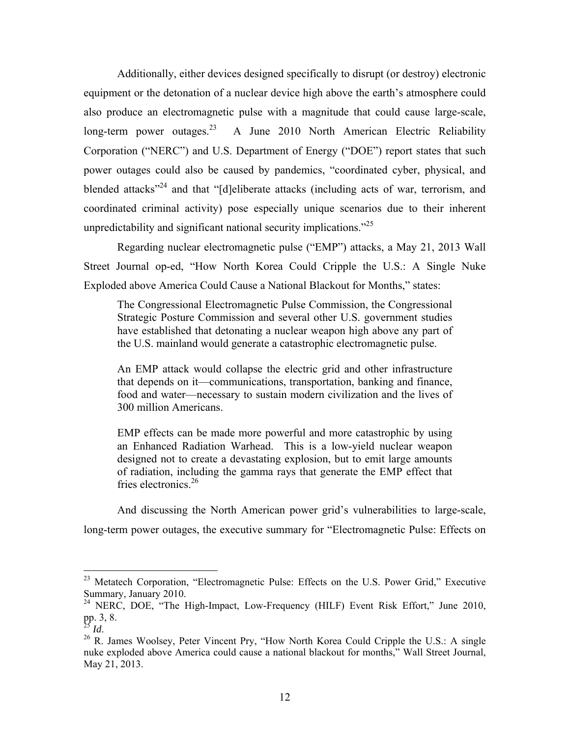Additionally, either devices designed specifically to disrupt (or destroy) electronic equipment or the detonation of a nuclear device high above the earth's atmosphere could also produce an electromagnetic pulse with a magnitude that could cause large-scale, long-term power outages.<sup>23</sup> A June 2010 North American Electric Reliability Corporation ("NERC") and U.S. Department of Energy ("DOE") report states that such power outages could also be caused by pandemics, "coordinated cyber, physical, and blended attacks"<sup>24</sup> and that "[d]eliberate attacks (including acts of war, terrorism, and coordinated criminal activity) pose especially unique scenarios due to their inherent unpredictability and significant national security implications.<sup>225</sup>

Regarding nuclear electromagnetic pulse ("EMP") attacks, a May 21, 2013 Wall Street Journal op-ed, "How North Korea Could Cripple the U.S.: A Single Nuke Exploded above America Could Cause a National Blackout for Months," states:

The Congressional Electromagnetic Pulse Commission, the Congressional Strategic Posture Commission and several other U.S. government studies have established that detonating a nuclear weapon high above any part of the U.S. mainland would generate a catastrophic electromagnetic pulse.

An EMP attack would collapse the electric grid and other infrastructure that depends on it—communications, transportation, banking and finance, food and water—necessary to sustain modern civilization and the lives of 300 million Americans.

EMP effects can be made more powerful and more catastrophic by using an Enhanced Radiation Warhead. This is a low-yield nuclear weapon designed not to create a devastating explosion, but to emit large amounts of radiation, including the gamma rays that generate the EMP effect that fries electronics<sup>26</sup>

And discussing the North American power grid's vulnerabilities to large-scale, long-term power outages, the executive summary for "Electromagnetic Pulse: Effects on

<sup>&</sup>lt;sup>23</sup> Metatech Corporation, "Electromagnetic Pulse: Effects on the U.S. Power Grid," Executive Summary, January 2010.

<sup>&</sup>lt;sup>24</sup> NERC, DOE, "The High-Impact, Low-Frequency (HILF) Event Risk Effort," June 2010, pp. 3, 8.<br> $^{25}$  *Id.* 

<sup>&</sup>lt;sup>26</sup> R. James Woolsey, Peter Vincent Pry, "How North Korea Could Cripple the U.S.: A single nuke exploded above America could cause a national blackout for months," Wall Street Journal, May 21, 2013.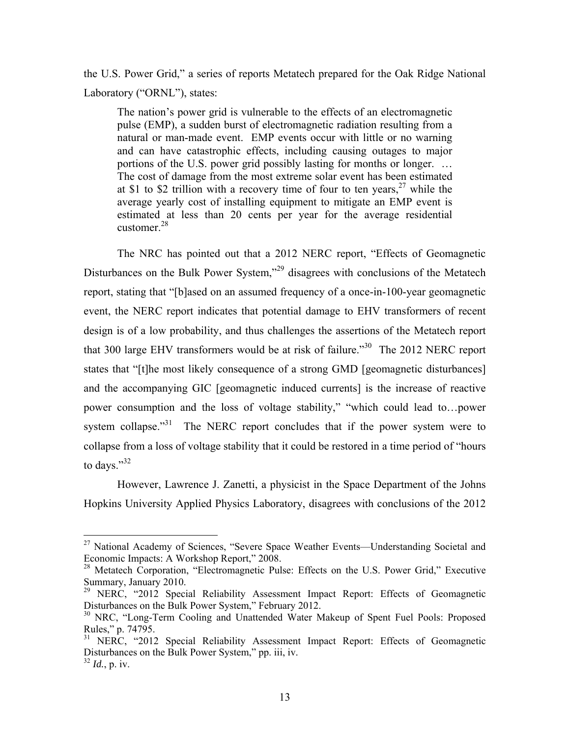the U.S. Power Grid," a series of reports Metatech prepared for the Oak Ridge National Laboratory ("ORNL"), states:

The nation's power grid is vulnerable to the effects of an electromagnetic pulse (EMP), a sudden burst of electromagnetic radiation resulting from a natural or man-made event. EMP events occur with little or no warning and can have catastrophic effects, including causing outages to major portions of the U.S. power grid possibly lasting for months or longer. … The cost of damage from the most extreme solar event has been estimated at \$1 to \$2 trillion with a recovery time of four to ten years,  $27$  while the average yearly cost of installing equipment to mitigate an EMP event is estimated at less than 20 cents per year for the average residential customer.28

The NRC has pointed out that a 2012 NERC report, "Effects of Geomagnetic Disturbances on the Bulk Power System,<sup>329</sup> disagrees with conclusions of the Metatech report, stating that "[b]ased on an assumed frequency of a once-in-100-year geomagnetic event, the NERC report indicates that potential damage to EHV transformers of recent design is of a low probability, and thus challenges the assertions of the Metatech report that 300 large EHV transformers would be at risk of failure."<sup>30</sup> The 2012 NERC report states that "[t]he most likely consequence of a strong GMD [geomagnetic disturbances] and the accompanying GIC [geomagnetic induced currents] is the increase of reactive power consumption and the loss of voltage stability," "which could lead to…power system collapse."<sup>31</sup> The NERC report concludes that if the power system were to collapse from a loss of voltage stability that it could be restored in a time period of "hours to days."32

However, Lawrence J. Zanetti, a physicist in the Space Department of the Johns Hopkins University Applied Physics Laboratory, disagrees with conclusions of the 2012

1

<sup>&</sup>lt;sup>27</sup> National Academy of Sciences, "Severe Space Weather Events—Understanding Societal and Economic Impacts: A Workshop Report," 2008.

<sup>&</sup>lt;sup>28</sup> Metatech Corporation, "Electromagnetic Pulse: Effects on the U.S. Power Grid," Executive Summary, January 2010.

<sup>&</sup>lt;sup>29</sup> NERC, "2012 Special Reliability Assessment Impact Report: Effects of Geomagnetic Disturbances on the Bulk Power System," February 2012.

<sup>&</sup>lt;sup>30</sup> NRC, "Long-Term Cooling and Unattended Water Makeup of Spent Fuel Pools: Proposed Rules," p. 74795.

<sup>&</sup>lt;sup>31</sup> NERC, "2012 Special Reliability Assessment Impact Report: Effects of Geomagnetic Disturbances on the Bulk Power System," pp. iii, iv.

<sup>32</sup> *Id.*, p. iv.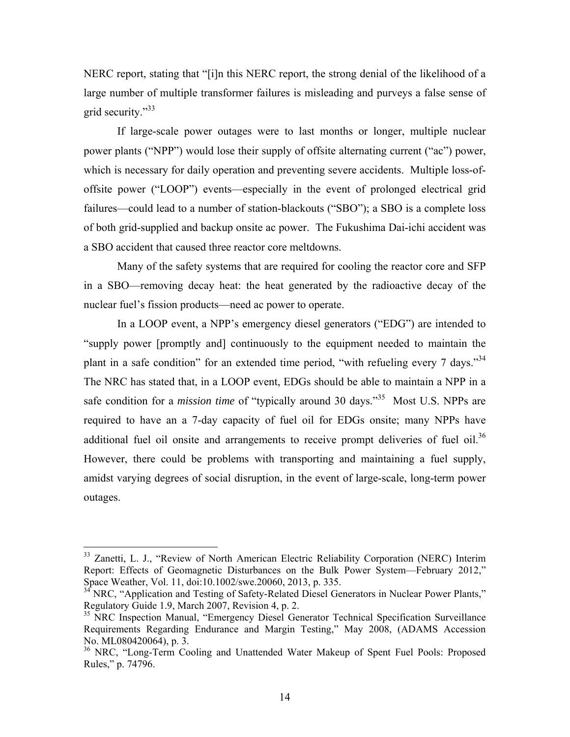NERC report, stating that "[i]n this NERC report, the strong denial of the likelihood of a large number of multiple transformer failures is misleading and purveys a false sense of grid security."33

If large-scale power outages were to last months or longer, multiple nuclear power plants ("NPP") would lose their supply of offsite alternating current ("ac") power, which is necessary for daily operation and preventing severe accidents. Multiple loss-ofoffsite power ("LOOP") events—especially in the event of prolonged electrical grid failures—could lead to a number of station-blackouts ("SBO"); a SBO is a complete loss of both grid-supplied and backup onsite ac power. The Fukushima Dai-ichi accident was a SBO accident that caused three reactor core meltdowns.

Many of the safety systems that are required for cooling the reactor core and SFP in a SBO—removing decay heat: the heat generated by the radioactive decay of the nuclear fuel's fission products—need ac power to operate.

In a LOOP event, a NPP's emergency diesel generators ("EDG") are intended to "supply power [promptly and] continuously to the equipment needed to maintain the plant in a safe condition" for an extended time period, "with refueling every 7 days."34 The NRC has stated that, in a LOOP event, EDGs should be able to maintain a NPP in a safe condition for a *mission time* of "typically around 30 days."<sup>35</sup> Most U.S. NPPs are required to have an a 7-day capacity of fuel oil for EDGs onsite; many NPPs have additional fuel oil onsite and arrangements to receive prompt deliveries of fuel oil.<sup>36</sup> However, there could be problems with transporting and maintaining a fuel supply, amidst varying degrees of social disruption, in the event of large-scale, long-term power outages.

1

<sup>&</sup>lt;sup>33</sup> Zanetti, L. J., "Review of North American Electric Reliability Corporation (NERC) Interim Report: Effects of Geomagnetic Disturbances on the Bulk Power System—February 2012," Space Weather, Vol. 11, doi:10.1002/swe.20060, 2013, p. 335.

<sup>&</sup>lt;sup>34</sup> NRC, "Application and Testing of Safety-Related Diesel Generators in Nuclear Power Plants," Regulatory Guide 1.9, March 2007, Revision 4, p. 2.

<sup>&</sup>lt;sup>35</sup> NRC Inspection Manual, "Emergency Diesel Generator Technical Specification Surveillance Requirements Regarding Endurance and Margin Testing," May 2008, (ADAMS Accession No. ML080420064), p. 3.

<sup>&</sup>lt;sup>36</sup> NRC, "Long-Term Cooling and Unattended Water Makeup of Spent Fuel Pools: Proposed Rules," p. 74796.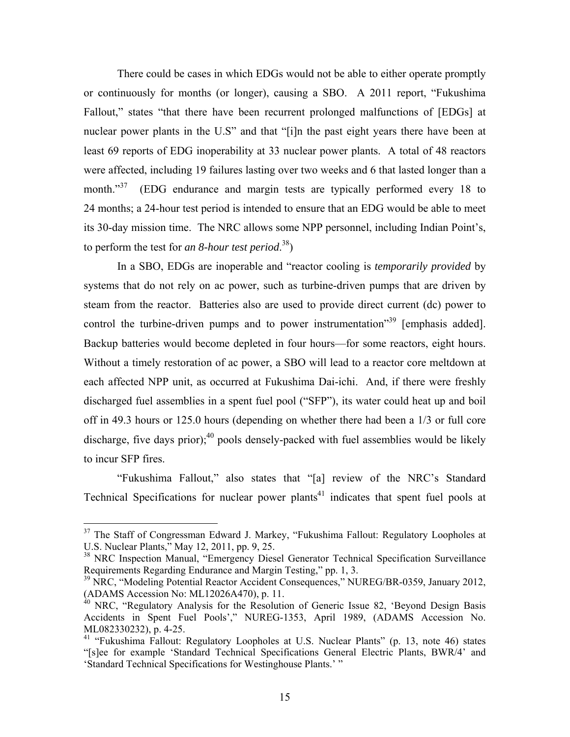There could be cases in which EDGs would not be able to either operate promptly or continuously for months (or longer), causing a SBO. A 2011 report, "Fukushima Fallout," states "that there have been recurrent prolonged malfunctions of [EDGs] at nuclear power plants in the U.S" and that "[i]n the past eight years there have been at least 69 reports of EDG inoperability at 33 nuclear power plants. A total of 48 reactors were affected, including 19 failures lasting over two weeks and 6 that lasted longer than a month."<sup>37</sup> (EDG endurance and margin tests are typically performed every 18 to 24 months; a 24-hour test period is intended to ensure that an EDG would be able to meet its 30-day mission time. The NRC allows some NPP personnel, including Indian Point's, to perform the test for *an 8-hour test period*. 38)

In a SBO, EDGs are inoperable and "reactor cooling is *temporarily provided* by systems that do not rely on ac power, such as turbine-driven pumps that are driven by steam from the reactor. Batteries also are used to provide direct current (dc) power to control the turbine-driven pumps and to power instrumentation<sup>39</sup> [emphasis added]. Backup batteries would become depleted in four hours—for some reactors, eight hours. Without a timely restoration of ac power, a SBO will lead to a reactor core meltdown at each affected NPP unit, as occurred at Fukushima Dai-ichi. And, if there were freshly discharged fuel assemblies in a spent fuel pool ("SFP"), its water could heat up and boil off in 49.3 hours or 125.0 hours (depending on whether there had been a 1/3 or full core discharge, five days prior); $^{40}$  pools densely-packed with fuel assemblies would be likely to incur SFP fires.

"Fukushima Fallout," also states that "[a] review of the NRC's Standard Technical Specifications for nuclear power plants<sup>41</sup> indicates that spent fuel pools at

<sup>&</sup>lt;sup>37</sup> The Staff of Congressman Edward J. Markey, "Fukushima Fallout: Regulatory Loopholes at U.S. Nuclear Plants," May 12, 2011, pp. 9, 25.

<sup>&</sup>lt;sup>38</sup> NRC Inspection Manual, "Emergency Diesel Generator Technical Specification Surveillance Requirements Regarding Endurance and Margin Testing," pp. 1, 3.

<sup>&</sup>lt;sup>39</sup> NRC, "Modeling Potential Reactor Accident Consequences," NUREG/BR-0359, January 2012, (ADAMS Accession No: ML12026A470), p. 11.

<sup>&</sup>lt;sup>40</sup> NRC, "Regulatory Analysis for the Resolution of Generic Issue 82, 'Beyond Design Basis Accidents in Spent Fuel Pools'," NUREG-1353, April 1989, (ADAMS Accession No. ML082330232), p. 4-25.

<sup>41 &</sup>quot;Fukushima Fallout: Regulatory Loopholes at U.S. Nuclear Plants" (p. 13, note 46) states "[s]ee for example 'Standard Technical Specifications General Electric Plants, BWR/4' and 'Standard Technical Specifications for Westinghouse Plants.' "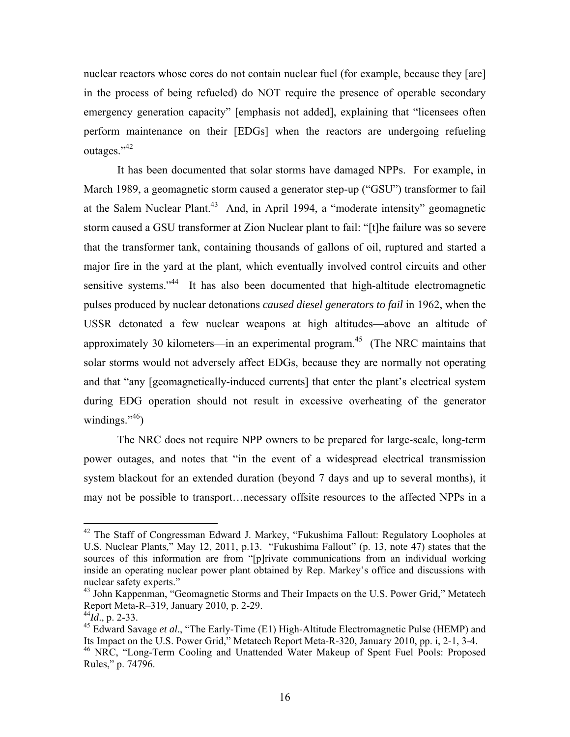nuclear reactors whose cores do not contain nuclear fuel (for example, because they [are] in the process of being refueled) do NOT require the presence of operable secondary emergency generation capacity" [emphasis not added], explaining that "licensees often perform maintenance on their [EDGs] when the reactors are undergoing refueling outages."42

It has been documented that solar storms have damaged NPPs. For example, in March 1989, a geomagnetic storm caused a generator step-up ("GSU") transformer to fail at the Salem Nuclear Plant.<sup>43</sup> And, in April 1994, a "moderate intensity" geomagnetic storm caused a GSU transformer at Zion Nuclear plant to fail: "[t]he failure was so severe that the transformer tank, containing thousands of gallons of oil, ruptured and started a major fire in the yard at the plant, which eventually involved control circuits and other sensitive systems."<sup>44</sup> It has also been documented that high-altitude electromagnetic pulses produced by nuclear detonations *caused diesel generators to fail* in 1962, when the USSR detonated a few nuclear weapons at high altitudes—above an altitude of approximately 30 kilometers—in an experimental program.<sup>45</sup> (The NRC maintains that solar storms would not adversely affect EDGs, because they are normally not operating and that "any [geomagnetically-induced currents] that enter the plant's electrical system during EDG operation should not result in excessive overheating of the generator windings." $46$ )

The NRC does not require NPP owners to be prepared for large-scale, long-term power outages, and notes that "in the event of a widespread electrical transmission system blackout for an extended duration (beyond 7 days and up to several months), it may not be possible to transport…necessary offsite resources to the affected NPPs in a

<u>.</u>

 $42$  The Staff of Congressman Edward J. Markey, "Fukushima Fallout: Regulatory Loopholes at U.S. Nuclear Plants," May 12, 2011, p.13. "Fukushima Fallout" (p. 13, note 47) states that the sources of this information are from "[p]rivate communications from an individual working inside an operating nuclear power plant obtained by Rep. Markey's office and discussions with nuclear safety experts."

<sup>&</sup>lt;sup>43</sup> John Kappenman, "Geomagnetic Storms and Their Impacts on the U.S. Power Grid," Metatech Report Meta-R–319, January 2010, p. 2-29.

<sup>44</sup>*Id*., p. 2-33.

<sup>&</sup>lt;sup>45</sup> Edward Savage *et al.*, "The Early-Time (E1) High-Altitude Electromagnetic Pulse (HEMP) and Its Impact on the U.S. Power Grid," Metatech Report Meta-R-320, January 2010, pp. i, 2-1, 3-4.

<sup>&</sup>lt;sup>46</sup> NRC, "Long-Term Cooling and Unattended Water Makeup of Spent Fuel Pools: Proposed Rules," p. 74796.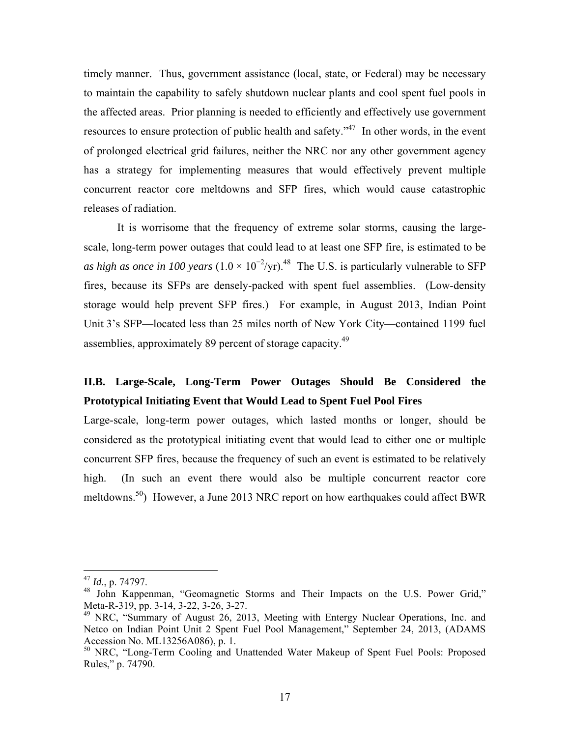timely manner. Thus, government assistance (local, state, or Federal) may be necessary to maintain the capability to safely shutdown nuclear plants and cool spent fuel pools in the affected areas. Prior planning is needed to efficiently and effectively use government resources to ensure protection of public health and safety."<sup>47</sup> In other words, in the event of prolonged electrical grid failures, neither the NRC nor any other government agency has a strategy for implementing measures that would effectively prevent multiple concurrent reactor core meltdowns and SFP fires, which would cause catastrophic releases of radiation.

It is worrisome that the frequency of extreme solar storms, causing the largescale, long-term power outages that could lead to at least one SFP fire, is estimated to be as high as once in 100 years  $(1.0 \times 10^{-2}/yr)^{48}$  The U.S. is particularly vulnerable to SFP fires, because its SFPs are densely-packed with spent fuel assemblies. (Low-density storage would help prevent SFP fires.) For example, in August 2013, Indian Point Unit 3's SFP—located less than 25 miles north of New York City—contained 1199 fuel assemblies, approximately 89 percent of storage capacity.49

### **II.B. Large-Scale, Long-Term Power Outages Should Be Considered the Prototypical Initiating Event that Would Lead to Spent Fuel Pool Fires**

Large-scale, long-term power outages, which lasted months or longer, should be considered as the prototypical initiating event that would lead to either one or multiple concurrent SFP fires, because the frequency of such an event is estimated to be relatively high. (In such an event there would also be multiple concurrent reactor core meltdowns.<sup>50</sup>) However, a June 2013 NRC report on how earthquakes could affect BWR

<sup>47</sup> *Id*., p. 74797.

<sup>&</sup>lt;sup>48</sup> John Kappenman, "Geomagnetic Storms and Their Impacts on the U.S. Power Grid," Meta-R-319, pp. 3-14, 3-22, 3-26, 3-27.

<sup>&</sup>lt;sup>49</sup> NRC, "Summary of August 26, 2013, Meeting with Entergy Nuclear Operations, Inc. and Netco on Indian Point Unit 2 Spent Fuel Pool Management," September 24, 2013, (ADAMS Accession No. ML13256A086), p. 1.

<sup>&</sup>lt;sup>50</sup> NRC, "Long-Term Cooling and Unattended Water Makeup of Spent Fuel Pools: Proposed Rules," p. 74790.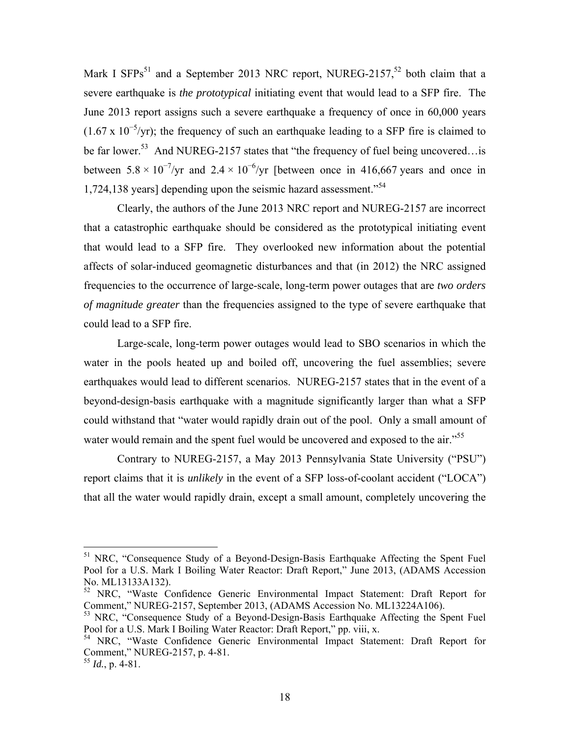Mark I SFPs<sup>51</sup> and a September 2013 NRC report, NUREG-2157,<sup>52</sup> both claim that a severe earthquake is *the prototypical* initiating event that would lead to a SFP fire. The June 2013 report assigns such a severe earthquake a frequency of once in 60,000 years  $(1.67 \times 10^{-5}$ /yr); the frequency of such an earthquake leading to a SFP fire is claimed to be far lower.<sup>53</sup> And NUREG-2157 states that "the frequency of fuel being uncovered... is between  $5.8 \times 10^{-7}$ /yr and  $2.4 \times 10^{-6}$ /yr [between once in 416,667 years and once in 1,724,138 years] depending upon the seismic hazard assessment.<sup>54</sup>

Clearly, the authors of the June 2013 NRC report and NUREG-2157 are incorrect that a catastrophic earthquake should be considered as the prototypical initiating event that would lead to a SFP fire. They overlooked new information about the potential affects of solar-induced geomagnetic disturbances and that (in 2012) the NRC assigned frequencies to the occurrence of large-scale, long-term power outages that are *two orders of magnitude greater* than the frequencies assigned to the type of severe earthquake that could lead to a SFP fire.

Large-scale, long-term power outages would lead to SBO scenarios in which the water in the pools heated up and boiled off, uncovering the fuel assemblies; severe earthquakes would lead to different scenarios. NUREG-2157 states that in the event of a beyond-design-basis earthquake with a magnitude significantly larger than what a SFP could withstand that "water would rapidly drain out of the pool. Only a small amount of water would remain and the spent fuel would be uncovered and exposed to the air.<sup>"55</sup>

Contrary to NUREG-2157, a May 2013 Pennsylvania State University ("PSU") report claims that it is *unlikely* in the event of a SFP loss-of-coolant accident ("LOCA") that all the water would rapidly drain, except a small amount, completely uncovering the

<sup>&</sup>lt;sup>51</sup> NRC, "Consequence Study of a Beyond-Design-Basis Earthquake Affecting the Spent Fuel Pool for a U.S. Mark I Boiling Water Reactor: Draft Report," June 2013, (ADAMS Accession No. ML13133A132).

<sup>52</sup> NRC, "Waste Confidence Generic Environmental Impact Statement: Draft Report for Comment," NUREG-2157, September 2013, (ADAMS Accession No. ML13224A106).

<sup>&</sup>lt;sup>53</sup> NRC, "Consequence Study of a Beyond-Design-Basis Earthquake Affecting the Spent Fuel Pool for a U.S. Mark I Boiling Water Reactor: Draft Report," pp. viii, x.

<sup>54</sup> NRC, "Waste Confidence Generic Environmental Impact Statement: Draft Report for Comment," NUREG-2157, p. 4-81.

<sup>55</sup> *Id.*, p. 4-81.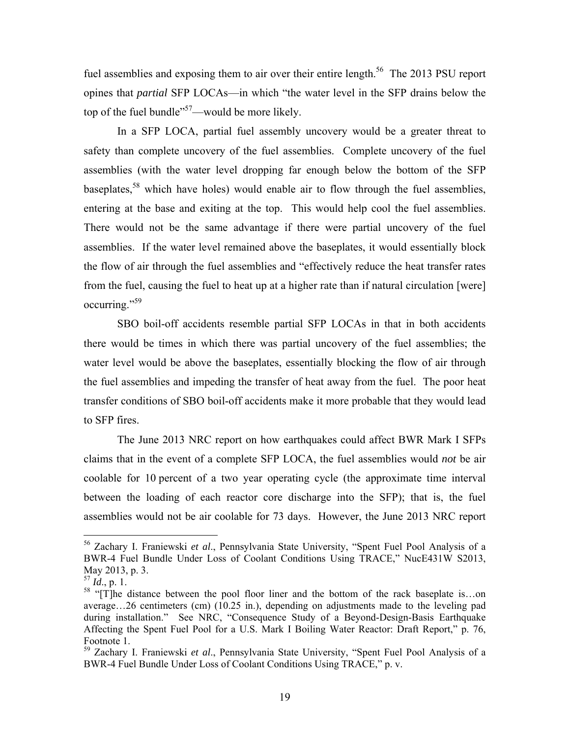fuel assemblies and exposing them to air over their entire length.<sup>56</sup> The 2013 PSU report opines that *partial* SFP LOCAs—in which "the water level in the SFP drains below the top of the fuel bundle<sup> $357$ </sup>—would be more likely.

In a SFP LOCA, partial fuel assembly uncovery would be a greater threat to safety than complete uncovery of the fuel assemblies. Complete uncovery of the fuel assemblies (with the water level dropping far enough below the bottom of the SFP baseplates,  $58$  which have holes) would enable air to flow through the fuel assemblies, entering at the base and exiting at the top. This would help cool the fuel assemblies. There would not be the same advantage if there were partial uncovery of the fuel assemblies. If the water level remained above the baseplates, it would essentially block the flow of air through the fuel assemblies and "effectively reduce the heat transfer rates from the fuel, causing the fuel to heat up at a higher rate than if natural circulation [were] occurring."59

SBO boil-off accidents resemble partial SFP LOCAs in that in both accidents there would be times in which there was partial uncovery of the fuel assemblies; the water level would be above the baseplates, essentially blocking the flow of air through the fuel assemblies and impeding the transfer of heat away from the fuel. The poor heat transfer conditions of SBO boil-off accidents make it more probable that they would lead to SFP fires.

The June 2013 NRC report on how earthquakes could affect BWR Mark I SFPs claims that in the event of a complete SFP LOCA, the fuel assemblies would *not* be air coolable for 10 percent of a two year operating cycle (the approximate time interval between the loading of each reactor core discharge into the SFP); that is, the fuel assemblies would not be air coolable for 73 days. However, the June 2013 NRC report

<sup>56</sup> Zachary I. Franiewski *et al*., Pennsylvania State University, "Spent Fuel Pool Analysis of a BWR-4 Fuel Bundle Under Loss of Coolant Conditions Using TRACE," NucE431W S2013, May 2013, p. 3.

<sup>57</sup> *Id*., p. 1.

<sup>&</sup>lt;sup>58</sup> "[T]he distance between the pool floor liner and the bottom of the rack baseplate is...on average…26 centimeters (cm) (10.25 in.), depending on adjustments made to the leveling pad during installation." See NRC, "Consequence Study of a Beyond-Design-Basis Earthquake Affecting the Spent Fuel Pool for a U.S. Mark I Boiling Water Reactor: Draft Report," p. 76, Footnote 1.

<sup>59</sup> Zachary I. Franiewski *et al*., Pennsylvania State University, "Spent Fuel Pool Analysis of a BWR-4 Fuel Bundle Under Loss of Coolant Conditions Using TRACE," p. v.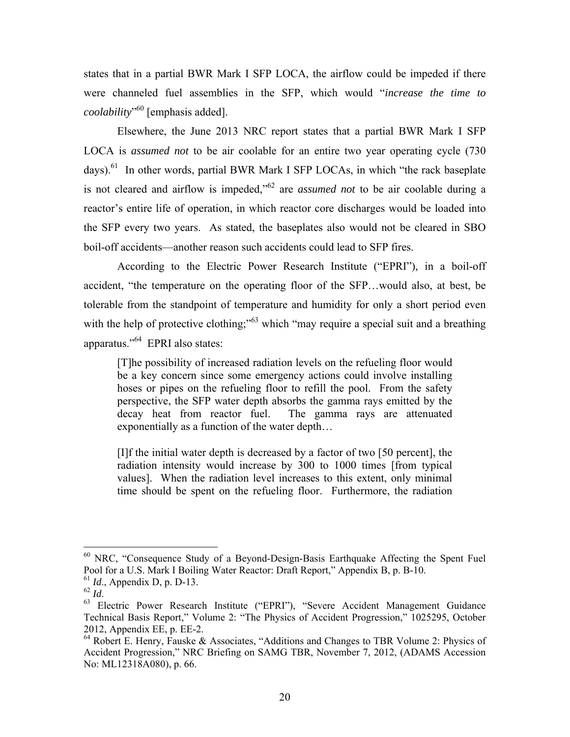states that in a partial BWR Mark I SFP LOCA, the airflow could be impeded if there were channeled fuel assemblies in the SFP, which would "*increase the time to coolability*" 60 [emphasis added].

Elsewhere, the June 2013 NRC report states that a partial BWR Mark I SFP LOCA is *assumed not* to be air coolable for an entire two year operating cycle (730 days).<sup>61</sup> In other words, partial BWR Mark I SFP LOCAs, in which "the rack baseplate is not cleared and airflow is impeded,"62 are *assumed not* to be air coolable during a reactor's entire life of operation, in which reactor core discharges would be loaded into the SFP every two years. As stated, the baseplates also would not be cleared in SBO boil-off accidents—another reason such accidents could lead to SFP fires.

According to the Electric Power Research Institute ("EPRI"), in a boil-off accident, "the temperature on the operating floor of the SFP…would also, at best, be tolerable from the standpoint of temperature and humidity for only a short period even with the help of protective clothing;"<sup>63</sup> which "may require a special suit and a breathing apparatus."64 EPRI also states:

[T]he possibility of increased radiation levels on the refueling floor would be a key concern since some emergency actions could involve installing hoses or pipes on the refueling floor to refill the pool. From the safety perspective, the SFP water depth absorbs the gamma rays emitted by the decay heat from reactor fuel. The gamma rays are attenuated exponentially as a function of the water depth…

[I]f the initial water depth is decreased by a factor of two [50 percent], the radiation intensity would increase by 300 to 1000 times [from typical values]. When the radiation level increases to this extent, only minimal time should be spent on the refueling floor. Furthermore, the radiation

 $60$  NRC, "Consequence Study of a Beyond-Design-Basis Earthquake Affecting the Spent Fuel Pool for a U.S. Mark I Boiling Water Reactor: Draft Report," Appendix B, p. B-10.

<sup>&</sup>lt;sup>61</sup> *Id.*, Appendix D, p. D-13.<br><sup>62</sup> *Id* 

<sup>&</sup>lt;sup>63</sup> Electric Power Research Institute ("EPRI"), "Severe Accident Management Guidance Technical Basis Report," Volume 2: "The Physics of Accident Progression," 1025295, October 2012, Appendix EE, p. EE-2.

<sup>64</sup> Robert E. Henry, Fauske & Associates, "Additions and Changes to TBR Volume 2: Physics of Accident Progression," NRC Briefing on SAMG TBR, November 7, 2012, (ADAMS Accession No: ML12318A080), p. 66.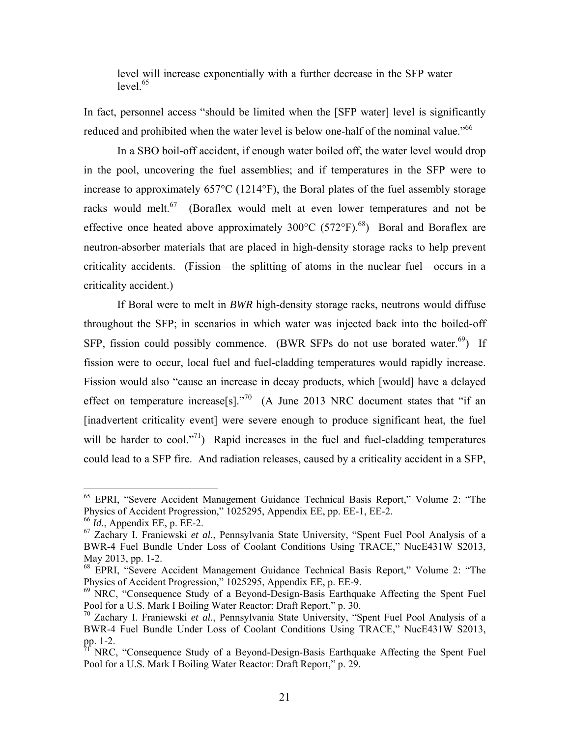level will increase exponentially with a further decrease in the SFP water level $65$ 

In fact, personnel access "should be limited when the [SFP water] level is significantly reduced and prohibited when the water level is below one-half of the nominal value."<sup>66</sup>

In a SBO boil-off accident, if enough water boiled off, the water level would drop in the pool, uncovering the fuel assemblies; and if temperatures in the SFP were to increase to approximately 657°C (1214°F), the Boral plates of the fuel assembly storage racks would melt.<sup>67</sup> (Boraflex would melt at even lower temperatures and not be effective once heated above approximately  $300^{\circ}$ C (572°F).<sup>68</sup>) Boral and Boraflex are neutron-absorber materials that are placed in high-density storage racks to help prevent criticality accidents. (Fission—the splitting of atoms in the nuclear fuel—occurs in a criticality accident.)

If Boral were to melt in *BWR* high-density storage racks, neutrons would diffuse throughout the SFP; in scenarios in which water was injected back into the boiled-off SFP, fission could possibly commence. (BWR SFPs do not use borated water.<sup>69</sup>) If fission were to occur, local fuel and fuel-cladding temperatures would rapidly increase. Fission would also "cause an increase in decay products, which [would] have a delayed effect on temperature increase[s]. $1.70$  (A June 2013 NRC document states that "if an [inadvertent criticality event] were severe enough to produce significant heat, the fuel will be harder to cool."<sup>71</sup>) Rapid increases in the fuel and fuel-cladding temperatures could lead to a SFP fire. And radiation releases, caused by a criticality accident in a SFP,

1

<sup>65</sup> EPRI, "Severe Accident Management Guidance Technical Basis Report," Volume 2: "The Physics of Accident Progression," 1025295, Appendix EE, pp. EE-1, EE-2.

<sup>66</sup> *Id*., Appendix EE, p. EE-2.

<sup>67</sup> Zachary I. Franiewski *et al*., Pennsylvania State University, "Spent Fuel Pool Analysis of a BWR-4 Fuel Bundle Under Loss of Coolant Conditions Using TRACE," NucE431W S2013, May 2013, pp. 1-2.

<sup>68</sup> EPRI, "Severe Accident Management Guidance Technical Basis Report," Volume 2: "The Physics of Accident Progression," 1025295, Appendix EE, p. EE-9.

 $69$  NRC, "Consequence Study of a Beyond-Design-Basis Earthquake Affecting the Spent Fuel Pool for a U.S. Mark I Boiling Water Reactor: Draft Report," p. 30.

<sup>70</sup> Zachary I. Franiewski *et al*., Pennsylvania State University, "Spent Fuel Pool Analysis of a BWR-4 Fuel Bundle Under Loss of Coolant Conditions Using TRACE," NucE431W S2013, pp. 1-2.

<sup>71</sup> NRC, "Consequence Study of a Beyond-Design-Basis Earthquake Affecting the Spent Fuel Pool for a U.S. Mark I Boiling Water Reactor: Draft Report," p. 29.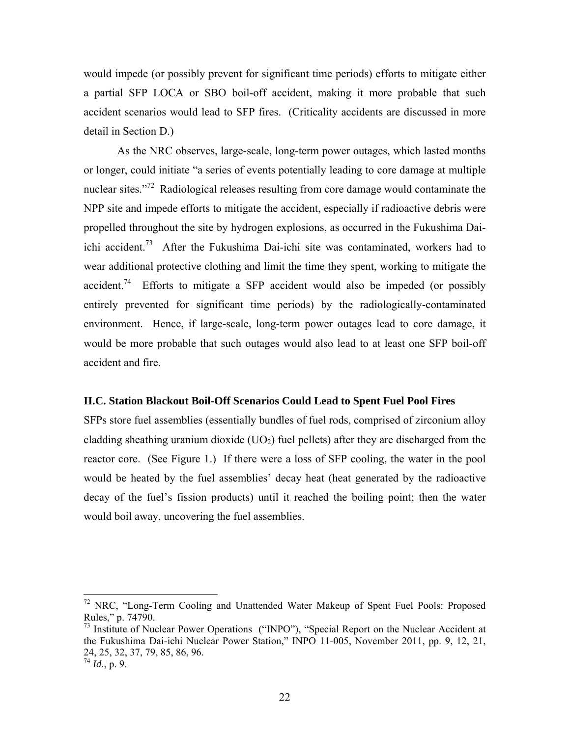would impede (or possibly prevent for significant time periods) efforts to mitigate either a partial SFP LOCA or SBO boil-off accident, making it more probable that such accident scenarios would lead to SFP fires. (Criticality accidents are discussed in more detail in Section D.)

As the NRC observes, large-scale, long-term power outages, which lasted months or longer, could initiate "a series of events potentially leading to core damage at multiple nuclear sites."<sup>72</sup> Radiological releases resulting from core damage would contaminate the NPP site and impede efforts to mitigate the accident, especially if radioactive debris were propelled throughout the site by hydrogen explosions, as occurred in the Fukushima Daiichi accident.<sup>73</sup> After the Fukushima Dai-ichi site was contaminated, workers had to wear additional protective clothing and limit the time they spent, working to mitigate the accident.<sup>74</sup> Efforts to mitigate a SFP accident would also be impeded (or possibly entirely prevented for significant time periods) by the radiologically-contaminated environment. Hence, if large-scale, long-term power outages lead to core damage, it would be more probable that such outages would also lead to at least one SFP boil-off accident and fire.

### **II.C. Station Blackout Boil-Off Scenarios Could Lead to Spent Fuel Pool Fires**

SFPs store fuel assemblies (essentially bundles of fuel rods, comprised of zirconium alloy cladding sheathing uranium dioxide  $(UO<sub>2</sub>)$  fuel pellets) after they are discharged from the reactor core. (See Figure 1.) If there were a loss of SFP cooling, the water in the pool would be heated by the fuel assemblies' decay heat (heat generated by the radioactive decay of the fuel's fission products) until it reached the boiling point; then the water would boil away, uncovering the fuel assemblies.

 $72$  NRC, "Long-Term Cooling and Unattended Water Makeup of Spent Fuel Pools: Proposed Rules," p. 74790.

 $73$  Institute of Nuclear Power Operations ("INPO"), "Special Report on the Nuclear Accident at the Fukushima Dai-ichi Nuclear Power Station," INPO 11-005, November 2011, pp. 9, 12, 21, 24, 25, 32, 37, 79, 85, 86, 96.

<sup>74</sup> *Id*., p. 9.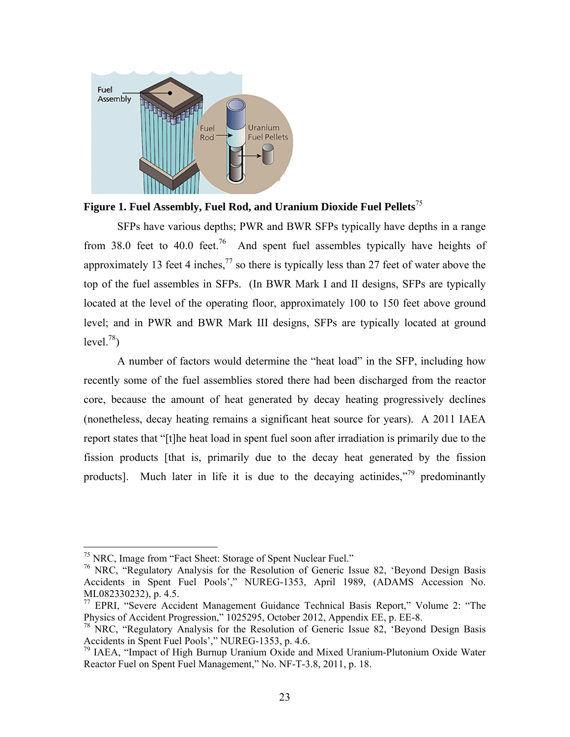

**Figure 1. Fuel Assembly, Fuel Rod, and Uranium Dioxide Fuel Pellets**<sup>75</sup>

SFPs have various depths; PWR and BWR SFPs typically have depths in a range from 38.0 feet to 40.0 feet.<sup>76</sup> And spent fuel assembles typically have heights of approximately 13 feet 4 inches,<sup>77</sup> so there is typically less than 27 feet of water above the top of the fuel assembles in SFPs. (In BWR Mark I and II designs, SFPs are typically located at the level of the operating floor, approximately 100 to 150 feet above ground level; and in PWR and BWR Mark III designs, SFPs are typically located at ground  $level.<sup>78</sup>$ 

A number of factors would determine the "heat load" in the SFP, including how recently some of the fuel assemblies stored there had been discharged from the reactor core, because the amount of heat generated by decay heating progressively declines (nonetheless, decay heating remains a significant heat source for years). A 2011 IAEA report states that "[t]he heat load in spent fuel soon after irradiation is primarily due to the fission products [that is, primarily due to the decay heat generated by the fission products]. Much later in life it is due to the decaying actinides,"79 predominantly

<sup>&</sup>lt;sup>75</sup> NRC, Image from "Fact Sheet: Storage of Spent Nuclear Fuel."

<sup>76</sup> NRC, "Regulatory Analysis for the Resolution of Generic Issue 82, 'Beyond Design Basis Accidents in Spent Fuel Pools'," NUREG-1353, April 1989, (ADAMS Accession No. ML082330232), p. 4.5.

<sup>77</sup> EPRI, "Severe Accident Management Guidance Technical Basis Report," Volume 2: "The Physics of Accident Progression," 1025295, October 2012, Appendix EE, p. EE-8.

<sup>&</sup>lt;sup>78</sup> NRC, "Regulatory Analysis for the Resolution of Generic Issue 82, 'Beyond Design Basis Accidents in Spent Fuel Pools'," NUREG-1353, p. 4.6.

<sup>79</sup> IAEA, "Impact of High Burnup Uranium Oxide and Mixed Uranium-Plutonium Oxide Water Reactor Fuel on Spent Fuel Management," No. NF-T-3.8, 2011, p. 18.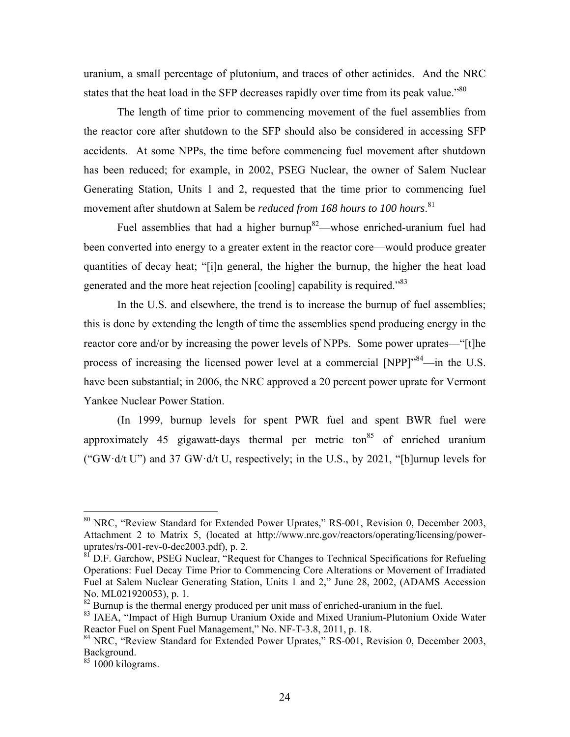uranium, a small percentage of plutonium, and traces of other actinides. And the NRC states that the heat load in the SFP decreases rapidly over time from its peak value."<sup>80</sup>

The length of time prior to commencing movement of the fuel assemblies from the reactor core after shutdown to the SFP should also be considered in accessing SFP accidents. At some NPPs, the time before commencing fuel movement after shutdown has been reduced; for example, in 2002, PSEG Nuclear, the owner of Salem Nuclear Generating Station, Units 1 and 2, requested that the time prior to commencing fuel movement after shutdown at Salem be *reduced from 168 hours to 100 hours*. 81

Fuel assemblies that had a higher burnup<sup>82</sup>—whose enriched-uranium fuel had been converted into energy to a greater extent in the reactor core—would produce greater quantities of decay heat; "[i]n general, the higher the burnup, the higher the heat load generated and the more heat rejection [cooling] capability is required.<sup>83</sup>

In the U.S. and elsewhere, the trend is to increase the burnup of fuel assemblies; this is done by extending the length of time the assemblies spend producing energy in the reactor core and/or by increasing the power levels of NPPs. Some power uprates—"[t]he process of increasing the licensed power level at a commercial [NPP]<sup>"84</sup>—in the U.S. have been substantial; in 2006, the NRC approved a 20 percent power uprate for Vermont Yankee Nuclear Power Station.

(In 1999, burnup levels for spent PWR fuel and spent BWR fuel were approximately 45 gigawatt-days thermal per metric ton<sup>85</sup> of enriched uranium ("GW $\cdot$ d/t U") and 37 GW $\cdot$ d/t U, respectively; in the U.S., by 2021, "[b]urnup levels for

<sup>80</sup> NRC, "Review Standard for Extended Power Uprates," RS-001, Revision 0, December 2003, Attachment 2 to Matrix 5, (located at http://www.nrc.gov/reactors/operating/licensing/poweruprates/rs-001-rev-0-dec2003.pdf), p. 2.

<sup>81</sup> D.F. Garchow, PSEG Nuclear, "Request for Changes to Technical Specifications for Refueling Operations: Fuel Decay Time Prior to Commencing Core Alterations or Movement of Irradiated Fuel at Salem Nuclear Generating Station, Units 1 and 2," June 28, 2002, (ADAMS Accession No. ML021920053), p. 1.

 $82$  Burnup is the thermal energy produced per unit mass of enriched-uranium in the fuel.

<sup>&</sup>lt;sup>83</sup> IAEA, "Impact of High Burnup Uranium Oxide and Mixed Uranium-Plutonium Oxide Water Reactor Fuel on Spent Fuel Management," No. NF-T-3.8, 2011, p. 18.

<sup>&</sup>lt;sup>84</sup> NRC, "Review Standard for Extended Power Uprates," RS-001, Revision 0, December 2003, Background.

 $85$  1000 kilograms.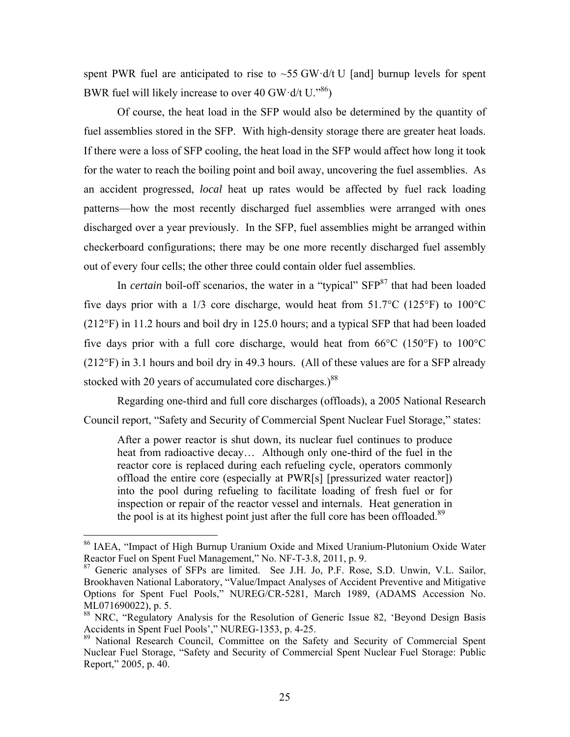spent PWR fuel are anticipated to rise to  $\sim$  55 GW·d/t U [and] burnup levels for spent BWR fuel will likely increase to over 40 GW·d/t  $U$ .<sup>86</sup>)

Of course, the heat load in the SFP would also be determined by the quantity of fuel assemblies stored in the SFP. With high-density storage there are greater heat loads. If there were a loss of SFP cooling, the heat load in the SFP would affect how long it took for the water to reach the boiling point and boil away, uncovering the fuel assemblies. As an accident progressed, *local* heat up rates would be affected by fuel rack loading patterns—how the most recently discharged fuel assemblies were arranged with ones discharged over a year previously. In the SFP, fuel assemblies might be arranged within checkerboard configurations; there may be one more recently discharged fuel assembly out of every four cells; the other three could contain older fuel assemblies.

In *certain* boil-off scenarios, the water in a "typical" SFP<sup>87</sup> that had been loaded five days prior with a 1/3 core discharge, would heat from 51.7°C (125°F) to 100°C (212°F) in 11.2 hours and boil dry in 125.0 hours; and a typical SFP that had been loaded five days prior with a full core discharge, would heat from  $66^{\circ}$ C (150 $^{\circ}$ F) to 100 $^{\circ}$ C (212°F) in 3.1 hours and boil dry in 49.3 hours. (All of these values are for a SFP already stocked with 20 years of accumulated core discharges.) $88$ 

Regarding one-third and full core discharges (offloads), a 2005 National Research Council report, "Safety and Security of Commercial Spent Nuclear Fuel Storage," states:

After a power reactor is shut down, its nuclear fuel continues to produce heat from radioactive decay… Although only one-third of the fuel in the reactor core is replaced during each refueling cycle, operators commonly offload the entire core (especially at PWR[s] [pressurized water reactor]) into the pool during refueling to facilitate loading of fresh fuel or for inspection or repair of the reactor vessel and internals. Heat generation in the pool is at its highest point just after the full core has been offloaded.<sup>89</sup>

<sup>&</sup>lt;sup>86</sup> IAEA, "Impact of High Burnup Uranium Oxide and Mixed Uranium-Plutonium Oxide Water Reactor Fuel on Spent Fuel Management," No. NF-T-3.8, 2011, p. 9.

<sup>&</sup>lt;sup>87</sup> Generic analyses of SFPs are limited. See J.H. Jo, P.F. Rose, S.D. Unwin, V.L. Sailor, Brookhaven National Laboratory, "Value/Impact Analyses of Accident Preventive and Mitigative Options for Spent Fuel Pools," NUREG/CR-5281, March 1989, (ADAMS Accession No. ML071690022), p. 5.

<sup>&</sup>lt;sup>88</sup> NRC, "Regulatory Analysis for the Resolution of Generic Issue 82, 'Beyond Design Basis Accidents in Spent Fuel Pools'," NUREG-1353, p. 4-25.

<sup>&</sup>lt;sup>89</sup> National Research Council, Committee on the Safety and Security of Commercial Spent Nuclear Fuel Storage, "Safety and Security of Commercial Spent Nuclear Fuel Storage: Public Report," 2005, p. 40.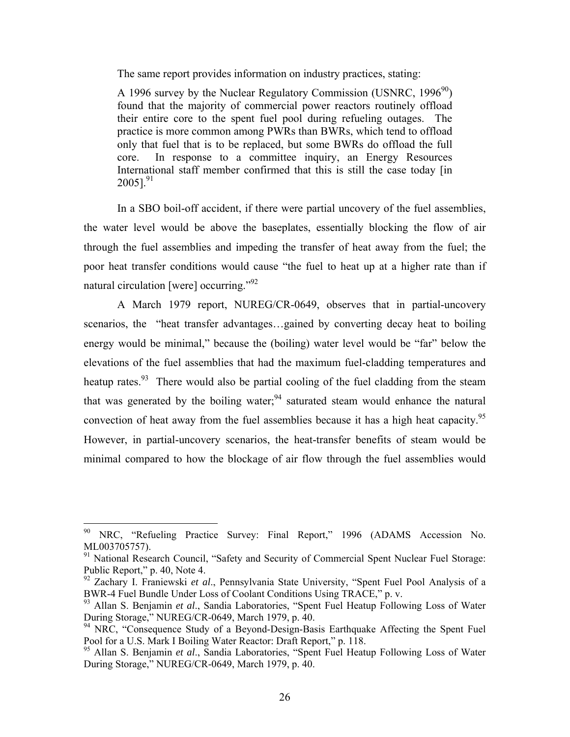The same report provides information on industry practices, stating:

A 1996 survey by the Nuclear Regulatory Commission (USNRC,  $1996^{90}$ ) found that the majority of commercial power reactors routinely offload their entire core to the spent fuel pool during refueling outages. The practice is more common among PWRs than BWRs, which tend to offload only that fuel that is to be replaced, but some BWRs do offload the full core. In response to a committee inquiry, an Energy Resources International staff member confirmed that this is still the case today [in  $2005$ ].<sup>91</sup>

In a SBO boil-off accident, if there were partial uncovery of the fuel assemblies, the water level would be above the baseplates, essentially blocking the flow of air through the fuel assemblies and impeding the transfer of heat away from the fuel; the poor heat transfer conditions would cause "the fuel to heat up at a higher rate than if natural circulation [were] occurring."92

A March 1979 report, NUREG/CR-0649, observes that in partial-uncovery scenarios, the "heat transfer advantages…gained by converting decay heat to boiling energy would be minimal," because the (boiling) water level would be "far" below the elevations of the fuel assemblies that had the maximum fuel-cladding temperatures and heatup rates.<sup>93</sup> There would also be partial cooling of the fuel cladding from the steam that was generated by the boiling water;  $94$  saturated steam would enhance the natural convection of heat away from the fuel assemblies because it has a high heat capacity.<sup>95</sup> However, in partial-uncovery scenarios, the heat-transfer benefits of steam would be minimal compared to how the blockage of air flow through the fuel assemblies would

<sup>90</sup> NRC, "Refueling Practice Survey: Final Report," 1996 (ADAMS Accession No. ML003705757).

<sup>&</sup>lt;sup>91</sup> National Research Council, "Safety and Security of Commercial Spent Nuclear Fuel Storage: Public Report," p. 40, Note 4.

<sup>92</sup> Zachary I. Franiewski *et al*., Pennsylvania State University, "Spent Fuel Pool Analysis of a BWR-4 Fuel Bundle Under Loss of Coolant Conditions Using TRACE," p. v.

<sup>93</sup> Allan S. Benjamin *et al*., Sandia Laboratories, "Spent Fuel Heatup Following Loss of Water During Storage," NUREG/CR-0649, March 1979, p. 40.

<sup>&</sup>lt;sup>94</sup> NRC, "Consequence Study of a Beyond-Design-Basis Earthquake Affecting the Spent Fuel Pool for a U.S. Mark I Boiling Water Reactor: Draft Report," p. 118.

<sup>&</sup>lt;sup>95</sup> Allan S. Benjamin et al., Sandia Laboratories, "Spent Fuel Heatup Following Loss of Water During Storage," NUREG/CR-0649, March 1979, p. 40.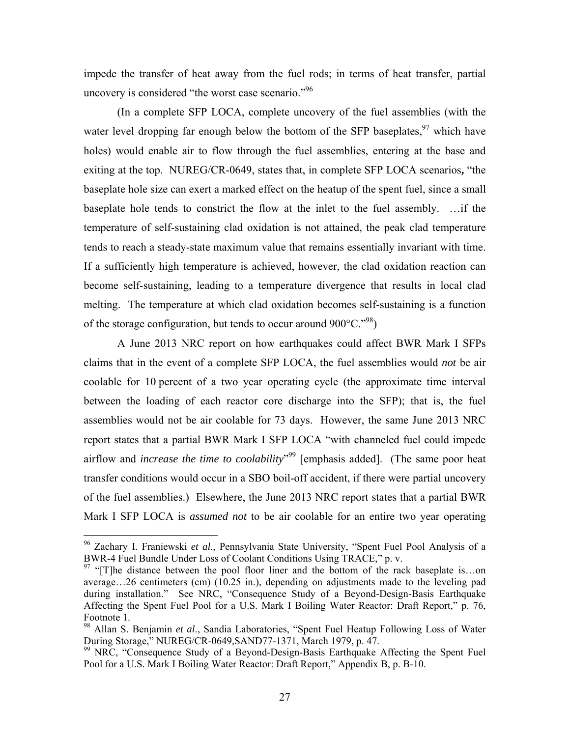impede the transfer of heat away from the fuel rods; in terms of heat transfer, partial uncovery is considered "the worst case scenario."<sup>96</sup>

(In a complete SFP LOCA, complete uncovery of the fuel assemblies (with the water level dropping far enough below the bottom of the SFP baseplates,  $97$  which have holes) would enable air to flow through the fuel assemblies, entering at the base and exiting at the top. NUREG/CR-0649, states that, in complete SFP LOCA scenarios**,** "the baseplate hole size can exert a marked effect on the heatup of the spent fuel, since a small baseplate hole tends to constrict the flow at the inlet to the fuel assembly. …if the temperature of self-sustaining clad oxidation is not attained, the peak clad temperature tends to reach a steady-state maximum value that remains essentially invariant with time. If a sufficiently high temperature is achieved, however, the clad oxidation reaction can become self-sustaining, leading to a temperature divergence that results in local clad melting. The temperature at which clad oxidation becomes self-sustaining is a function of the storage configuration, but tends to occur around  $900^{\circ}$ C.<sup> $98$ </sup>)

A June 2013 NRC report on how earthquakes could affect BWR Mark I SFPs claims that in the event of a complete SFP LOCA, the fuel assemblies would *not* be air coolable for 10 percent of a two year operating cycle (the approximate time interval between the loading of each reactor core discharge into the SFP); that is, the fuel assemblies would not be air coolable for 73 days. However, the same June 2013 NRC report states that a partial BWR Mark I SFP LOCA "with channeled fuel could impede airflow and *increase the time to coolability*" 99 [emphasis added]. (The same poor heat transfer conditions would occur in a SBO boil-off accident, if there were partial uncovery of the fuel assemblies.) Elsewhere, the June 2013 NRC report states that a partial BWR Mark I SFP LOCA is *assumed not* to be air coolable for an entire two year operating

<sup>96</sup> Zachary I. Franiewski *et al*., Pennsylvania State University, "Spent Fuel Pool Analysis of a BWR-4 Fuel Bundle Under Loss of Coolant Conditions Using TRACE," p. v.

 $97$  "[T]he distance between the pool floor liner and the bottom of the rack baseplate is...on average…26 centimeters (cm) (10.25 in.), depending on adjustments made to the leveling pad during installation." See NRC, "Consequence Study of a Beyond-Design-Basis Earthquake Affecting the Spent Fuel Pool for a U.S. Mark I Boiling Water Reactor: Draft Report," p. 76, Footnote 1.

<sup>98</sup> Allan S. Benjamin *et al*., Sandia Laboratories, "Spent Fuel Heatup Following Loss of Water During Storage," NUREG/CR-0649,SAND77-1371, March 1979, p. 47.

<sup>&</sup>lt;sup>99</sup> NRC, "Consequence Study of a Beyond-Design-Basis Earthquake Affecting the Spent Fuel Pool for a U.S. Mark I Boiling Water Reactor: Draft Report," Appendix B, p. B-10.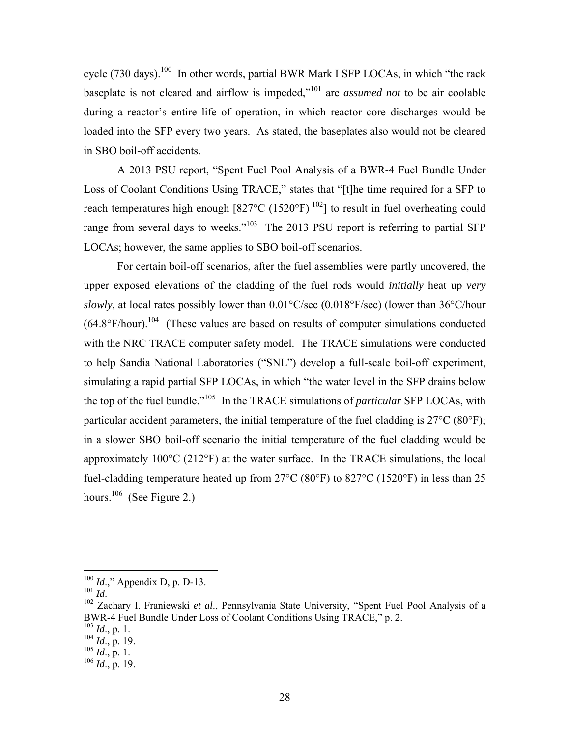cycle (730 days).<sup>100</sup> In other words, partial BWR Mark I SFP LOCAs, in which "the rack baseplate is not cleared and airflow is impeded,"101 are *assumed not* to be air coolable during a reactor's entire life of operation, in which reactor core discharges would be loaded into the SFP every two years. As stated, the baseplates also would not be cleared in SBO boil-off accidents.

A 2013 PSU report, "Spent Fuel Pool Analysis of a BWR-4 Fuel Bundle Under Loss of Coolant Conditions Using TRACE," states that "[t]he time required for a SFP to reach temperatures high enough  $[827^{\circ}\text{C} (1520^{\circ}\text{F})^{102}]$  to result in fuel overheating could range from several days to weeks."<sup>103</sup> The 2013 PSU report is referring to partial SFP LOCAs; however, the same applies to SBO boil-off scenarios.

For certain boil-off scenarios, after the fuel assemblies were partly uncovered, the upper exposed elevations of the cladding of the fuel rods would *initially* heat up *very slowly*, at local rates possibly lower than  $0.01^{\circ}$ C/sec  $(0.018^{\circ}$ F/sec) (lower than 36<sup>o</sup>C/hour  $(64.8^{\circ}F/hour).$ <sup>104</sup> (These values are based on results of computer simulations conducted with the NRC TRACE computer safety model. The TRACE simulations were conducted to help Sandia National Laboratories ("SNL") develop a full-scale boil-off experiment, simulating a rapid partial SFP LOCAs, in which "the water level in the SFP drains below the top of the fuel bundle."105 In the TRACE simulations of *particular* SFP LOCAs, with particular accident parameters, the initial temperature of the fuel cladding is 27°C (80°F); in a slower SBO boil-off scenario the initial temperature of the fuel cladding would be approximately 100°C (212°F) at the water surface. In the TRACE simulations, the local fuel-cladding temperature heated up from 27°C (80°F) to 827°C (1520°F) in less than 25 hours.<sup>106</sup> (See Figure 2.)

<sup>100</sup> *Id*.," Appendix D, p. D-13.

<sup>101</sup> *Id.*<br><sup>101</sup> *Id.*<br><sup>102</sup> Zachary I. Franiewski *et al.*, Pennsylvania State University, "Spent Fuel Pool Analysis of a BWR-4 Fuel Bundle Under Loss of Coolant Conditions Using TRACE," p. 2. <sup>103</sup> *Id*., p. 1.

 $^{104}$   $^{104}$ , p. 19.

 $^{105}$  *Id.*, p. 1.

 $^{106}$   $\dddot{Id}$ ., p. 19.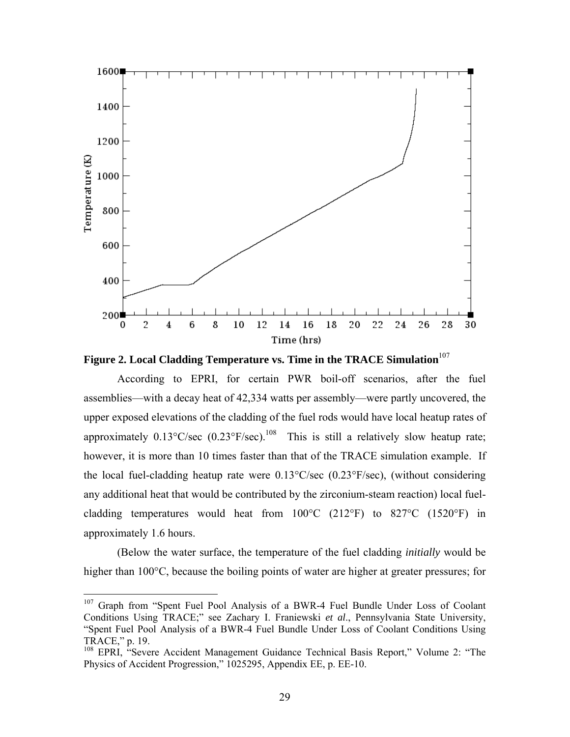

Figure 2. Local Cladding Temperature vs. Time in the TRACE Simulation<sup>107</sup>

According to EPRI, for certain PWR boil-off scenarios, after the fuel assemblies—with a decay heat of 42,334 watts per assembly—were partly uncovered, the upper exposed elevations of the cladding of the fuel rods would have local heatup rates of approximately  $0.13^{\circ}$ C/sec  $(0.23^{\circ}$ F/sec).<sup>108</sup> This is still a relatively slow heatup rate; however, it is more than 10 times faster than that of the TRACE simulation example. If the local fuel-cladding heatup rate were 0.13°C/sec (0.23°F/sec), (without considering any additional heat that would be contributed by the zirconium-steam reaction) local fuelcladding temperatures would heat from  $100^{\circ}$ C (212°F) to 827°C (1520°F) in approximately 1.6 hours.

(Below the water surface, the temperature of the fuel cladding *initially* would be higher than 100<sup>o</sup>C, because the boiling points of water are higher at greater pressures; for

<sup>&</sup>lt;sup>107</sup> Graph from "Spent Fuel Pool Analysis of a BWR-4 Fuel Bundle Under Loss of Coolant Conditions Using TRACE;" see Zachary I. Franiewski *et al*., Pennsylvania State University, "Spent Fuel Pool Analysis of a BWR-4 Fuel Bundle Under Loss of Coolant Conditions Using TRACE," p. 19.

<sup>&</sup>lt;sup>108</sup> EPRI, "Severe Accident Management Guidance Technical Basis Report," Volume 2: "The Physics of Accident Progression," 1025295, Appendix EE, p. EE-10.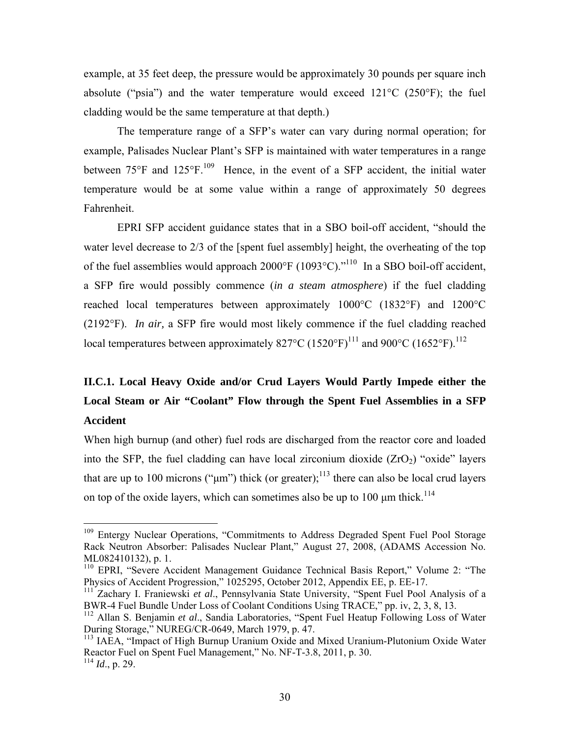example, at 35 feet deep, the pressure would be approximately 30 pounds per square inch absolute ("psia") and the water temperature would exceed  $121^{\circ}$ C (250 $^{\circ}$ F); the fuel cladding would be the same temperature at that depth.)

The temperature range of a SFP's water can vary during normal operation; for example, Palisades Nuclear Plant's SFP is maintained with water temperatures in a range between  $75^{\circ}$ F and  $125^{\circ}$ F.<sup>109</sup> Hence, in the event of a SFP accident, the initial water temperature would be at some value within a range of approximately 50 degrees Fahrenheit.

EPRI SFP accident guidance states that in a SBO boil-off accident, "should the water level decrease to 2/3 of the [spent fuel assembly] height, the overheating of the top of the fuel assemblies would approach 2000°F (1093°C)."110 In a SBO boil-off accident, a SFP fire would possibly commence (*in a steam atmosphere*) if the fuel cladding reached local temperatures between approximately 1000°C (1832°F) and 1200°C (2192°F). *In air,* a SFP fire would most likely commence if the fuel cladding reached local temperatures between approximately 827°C (1520°F)<sup>111</sup> and 900°C (1652°F).<sup>112</sup>

# **II.C.1. Local Heavy Oxide and/or Crud Layers Would Partly Impede either the Local Steam or Air "Coolant" Flow through the Spent Fuel Assemblies in a SFP Accident**

When high burnup (and other) fuel rods are discharged from the reactor core and loaded into the SFP, the fuel cladding can have local zirconium dioxide  $(ZrO<sub>2</sub>)$  "oxide" layers that are up to 100 microns (" $\mu$ m") thick (or greater);<sup>113</sup> there can also be local crud layers on top of the oxide layers, which can sometimes also be up to  $100 \mu m$  thick.<sup>114</sup>

<sup>&</sup>lt;sup>109</sup> Entergy Nuclear Operations, "Commitments to Address Degraded Spent Fuel Pool Storage Rack Neutron Absorber: Palisades Nuclear Plant," August 27, 2008, (ADAMS Accession No. ML082410132), p. 1.

<sup>&</sup>lt;sup>110</sup> EPRI, "Severe Accident Management Guidance Technical Basis Report," Volume 2: "The Physics of Accident Progression," 1025295, October 2012, Appendix EE, p. EE-17.

<sup>111</sup> Zachary I. Franiewski *et al*., Pennsylvania State University, "Spent Fuel Pool Analysis of a BWR-4 Fuel Bundle Under Loss of Coolant Conditions Using TRACE," pp. iv, 2, 3, 8, 13.

<sup>112</sup> Allan S. Benjamin *et al*., Sandia Laboratories, "Spent Fuel Heatup Following Loss of Water During Storage," NUREG/CR-0649, March 1979, p. 47.

<sup>&</sup>lt;sup>113</sup> IAEA, "Impact of High Burnup Uranium Oxide and Mixed Uranium-Plutonium Oxide Water Reactor Fuel on Spent Fuel Management," No. NF-T-3.8, 2011, p. 30. <sup>114</sup> *Id*., p. 29.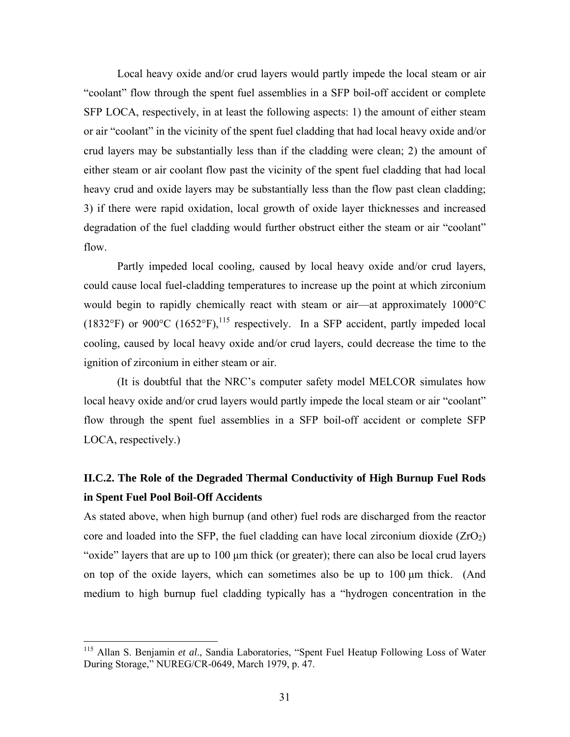Local heavy oxide and/or crud layers would partly impede the local steam or air "coolant" flow through the spent fuel assemblies in a SFP boil-off accident or complete SFP LOCA, respectively, in at least the following aspects: 1) the amount of either steam or air "coolant" in the vicinity of the spent fuel cladding that had local heavy oxide and/or crud layers may be substantially less than if the cladding were clean; 2) the amount of either steam or air coolant flow past the vicinity of the spent fuel cladding that had local heavy crud and oxide layers may be substantially less than the flow past clean cladding; 3) if there were rapid oxidation, local growth of oxide layer thicknesses and increased degradation of the fuel cladding would further obstruct either the steam or air "coolant" flow.

Partly impeded local cooling, caused by local heavy oxide and/or crud layers, could cause local fuel-cladding temperatures to increase up the point at which zirconium would begin to rapidly chemically react with steam or air—at approximately 1000°C (1832°F) or 900°C (1652°F), <sup>115</sup> respectively. In a SFP accident, partly impeded local cooling, caused by local heavy oxide and/or crud layers, could decrease the time to the ignition of zirconium in either steam or air.

(It is doubtful that the NRC's computer safety model MELCOR simulates how local heavy oxide and/or crud layers would partly impede the local steam or air "coolant" flow through the spent fuel assemblies in a SFP boil-off accident or complete SFP LOCA, respectively.)

## **II.C.2. The Role of the Degraded Thermal Conductivity of High Burnup Fuel Rods in Spent Fuel Pool Boil-Off Accidents**

As stated above, when high burnup (and other) fuel rods are discharged from the reactor core and loaded into the SFP, the fuel cladding can have local zirconium dioxide  $(ZrO<sub>2</sub>)$ "oxide" layers that are up to 100 μm thick (or greater); there can also be local crud layers on top of the oxide layers, which can sometimes also be up to 100 μm thick. (And medium to high burnup fuel cladding typically has a "hydrogen concentration in the

1

<sup>115</sup> Allan S. Benjamin *et al*., Sandia Laboratories, "Spent Fuel Heatup Following Loss of Water During Storage," NUREG/CR-0649, March 1979, p. 47.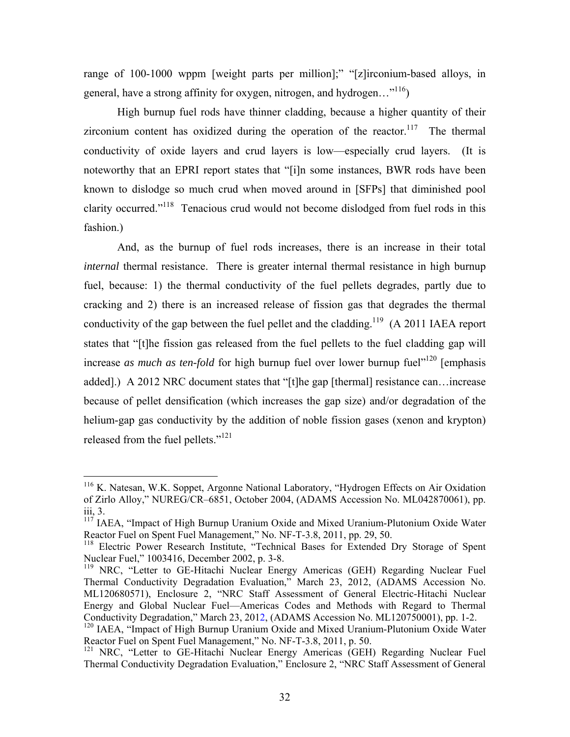range of 100-1000 wppm [weight parts per million];" "[z]irconium-based alloys, in general, have a strong affinity for oxygen, nitrogen, and hydrogen... $^{116}$ )

High burnup fuel rods have thinner cladding, because a higher quantity of their zirconium content has oxidized during the operation of the reactor.<sup>117</sup> The thermal conductivity of oxide layers and crud layers is low—especially crud layers. (It is noteworthy that an EPRI report states that "[i]n some instances, BWR rods have been known to dislodge so much crud when moved around in [SFPs] that diminished pool clarity occurred."118 Tenacious crud would not become dislodged from fuel rods in this fashion.)

And, as the burnup of fuel rods increases, there is an increase in their total *internal* thermal resistance. There is greater internal thermal resistance in high burnup fuel, because: 1) the thermal conductivity of the fuel pellets degrades, partly due to cracking and 2) there is an increased release of fission gas that degrades the thermal conductivity of the gap between the fuel pellet and the cladding.<sup>119</sup>  $(A 2011$  IAEA report states that "[t]he fission gas released from the fuel pellets to the fuel cladding gap will increase *as much as ten-fold* for high burnup fuel over lower burnup fuel<sup>"120</sup> [emphasis] added].) A 2012 NRC document states that "[t]he gap [thermal] resistance can…increase because of pellet densification (which increases the gap size) and/or degradation of the helium-gap gas conductivity by the addition of noble fission gases (xenon and krypton) released from the fuel pellets."121

<sup>&</sup>lt;sup>116</sup> K. Natesan, W.K. Soppet, Argonne National Laboratory, "Hydrogen Effects on Air Oxidation of Zirlo Alloy," NUREG/CR–6851, October 2004, (ADAMS Accession No. ML042870061), pp. iii, 3.

 $117$  IAEA, "Impact of High Burnup Uranium Oxide and Mixed Uranium-Plutonium Oxide Water Reactor Fuel on Spent Fuel Management," No. NF-T-3.8, 2011, pp. 29, 50.

<sup>&</sup>lt;sup>118</sup> Electric Power Research Institute, "Technical Bases for Extended Dry Storage of Spent Nuclear Fuel," 1003416, December 2002, p. 3-8.

<sup>&</sup>lt;sup>119</sup> NRC, "Letter to GE-Hitachi Nuclear Energy Americas (GEH) Regarding Nuclear Fuel Thermal Conductivity Degradation Evaluation," March 23, 2012, (ADAMS Accession No. ML120680571), Enclosure 2, "NRC Staff Assessment of General Electric-Hitachi Nuclear Energy and Global Nuclear Fuel—Americas Codes and Methods with Regard to Thermal Conductivity Degradation," March 23, 2012, (ADAMS Accession No. ML120750001), pp. 1-2.

<sup>&</sup>lt;sup>120</sup> IAEA, "Impact of High Burnup Uranium Oxide and Mixed Uranium-Plutonium Oxide Water Reactor Fuel on Spent Fuel Management," No. NF-T-3.8, 2011, p. 50.

<sup>&</sup>lt;sup>121</sup> NRC, "Letter to GE-Hitachi Nuclear Energy Americas (GEH) Regarding Nuclear Fuel Thermal Conductivity Degradation Evaluation," Enclosure 2, "NRC Staff Assessment of General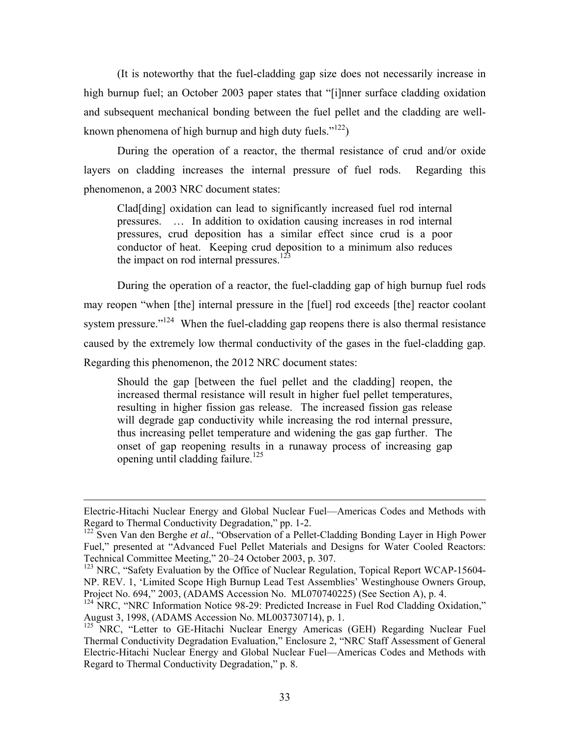(It is noteworthy that the fuel-cladding gap size does not necessarily increase in high burnup fuel; an October 2003 paper states that "[i]nner surface cladding oxidation and subsequent mechanical bonding between the fuel pellet and the cladding are wellknown phenomena of high burnup and high duty fuels." $122$ )

During the operation of a reactor, the thermal resistance of crud and/or oxide layers on cladding increases the internal pressure of fuel rods. Regarding this phenomenon, a 2003 NRC document states:

Clad[ding] oxidation can lead to significantly increased fuel rod internal pressures. … In addition to oxidation causing increases in rod internal pressures, crud deposition has a similar effect since crud is a poor conductor of heat. Keeping crud deposition to a minimum also reduces the impact on rod internal pressures.<sup>123</sup>

During the operation of a reactor, the fuel-cladding gap of high burnup fuel rods may reopen "when [the] internal pressure in the [fuel] rod exceeds [the] reactor coolant system pressure."<sup>124</sup> When the fuel-cladding gap reopens there is also thermal resistance caused by the extremely low thermal conductivity of the gases in the fuel-cladding gap. Regarding this phenomenon, the 2012 NRC document states:

Should the gap [between the fuel pellet and the cladding] reopen, the increased thermal resistance will result in higher fuel pellet temperatures, resulting in higher fission gas release. The increased fission gas release will degrade gap conductivity while increasing the rod internal pressure, thus increasing pellet temperature and widening the gas gap further. The onset of gap reopening results in a runaway process of increasing gap opening until cladding failure.<sup>125</sup>

1

Electric-Hitachi Nuclear Energy and Global Nuclear Fuel—Americas Codes and Methods with Regard to Thermal Conductivity Degradation," pp. 1-2.

<sup>122</sup> Sven Van den Berghe *et al*., "Observation of a Pellet-Cladding Bonding Layer in High Power Fuel," presented at "Advanced Fuel Pellet Materials and Designs for Water Cooled Reactors: Technical Committee Meeting," 20–24 October 2003, p. 307.

<sup>&</sup>lt;sup>123</sup> NRC, "Safety Evaluation by the Office of Nuclear Regulation, Topical Report WCAP-15604-NP. REV. 1, 'Limited Scope High Burnup Lead Test Assemblies' Westinghouse Owners Group, Project No. 694," 2003, (ADAMS Accession No. ML070740225) (See Section A), p. 4.

<sup>&</sup>lt;sup>124</sup> NRC, "NRC Information Notice 98-29: Predicted Increase in Fuel Rod Cladding Oxidation," August 3, 1998, (ADAMS Accession No. ML003730714), p. 1.

<sup>&</sup>lt;sup>125</sup> NRC, "Letter to GE-Hitachi Nuclear Energy Americas (GEH) Regarding Nuclear Fuel Thermal Conductivity Degradation Evaluation," Enclosure 2, "NRC Staff Assessment of General Electric-Hitachi Nuclear Energy and Global Nuclear Fuel—Americas Codes and Methods with Regard to Thermal Conductivity Degradation," p. 8.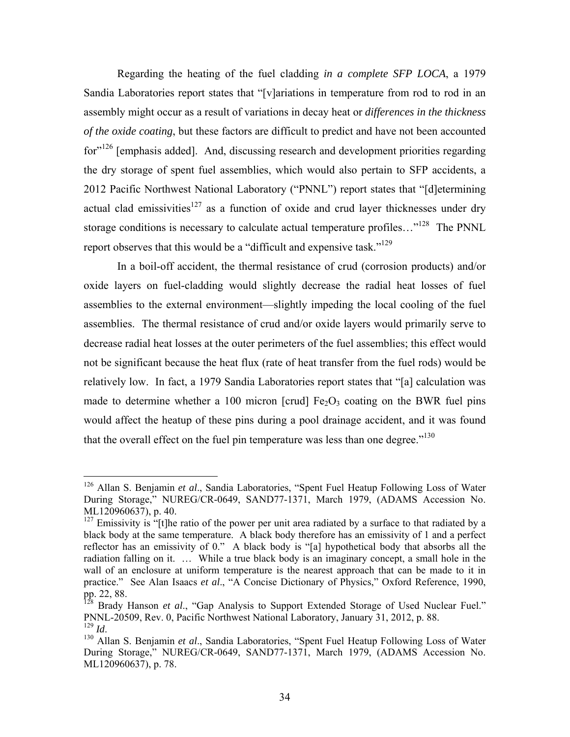Regarding the heating of the fuel cladding *in a complete SFP LOCA*, a 1979 Sandia Laboratories report states that "[v]ariations in temperature from rod to rod in an assembly might occur as a result of variations in decay heat or *differences in the thickness of the oxide coating*, but these factors are difficult to predict and have not been accounted for<sup>"126</sup> [emphasis added]. And, discussing research and development priorities regarding the dry storage of spent fuel assemblies, which would also pertain to SFP accidents, a 2012 Pacific Northwest National Laboratory ("PNNL") report states that "[d]etermining actual clad emissivities<sup>127</sup> as a function of oxide and crud layer thicknesses under dry storage conditions is necessary to calculate actual temperature profiles..."<sup>128</sup> The PNNL report observes that this would be a "difficult and expensive task."<sup>129</sup>

In a boil-off accident, the thermal resistance of crud (corrosion products) and/or oxide layers on fuel-cladding would slightly decrease the radial heat losses of fuel assemblies to the external environment—slightly impeding the local cooling of the fuel assemblies. The thermal resistance of crud and/or oxide layers would primarily serve to decrease radial heat losses at the outer perimeters of the fuel assemblies; this effect would not be significant because the heat flux (rate of heat transfer from the fuel rods) would be relatively low. In fact, a 1979 Sandia Laboratories report states that "[a] calculation was made to determine whether a 100 micron [crud]  $Fe<sub>2</sub>O<sub>3</sub>$  coating on the BWR fuel pins would affect the heatup of these pins during a pool drainage accident, and it was found that the overall effect on the fuel pin temperature was less than one degree." $130$ 

<sup>126</sup> Allan S. Benjamin *et al*., Sandia Laboratories, "Spent Fuel Heatup Following Loss of Water During Storage," NUREG/CR-0649, SAND77-1371, March 1979, (ADAMS Accession No. ML120960637), p. 40.

 $127$  Emissivity is "[t]he ratio of the power per unit area radiated by a surface to that radiated by a black body at the same temperature. A black body therefore has an emissivity of 1 and a perfect reflector has an emissivity of 0." A black body is "[a] hypothetical body that absorbs all the radiation falling on it. … While a true black body is an imaginary concept, a small hole in the wall of an enclosure at uniform temperature is the nearest approach that can be made to it in practice." See Alan Isaacs *et al*., "A Concise Dictionary of Physics," Oxford Reference, 1990, pp. 22, 88.

<sup>&</sup>lt;sup>128</sup> Brady Hanson *et al.*, "Gap Analysis to Support Extended Storage of Used Nuclear Fuel." PNNL-20509, Rev. 0, Pacific Northwest National Laboratory, January 31, 2012, p. 88.

<sup>&</sup>lt;sup>130</sup> Allan S. Benjamin et al., Sandia Laboratories, "Spent Fuel Heatup Following Loss of Water During Storage," NUREG/CR-0649, SAND77-1371, March 1979, (ADAMS Accession No. ML120960637), p. 78.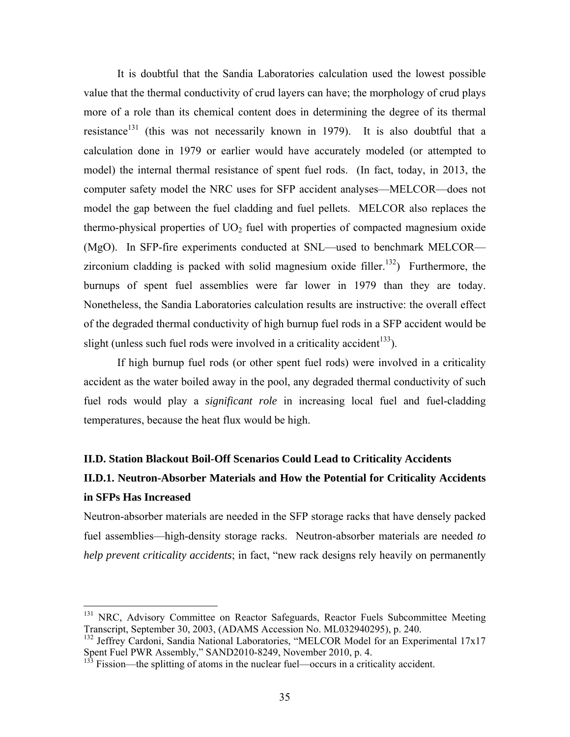It is doubtful that the Sandia Laboratories calculation used the lowest possible value that the thermal conductivity of crud layers can have; the morphology of crud plays more of a role than its chemical content does in determining the degree of its thermal resistance<sup>131</sup> (this was not necessarily known in 1979). It is also doubtful that a calculation done in 1979 or earlier would have accurately modeled (or attempted to model) the internal thermal resistance of spent fuel rods. (In fact, today, in 2013, the computer safety model the NRC uses for SFP accident analyses—MELCOR—does not model the gap between the fuel cladding and fuel pellets. MELCOR also replaces the thermo-physical properties of  $UO<sub>2</sub>$  fuel with properties of compacted magnesium oxide (MgO). In SFP-fire experiments conducted at SNL—used to benchmark MELCOR zirconium cladding is packed with solid magnesium oxide filler.<sup>132</sup>) Furthermore, the burnups of spent fuel assemblies were far lower in 1979 than they are today. Nonetheless, the Sandia Laboratories calculation results are instructive: the overall effect of the degraded thermal conductivity of high burnup fuel rods in a SFP accident would be slight (unless such fuel rods were involved in a criticality accident<sup>133</sup>).

If high burnup fuel rods (or other spent fuel rods) were involved in a criticality accident as the water boiled away in the pool, any degraded thermal conductivity of such fuel rods would play a *significant role* in increasing local fuel and fuel-cladding temperatures, because the heat flux would be high.

### **II.D. Station Blackout Boil-Off Scenarios Could Lead to Criticality Accidents**

## **II.D.1. Neutron-Absorber Materials and How the Potential for Criticality Accidents in SFPs Has Increased**

Neutron-absorber materials are needed in the SFP storage racks that have densely packed fuel assemblies—high-density storage racks. Neutron-absorber materials are needed *to help prevent criticality accidents*; in fact, "new rack designs rely heavily on permanently

<sup>&</sup>lt;sup>131</sup> NRC, Advisory Committee on Reactor Safeguards, Reactor Fuels Subcommittee Meeting Transcript, September 30, 2003, (ADAMS Accession No. ML032940295), p. 240.

<sup>&</sup>lt;sup>132</sup> Jeffrey Cardoni, Sandia National Laboratories, "MELCOR Model for an Experimental 17x17 Spent Fuel PWR Assembly," SAND2010-8249, November 2010, p. 4.

<sup>133</sup> Fission—the splitting of atoms in the nuclear fuel—occurs in a criticality accident.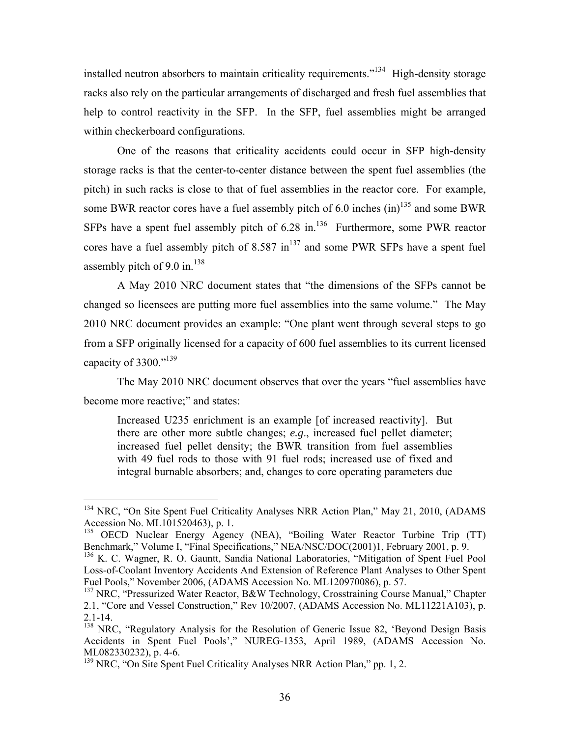installed neutron absorbers to maintain criticality requirements."<sup>134</sup> High-density storage racks also rely on the particular arrangements of discharged and fresh fuel assemblies that help to control reactivity in the SFP. In the SFP, fuel assemblies might be arranged within checkerboard configurations.

One of the reasons that criticality accidents could occur in SFP high-density storage racks is that the center-to-center distance between the spent fuel assemblies (the pitch) in such racks is close to that of fuel assemblies in the reactor core. For example, some BWR reactor cores have a fuel assembly pitch of 6.0 inches  $(in)^{135}$  and some BWR SFPs have a spent fuel assembly pitch of  $6.28$  in.<sup>136</sup> Furthermore, some PWR reactor cores have a fuel assembly pitch of  $8.587 \text{ in}^{137}$  and some PWR SFPs have a spent fuel assembly pitch of 9.0 in. $138$ 

A May 2010 NRC document states that "the dimensions of the SFPs cannot be changed so licensees are putting more fuel assemblies into the same volume." The May 2010 NRC document provides an example: "One plant went through several steps to go from a SFP originally licensed for a capacity of 600 fuel assemblies to its current licensed capacity of 3300."<sup>139</sup>

The May 2010 NRC document observes that over the years "fuel assemblies have become more reactive;" and states:

Increased U235 enrichment is an example [of increased reactivity]. But there are other more subtle changes; *e.g*., increased fuel pellet diameter; increased fuel pellet density; the BWR transition from fuel assemblies with 49 fuel rods to those with 91 fuel rods; increased use of fixed and integral burnable absorbers; and, changes to core operating parameters due

<sup>&</sup>lt;sup>134</sup> NRC, "On Site Spent Fuel Criticality Analyses NRR Action Plan," May 21, 2010, (ADAMS Accession No. ML101520463), p. 1.

<sup>&</sup>lt;sup>135</sup> OECD Nuclear Energy Agency (NEA), "Boiling Water Reactor Turbine Trip (TT) Benchmark," Volume I, "Final Specifications," NEA/NSC/DOC(2001)1, February 2001, p. 9.

<sup>&</sup>lt;sup>136</sup> K. C. Wagner, R. O. Gauntt, Sandia National Laboratories, "Mitigation of Spent Fuel Pool Loss-of-Coolant Inventory Accidents And Extension of Reference Plant Analyses to Other Spent Fuel Pools," November 2006, (ADAMS Accession No. ML120970086), p. 57.

<sup>&</sup>lt;sup>137</sup> NRC, "Pressurized Water Reactor, B&W Technology, Crosstraining Course Manual," Chapter 2.1, "Core and Vessel Construction," Rev 10/2007, (ADAMS Accession No. ML11221A103), p. 2.1-14.

<sup>&</sup>lt;sup>138</sup> NRC, "Regulatory Analysis for the Resolution of Generic Issue 82, 'Beyond Design Basis Accidents in Spent Fuel Pools'," NUREG-1353, April 1989, (ADAMS Accession No. ML082330232), p. 4-6.

<sup>&</sup>lt;sup>139</sup> NRC, "On Site Spent Fuel Criticality Analyses NRR Action Plan," pp. 1, 2.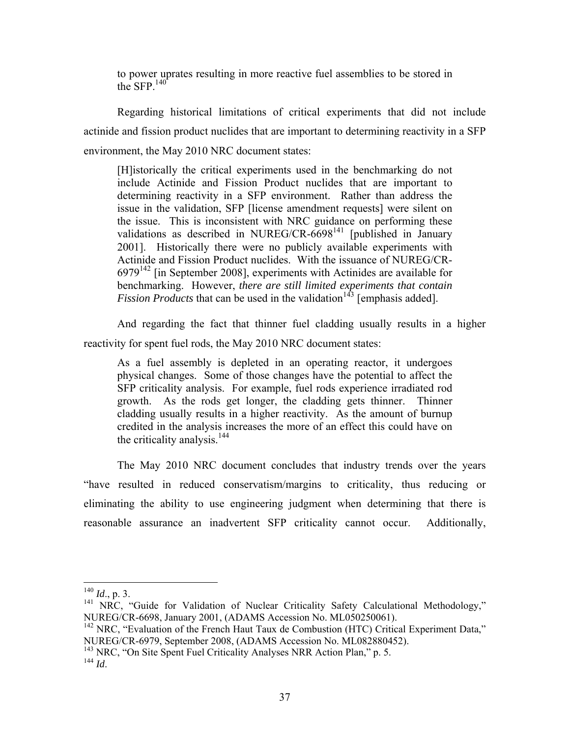to power uprates resulting in more reactive fuel assemblies to be stored in the SFP $140$ 

Regarding historical limitations of critical experiments that did not include actinide and fission product nuclides that are important to determining reactivity in a SFP environment, the May 2010 NRC document states:

[H]istorically the critical experiments used in the benchmarking do not include Actinide and Fission Product nuclides that are important to determining reactivity in a SFP environment. Rather than address the issue in the validation, SFP [license amendment requests] were silent on the issue. This is inconsistent with NRC guidance on performing these validations as described in NUREG/CR- $6698<sup>141</sup>$  [published in January 2001]. Historically there were no publicly available experiments with Actinide and Fission Product nuclides. With the issuance of NUREG/CR- $6979<sup>142</sup>$  [in September 2008], experiments with Actinides are available for benchmarking. However, *there are still limited experiments that contain Fission Products* that can be used in the validation<sup>143</sup> [emphasis added].

And regarding the fact that thinner fuel cladding usually results in a higher reactivity for spent fuel rods, the May 2010 NRC document states:

As a fuel assembly is depleted in an operating reactor, it undergoes physical changes. Some of those changes have the potential to affect the SFP criticality analysis. For example, fuel rods experience irradiated rod growth. As the rods get longer, the cladding gets thinner. Thinner cladding usually results in a higher reactivity. As the amount of burnup credited in the analysis increases the more of an effect this could have on the criticality analysis. $144$ 

The May 2010 NRC document concludes that industry trends over the years "have resulted in reduced conservatism/margins to criticality, thus reducing or eliminating the ability to use engineering judgment when determining that there is reasonable assurance an inadvertent SFP criticality cannot occur. Additionally,

 $^{140}$  *Id.*, p. 3.

<sup>&</sup>lt;sup>141</sup> NRC, "Guide for Validation of Nuclear Criticality Safety Calculational Methodology," NUREG/CR-6698, January 2001, (ADAMS Accession No. ML050250061).

 $142$  NRC, "Evaluation of the French Haut Taux de Combustion (HTC) Critical Experiment Data," NUREG/CR-6979, September 2008, (ADAMS Accession No. ML082880452).

<sup>&</sup>lt;sup>143</sup> NRC, "On Site Spent Fuel Criticality Analyses NRR Action Plan," p. 5.

 $^{144}$  *Id.*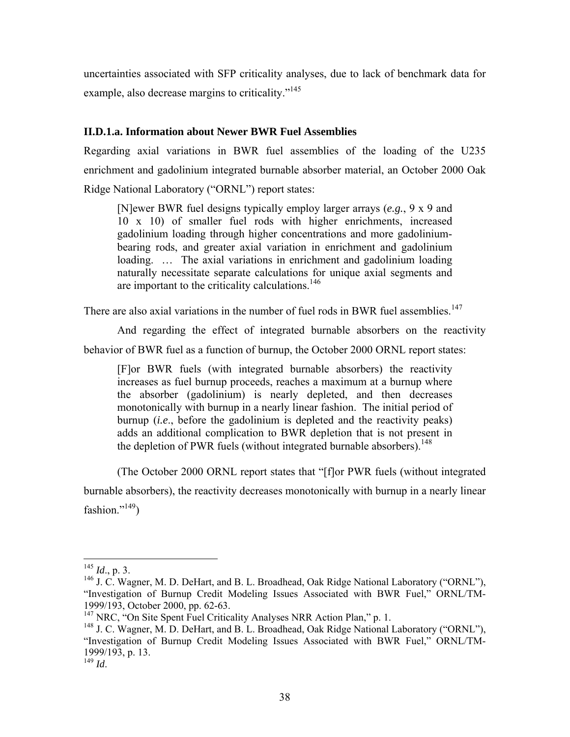uncertainties associated with SFP criticality analyses, due to lack of benchmark data for example, also decrease margins to criticality."<sup>145</sup>

#### **II.D.1.a. Information about Newer BWR Fuel Assemblies**

Regarding axial variations in BWR fuel assemblies of the loading of the U235 enrichment and gadolinium integrated burnable absorber material, an October 2000 Oak Ridge National Laboratory ("ORNL") report states:

[N]ewer BWR fuel designs typically employ larger arrays (*e.g.*, 9 x 9 and 10 x 10) of smaller fuel rods with higher enrichments, increased gadolinium loading through higher concentrations and more gadoliniumbearing rods, and greater axial variation in enrichment and gadolinium loading. … The axial variations in enrichment and gadolinium loading naturally necessitate separate calculations for unique axial segments and are important to the criticality calculations.<sup>146</sup>

There are also axial variations in the number of fuel rods in BWR fuel assemblies.<sup>147</sup>

And regarding the effect of integrated burnable absorbers on the reactivity behavior of BWR fuel as a function of burnup, the October 2000 ORNL report states:

[F]or BWR fuels (with integrated burnable absorbers) the reactivity increases as fuel burnup proceeds, reaches a maximum at a burnup where the absorber (gadolinium) is nearly depleted, and then decreases monotonically with burnup in a nearly linear fashion. The initial period of burnup (*i.e*., before the gadolinium is depleted and the reactivity peaks) adds an additional complication to BWR depletion that is not present in the depletion of PWR fuels (without integrated burnable absorbers).<sup>148</sup>

(The October 2000 ORNL report states that "[f]or PWR fuels (without integrated

burnable absorbers), the reactivity decreases monotonically with burnup in a nearly linear fashion." $^{149}$ )

<sup>145</sup> *Id*., p. 3.

<sup>&</sup>lt;sup>146</sup> J. C. Wagner, M. D. DeHart, and B. L. Broadhead, Oak Ridge National Laboratory ("ORNL"), "Investigation of Burnup Credit Modeling Issues Associated with BWR Fuel," ORNL/TM-1999/193, October 2000, pp. 62-63.

<sup>&</sup>lt;sup>147</sup> NRC, "On Site Spent Fuel Criticality Analyses NRR Action Plan," p. 1.

<sup>&</sup>lt;sup>148</sup> J. C. Wagner, M. D. DeHart, and B. L. Broadhead, Oak Ridge National Laboratory ("ORNL"), "Investigation of Burnup Credit Modeling Issues Associated with BWR Fuel," ORNL/TM-1999/193, p. 13.

<sup>149</sup> *Id*.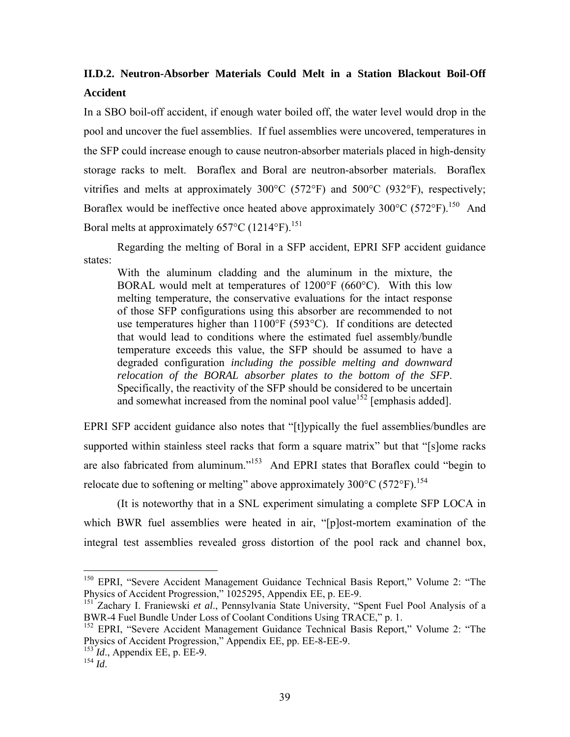## **II.D.2. Neutron-Absorber Materials Could Melt in a Station Blackout Boil-Off Accident**

In a SBO boil-off accident, if enough water boiled off, the water level would drop in the pool and uncover the fuel assemblies. If fuel assemblies were uncovered, temperatures in the SFP could increase enough to cause neutron-absorber materials placed in high-density storage racks to melt. Boraflex and Boral are neutron-absorber materials. Boraflex vitrifies and melts at approximately 300°C (572°F) and 500°C (932°F), respectively; Boraflex would be ineffective once heated above approximately  $300^{\circ}$ C (572 $^{\circ}$ F).<sup>150</sup> And Boral melts at approximately  $657^{\circ}$ C (1214 $^{\circ}$ F).<sup>151</sup>

Regarding the melting of Boral in a SFP accident, EPRI SFP accident guidance states:

With the aluminum cladding and the aluminum in the mixture, the BORAL would melt at temperatures of 1200°F (660°C). With this low melting temperature, the conservative evaluations for the intact response of those SFP configurations using this absorber are recommended to not use temperatures higher than 1100°F (593°C). If conditions are detected that would lead to conditions where the estimated fuel assembly/bundle temperature exceeds this value, the SFP should be assumed to have a degraded configuration *including the possible melting and downward relocation of the BORAL absorber plates to the bottom of the SFP*. Specifically, the reactivity of the SFP should be considered to be uncertain and somewhat increased from the nominal pool value<sup>152</sup> [emphasis added].

EPRI SFP accident guidance also notes that "[t]ypically the fuel assemblies/bundles are supported within stainless steel racks that form a square matrix" but that "[s]ome racks are also fabricated from aluminum."153 And EPRI states that Boraflex could "begin to relocate due to softening or melting" above approximately  $300^{\circ}$ C (572 $^{\circ}$ F).<sup>154</sup>

(It is noteworthy that in a SNL experiment simulating a complete SFP LOCA in which BWR fuel assemblies were heated in air, "[p]ost-mortem examination of the integral test assemblies revealed gross distortion of the pool rack and channel box,

<sup>&</sup>lt;sup>150</sup> EPRI, "Severe Accident Management Guidance Technical Basis Report," Volume 2: "The Physics of Accident Progression," 1025295, Appendix EE, p. EE-9.

<sup>151</sup> Zachary I. Franiewski *et al*., Pennsylvania State University, "Spent Fuel Pool Analysis of a BWR-4 Fuel Bundle Under Loss of Coolant Conditions Using TRACE," p. 1.

<sup>&</sup>lt;sup>152</sup> EPRI, "Severe Accident Management Guidance Technical Basis Report," Volume 2: "The Physics of Accident Progression," Appendix EE, pp. EE-8-EE-9.

<sup>153</sup> *Id*., Appendix EE, p. EE-9.

<sup>154</sup> *Id*.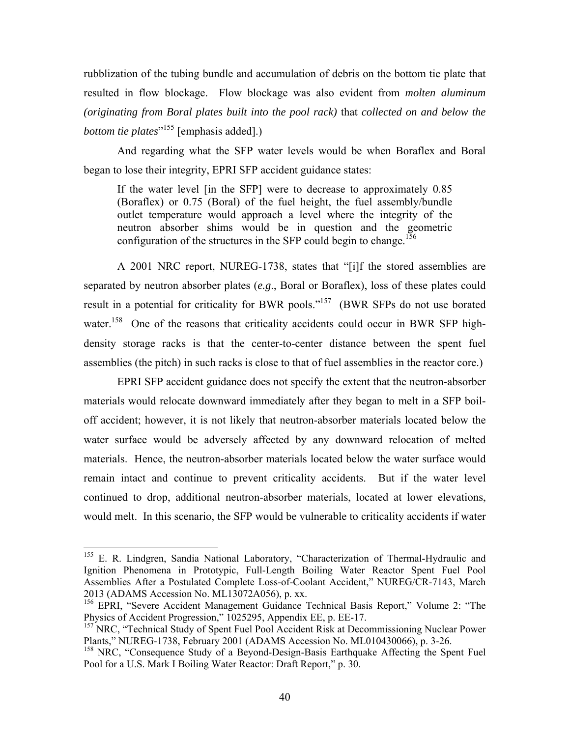rubblization of the tubing bundle and accumulation of debris on the bottom tie plate that resulted in flow blockage. Flow blockage was also evident from *molten aluminum (originating from Boral plates built into the pool rack)* that *collected on and below the bottom tie plates*" 155 [emphasis added].)

And regarding what the SFP water levels would be when Boraflex and Boral began to lose their integrity, EPRI SFP accident guidance states:

If the water level [in the SFP] were to decrease to approximately 0.85 (Boraflex) or 0.75 (Boral) of the fuel height, the fuel assembly/bundle outlet temperature would approach a level where the integrity of the neutron absorber shims would be in question and the geometric configuration of the structures in the SFP could begin to change.<sup>156</sup>

A 2001 NRC report, NUREG-1738, states that "[i]f the stored assemblies are separated by neutron absorber plates (*e.g*., Boral or Boraflex), loss of these plates could result in a potential for criticality for BWR pools."<sup>157</sup> (BWR SFPs do not use borated water.<sup>158</sup> One of the reasons that criticality accidents could occur in BWR SFP highdensity storage racks is that the center-to-center distance between the spent fuel assemblies (the pitch) in such racks is close to that of fuel assemblies in the reactor core.)

EPRI SFP accident guidance does not specify the extent that the neutron-absorber materials would relocate downward immediately after they began to melt in a SFP boiloff accident; however, it is not likely that neutron-absorber materials located below the water surface would be adversely affected by any downward relocation of melted materials. Hence, the neutron-absorber materials located below the water surface would remain intact and continue to prevent criticality accidents. But if the water level continued to drop, additional neutron-absorber materials, located at lower elevations, would melt. In this scenario, the SFP would be vulnerable to criticality accidents if water

<sup>&</sup>lt;sup>155</sup> E. R. Lindgren, Sandia National Laboratory, "Characterization of Thermal-Hydraulic and Ignition Phenomena in Prototypic, Full-Length Boiling Water Reactor Spent Fuel Pool Assemblies After a Postulated Complete Loss-of-Coolant Accident," NUREG/CR-7143, March 2013 (ADAMS Accession No. ML13072A056), p. xx.

<sup>&</sup>lt;sup>156</sup> EPRI, "Severe Accident Management Guidance Technical Basis Report," Volume 2: "The Physics of Accident Progression," 1025295, Appendix EE, p. EE-17.

<sup>&</sup>lt;sup>157</sup> NRC, "Technical Study of Spent Fuel Pool Accident Risk at Decommissioning Nuclear Power Plants," NUREG-1738, February 2001 (ADAMS Accession No. ML010430066), p. 3-26.

<sup>&</sup>lt;sup>158</sup> NRC, "Consequence Study of a Beyond-Design-Basis Earthquake Affecting the Spent Fuel Pool for a U.S. Mark I Boiling Water Reactor: Draft Report," p. 30.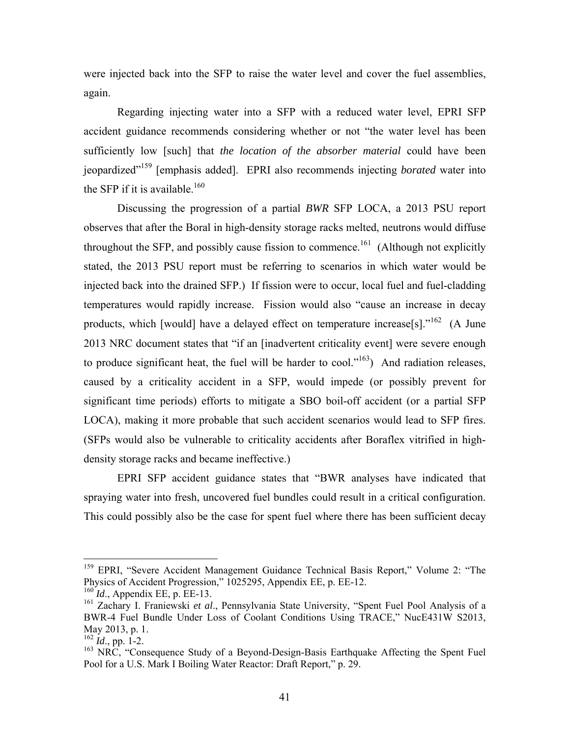were injected back into the SFP to raise the water level and cover the fuel assemblies, again.

Regarding injecting water into a SFP with a reduced water level, EPRI SFP accident guidance recommends considering whether or not "the water level has been sufficiently low [such] that *the location of the absorber material* could have been jeopardized"159 [emphasis added]. EPRI also recommends injecting *borated* water into the SFP if it is available.<sup>160</sup>

Discussing the progression of a partial *BWR* SFP LOCA, a 2013 PSU report observes that after the Boral in high-density storage racks melted, neutrons would diffuse throughout the SFP, and possibly cause fission to commence.<sup>161</sup> (Although not explicitly stated, the 2013 PSU report must be referring to scenarios in which water would be injected back into the drained SFP.) If fission were to occur, local fuel and fuel-cladding temperatures would rapidly increase. Fission would also "cause an increase in decay products, which [would] have a delayed effect on temperature increase[s]."<sup>162</sup> (A June 2013 NRC document states that "if an [inadvertent criticality event] were severe enough to produce significant heat, the fuel will be harder to cool." $163$ ) And radiation releases, caused by a criticality accident in a SFP, would impede (or possibly prevent for significant time periods) efforts to mitigate a SBO boil-off accident (or a partial SFP LOCA), making it more probable that such accident scenarios would lead to SFP fires. (SFPs would also be vulnerable to criticality accidents after Boraflex vitrified in highdensity storage racks and became ineffective.)

EPRI SFP accident guidance states that "BWR analyses have indicated that spraying water into fresh, uncovered fuel bundles could result in a critical configuration. This could possibly also be the case for spent fuel where there has been sufficient decay

<sup>&</sup>lt;sup>159</sup> EPRI, "Severe Accident Management Guidance Technical Basis Report," Volume 2: "The Physics of Accident Progression," 1025295, Appendix EE, p. EE-12.

<sup>160</sup> *Id*., Appendix EE, p. EE-13.

<sup>161</sup> Zachary I. Franiewski *et al*., Pennsylvania State University, "Spent Fuel Pool Analysis of a BWR-4 Fuel Bundle Under Loss of Coolant Conditions Using TRACE," NucE431W S2013, May 2013, p. 1.

 $^{162}$  *Id.*, pp. 1-2.

<sup>&</sup>lt;sup>163</sup> NRC, "Consequence Study of a Beyond-Design-Basis Earthquake Affecting the Spent Fuel Pool for a U.S. Mark I Boiling Water Reactor: Draft Report," p. 29.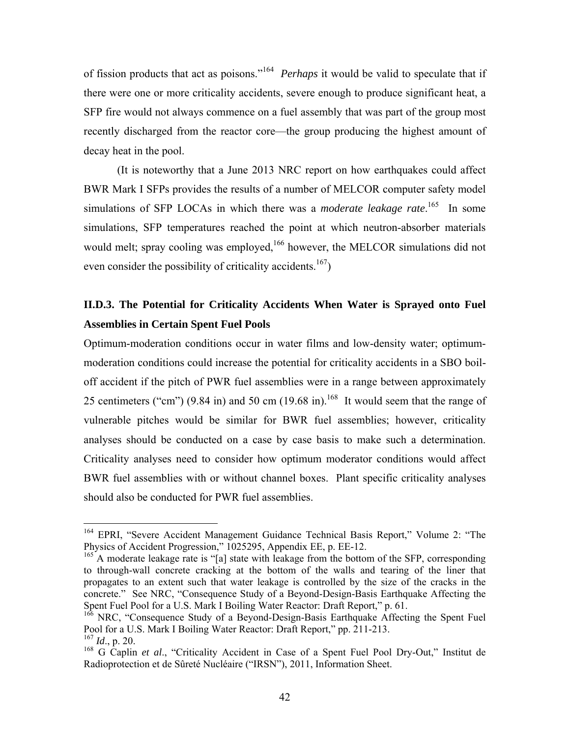of fission products that act as poisons."164 *Perhaps* it would be valid to speculate that if there were one or more criticality accidents, severe enough to produce significant heat, a SFP fire would not always commence on a fuel assembly that was part of the group most recently discharged from the reactor core—the group producing the highest amount of decay heat in the pool.

(It is noteworthy that a June 2013 NRC report on how earthquakes could affect BWR Mark I SFPs provides the results of a number of MELCOR computer safety model simulations of SFP LOCAs in which there was a *moderate leakage rate*.<sup>165</sup> In some simulations, SFP temperatures reached the point at which neutron-absorber materials would melt; spray cooling was employed,<sup>166</sup> however, the MELCOR simulations did not even consider the possibility of criticality accidents.<sup>167</sup>)

# **II.D.3. The Potential for Criticality Accidents When Water is Sprayed onto Fuel Assemblies in Certain Spent Fuel Pools**

Optimum-moderation conditions occur in water films and low-density water; optimummoderation conditions could increase the potential for criticality accidents in a SBO boiloff accident if the pitch of PWR fuel assemblies were in a range between approximately 25 centimeters ("cm") (9.84 in) and 50 cm (19.68 in).<sup>168</sup> It would seem that the range of vulnerable pitches would be similar for BWR fuel assemblies; however, criticality analyses should be conducted on a case by case basis to make such a determination. Criticality analyses need to consider how optimum moderator conditions would affect BWR fuel assemblies with or without channel boxes. Plant specific criticality analyses should also be conducted for PWR fuel assemblies.

<sup>&</sup>lt;sup>164</sup> EPRI, "Severe Accident Management Guidance Technical Basis Report," Volume 2: "The Physics of Accident Progression," 1025295, Appendix EE, p. EE-12.

<sup>&</sup>lt;sup>165</sup> A moderate leakage rate is "[a] state with leakage from the bottom of the SFP, corresponding to through-wall concrete cracking at the bottom of the walls and tearing of the liner that propagates to an extent such that water leakage is controlled by the size of the cracks in the concrete." See NRC, "Consequence Study of a Beyond-Design-Basis Earthquake Affecting the Spent Fuel Pool for a U.S. Mark I Boiling Water Reactor: Draft Report," p. 61.

<sup>&</sup>lt;sup>166</sup> NRC, "Consequence Study of a Beyond-Design-Basis Earthquake Affecting the Spent Fuel Pool for a U.S. Mark I Boiling Water Reactor: Draft Report," pp. 211-213.

<sup>167</sup> *Id*., p. 20.

<sup>168</sup> G Caplin *et al*., "Criticality Accident in Case of a Spent Fuel Pool Dry-Out," Institut de Radioprotection et de Sûreté Nucléaire ("IRSN"), 2011, Information Sheet.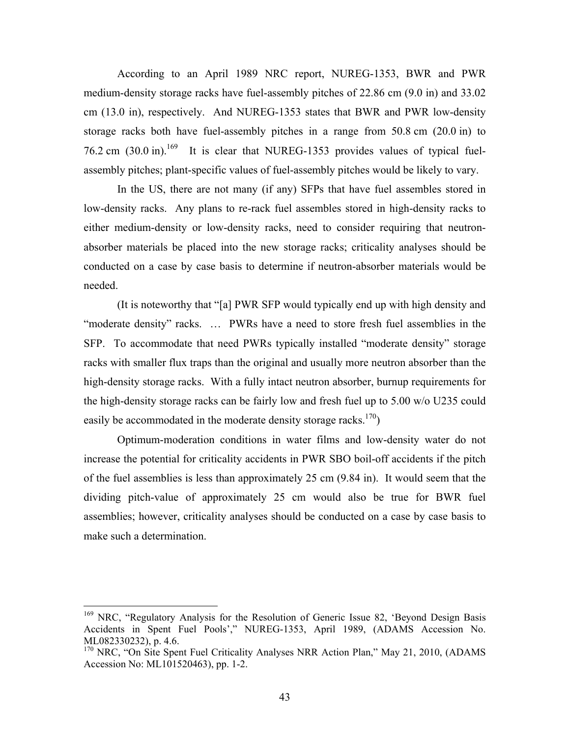According to an April 1989 NRC report, NUREG-1353, BWR and PWR medium-density storage racks have fuel-assembly pitches of 22.86 cm (9.0 in) and 33.02 cm (13.0 in), respectively. And NUREG-1353 states that BWR and PWR low-density storage racks both have fuel-assembly pitches in a range from 50.8 cm (20.0 in) to 76.2 cm  $(30.0 \text{ in})$ .<sup>169</sup> It is clear that NUREG-1353 provides values of typical fuelassembly pitches; plant-specific values of fuel-assembly pitches would be likely to vary.

In the US, there are not many (if any) SFPs that have fuel assembles stored in low-density racks. Any plans to re-rack fuel assembles stored in high-density racks to either medium-density or low-density racks, need to consider requiring that neutronabsorber materials be placed into the new storage racks; criticality analyses should be conducted on a case by case basis to determine if neutron-absorber materials would be needed.

(It is noteworthy that "[a] PWR SFP would typically end up with high density and "moderate density" racks. … PWRs have a need to store fresh fuel assemblies in the SFP. To accommodate that need PWRs typically installed "moderate density" storage racks with smaller flux traps than the original and usually more neutron absorber than the high-density storage racks. With a fully intact neutron absorber, burnup requirements for the high-density storage racks can be fairly low and fresh fuel up to 5.00 w/o U235 could easily be accommodated in the moderate density storage racks.<sup>170</sup>)

Optimum-moderation conditions in water films and low-density water do not increase the potential for criticality accidents in PWR SBO boil-off accidents if the pitch of the fuel assemblies is less than approximately 25 cm (9.84 in). It would seem that the dividing pitch-value of approximately 25 cm would also be true for BWR fuel assemblies; however, criticality analyses should be conducted on a case by case basis to make such a determination.

<sup>&</sup>lt;sup>169</sup> NRC, "Regulatory Analysis for the Resolution of Generic Issue 82, 'Beyond Design Basis Accidents in Spent Fuel Pools'," NUREG-1353, April 1989, (ADAMS Accession No. ML082330232), p. 4.6.

<sup>&</sup>lt;sup>170</sup> NRC, "On Site Spent Fuel Criticality Analyses NRR Action Plan," May 21, 2010, (ADAMS Accession No: ML101520463), pp. 1-2.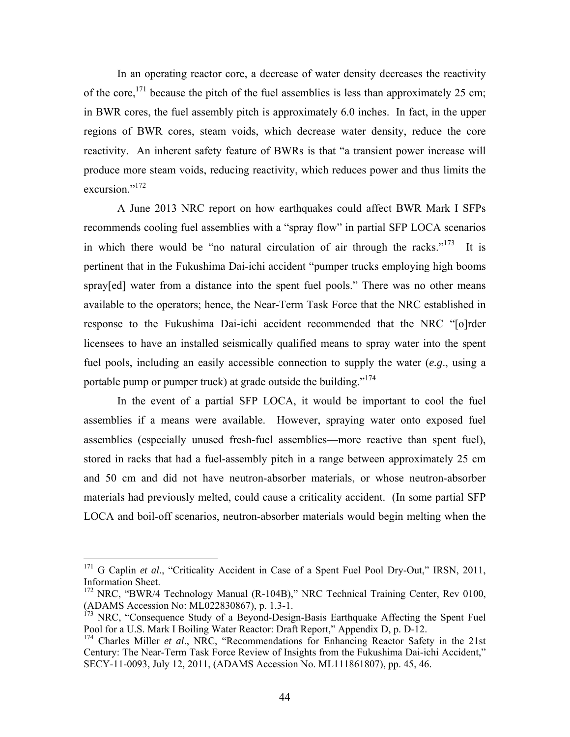In an operating reactor core, a decrease of water density decreases the reactivity of the core,<sup>171</sup> because the pitch of the fuel assemblies is less than approximately 25 cm; in BWR cores, the fuel assembly pitch is approximately 6.0 inches. In fact, in the upper regions of BWR cores, steam voids, which decrease water density, reduce the core reactivity. An inherent safety feature of BWRs is that "a transient power increase will produce more steam voids, reducing reactivity, which reduces power and thus limits the excursion."<sup>172</sup>

A June 2013 NRC report on how earthquakes could affect BWR Mark I SFPs recommends cooling fuel assemblies with a "spray flow" in partial SFP LOCA scenarios in which there would be "no natural circulation of air through the racks."<sup>173</sup> It is pertinent that in the Fukushima Dai-ichi accident "pumper trucks employing high booms spray[ed] water from a distance into the spent fuel pools." There was no other means available to the operators; hence, the Near-Term Task Force that the NRC established in response to the Fukushima Dai-ichi accident recommended that the NRC "[o]rder licensees to have an installed seismically qualified means to spray water into the spent fuel pools, including an easily accessible connection to supply the water (*e.g*., using a portable pump or pumper truck) at grade outside the building."<sup>174</sup>

In the event of a partial SFP LOCA, it would be important to cool the fuel assemblies if a means were available. However, spraying water onto exposed fuel assemblies (especially unused fresh-fuel assemblies—more reactive than spent fuel), stored in racks that had a fuel-assembly pitch in a range between approximately 25 cm and 50 cm and did not have neutron-absorber materials, or whose neutron-absorber materials had previously melted, could cause a criticality accident. (In some partial SFP LOCA and boil-off scenarios, neutron-absorber materials would begin melting when the

<sup>&</sup>lt;sup>171</sup> G Caplin *et al.*, "Criticality Accident in Case of a Spent Fuel Pool Dry-Out," IRSN, 2011, Information Sheet.

<sup>&</sup>lt;sup>172</sup> NRC, "BWR/4 Technology Manual (R-104B)," NRC Technical Training Center, Rev 0100, (ADAMS Accession No: ML022830867), p. 1.3-1.

<sup>&</sup>lt;sup>173</sup> NRC, "Consequence Study of a Beyond-Design-Basis Earthquake Affecting the Spent Fuel Pool for a U.S. Mark I Boiling Water Reactor: Draft Report," Appendix D, p. D-12.

<sup>&</sup>lt;sup>174</sup> Charles Miller *et al.*, NRC, "Recommendations for Enhancing Reactor Safety in the 21st Century: The Near-Term Task Force Review of Insights from the Fukushima Dai-ichi Accident," SECY-11-0093, July 12, 2011, (ADAMS Accession No. ML111861807), pp. 45, 46.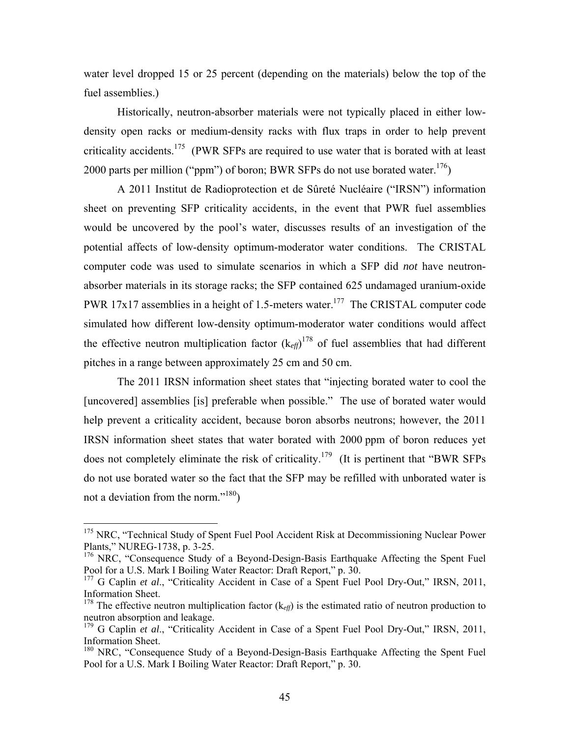water level dropped 15 or 25 percent (depending on the materials) below the top of the fuel assemblies.)

Historically, neutron-absorber materials were not typically placed in either lowdensity open racks or medium-density racks with flux traps in order to help prevent criticality accidents.<sup>175</sup> (PWR SFPs are required to use water that is borated with at least 2000 parts per million ("ppm") of boron; BWR SFPs do not use borated water.<sup>176</sup>)

A 2011 Institut de Radioprotection et de Sûreté Nucléaire ("IRSN") information sheet on preventing SFP criticality accidents, in the event that PWR fuel assemblies would be uncovered by the pool's water, discusses results of an investigation of the potential affects of low-density optimum-moderator water conditions. The CRISTAL computer code was used to simulate scenarios in which a SFP did *not* have neutronabsorber materials in its storage racks; the SFP contained 625 undamaged uranium-oxide PWR 17x17 assemblies in a height of 1.5-meters water.<sup>177</sup> The CRISTAL computer code simulated how different low-density optimum-moderator water conditions would affect the effective neutron multiplication factor  $(k_{\text{eff}})^{178}$  of fuel assemblies that had different pitches in a range between approximately 25 cm and 50 cm.

The 2011 IRSN information sheet states that "injecting borated water to cool the [uncovered] assemblies [is] preferable when possible." The use of borated water would help prevent a criticality accident, because boron absorbs neutrons; however, the 2011 IRSN information sheet states that water borated with 2000 ppm of boron reduces yet does not completely eliminate the risk of criticality.<sup>179</sup> (It is pertinent that "BWR SFPs") do not use borated water so the fact that the SFP may be refilled with unborated water is not a deviation from the norm."<sup>180</sup>)

<u>.</u>

<sup>&</sup>lt;sup>175</sup> NRC, "Technical Study of Spent Fuel Pool Accident Risk at Decommissioning Nuclear Power Plants," NUREG-1738, p. 3-25.

<sup>&</sup>lt;sup>176</sup> NRC, "Consequence Study of a Beyond-Design-Basis Earthquake Affecting the Spent Fuel Pool for a U.S. Mark I Boiling Water Reactor: Draft Report," p. 30.

<sup>&</sup>lt;sup>177</sup> G Caplin *et al.*, "Criticality Accident in Case of a Spent Fuel Pool Dry-Out," IRSN, 2011, Information Sheet.

<sup>&</sup>lt;sup>178</sup> The effective neutron multiplication factor  $(k_{eff})$  is the estimated ratio of neutron production to neutron absorption and leakage.

<sup>&</sup>lt;sup>179</sup> G Caplin *et al.*, "Criticality Accident in Case of a Spent Fuel Pool Dry-Out," IRSN, 2011, Information Sheet.

<sup>&</sup>lt;sup>180</sup> NRC, "Consequence Study of a Beyond-Design-Basis Earthquake Affecting the Spent Fuel Pool for a U.S. Mark I Boiling Water Reactor: Draft Report," p. 30.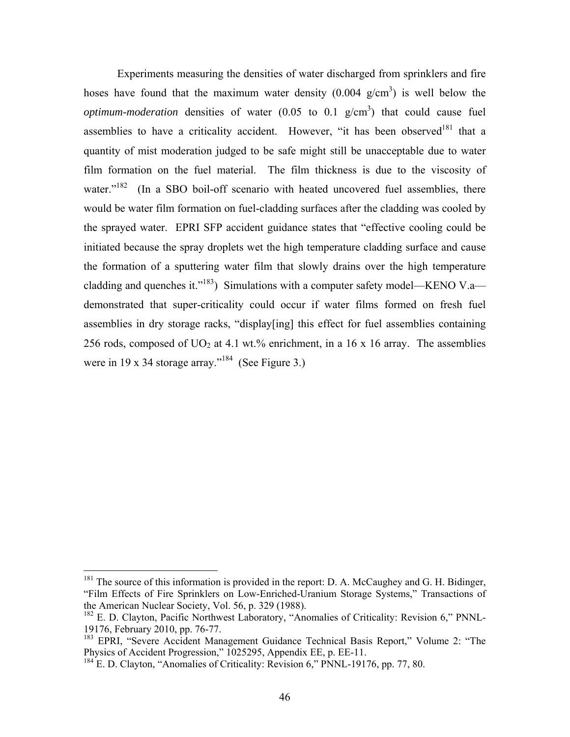Experiments measuring the densities of water discharged from sprinklers and fire hoses have found that the maximum water density  $(0.004 \text{ g/cm}^3)$  is well below the *optimum-moderation* densities of water  $(0.05 \text{ to } 0.1 \text{ g/cm}^3)$  that could cause fuel assemblies to have a criticality accident. However, "it has been observed<sup>181</sup> that a quantity of mist moderation judged to be safe might still be unacceptable due to water film formation on the fuel material. The film thickness is due to the viscosity of water. $182$  (In a SBO boil-off scenario with heated uncovered fuel assemblies, there would be water film formation on fuel-cladding surfaces after the cladding was cooled by the sprayed water. EPRI SFP accident guidance states that "effective cooling could be initiated because the spray droplets wet the high temperature cladding surface and cause the formation of a sputtering water film that slowly drains over the high temperature cladding and quenches it."<sup>183</sup>) Simulations with a computer safety model—KENO V.a demonstrated that super-criticality could occur if water films formed on fresh fuel assemblies in dry storage racks, "display[ing] this effect for fuel assemblies containing 256 rods, composed of  $UO<sub>2</sub>$  at 4.1 wt.% enrichment, in a 16 x 16 array. The assemblies were in 19 x 34 storage array."<sup>184</sup> (See Figure 3.)

 $181$  The source of this information is provided in the report: D. A. McCaughey and G. H. Bidinger, "Film Effects of Fire Sprinklers on Low-Enriched-Uranium Storage Systems," Transactions of the American Nuclear Society, Vol. 56, p. 329 (1988).

<sup>182</sup> E. D. Clayton, Pacific Northwest Laboratory, "Anomalies of Criticality: Revision 6," PNNL-19176, February 2010, pp. 76-77.

<sup>&</sup>lt;sup>183</sup> EPRI, "Severe Accident Management Guidance Technical Basis Report," Volume 2: "The Physics of Accident Progression," 1025295, Appendix EE, p. EE-11.

<sup>&</sup>lt;sup>184</sup> E. D. Clayton, "Anomalies of Criticality: Revision 6," PNNL-19176, pp. 77, 80.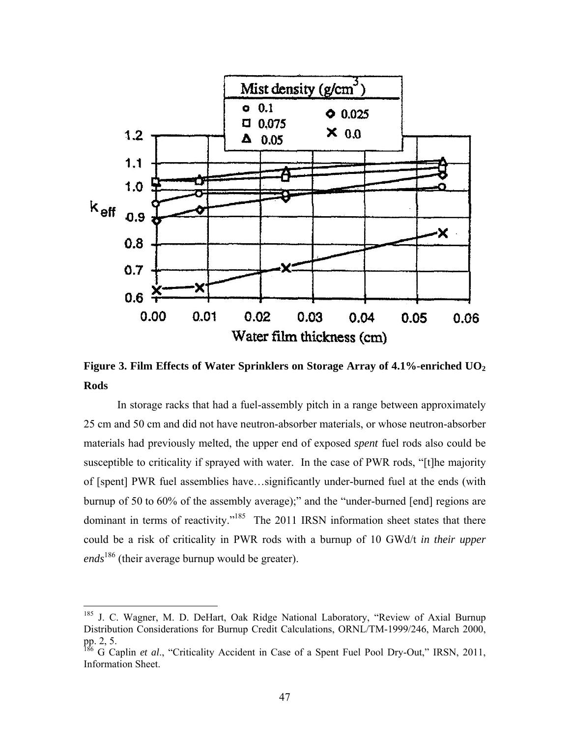

Figure 3. Film Effects of Water Sprinklers on Storage Array of 4.1%-enriched UO<sub>2</sub> **Rods** 

In storage racks that had a fuel-assembly pitch in a range between approximately 25 cm and 50 cm and did not have neutron-absorber materials, or whose neutron-absorber materials had previously melted, the upper end of exposed *spent* fuel rods also could be susceptible to criticality if sprayed with water. In the case of PWR rods, "[t]he majority of [spent] PWR fuel assemblies have…significantly under-burned fuel at the ends (with burnup of 50 to 60% of the assembly average);" and the "under-burned [end] regions are dominant in terms of reactivity."<sup>185</sup> The 2011 IRSN information sheet states that there could be a risk of criticality in PWR rods with a burnup of 10 GWd/t *in their upper ends*186 (their average burnup would be greater).

<sup>&</sup>lt;sup>185</sup> J. C. Wagner, M. D. DeHart, Oak Ridge National Laboratory, "Review of Axial Burnup Distribution Considerations for Burnup Credit Calculations, ORNL/TM-1999/246, March 2000, pp. 2, 5.

<sup>&</sup>lt;sup>186</sup> G Caplin *et al.*, "Criticality Accident in Case of a Spent Fuel Pool Dry-Out," IRSN, 2011, Information Sheet.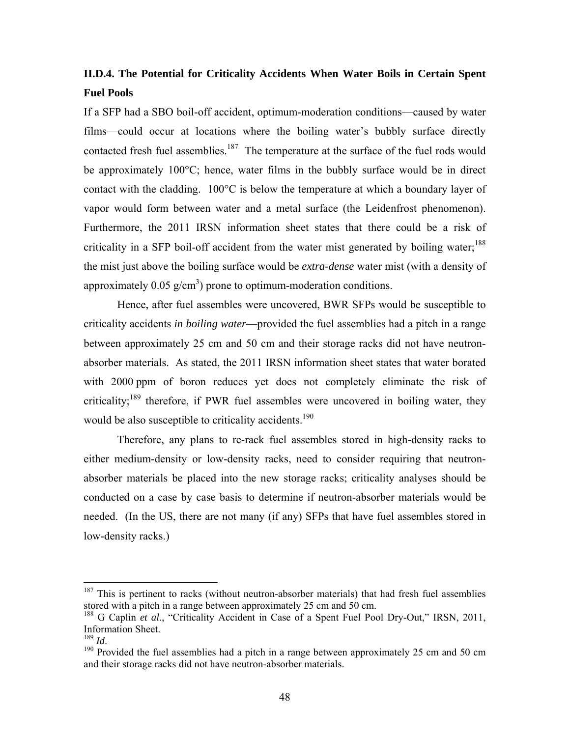### **II.D.4. The Potential for Criticality Accidents When Water Boils in Certain Spent Fuel Pools**

If a SFP had a SBO boil-off accident, optimum-moderation conditions—caused by water films—could occur at locations where the boiling water's bubbly surface directly contacted fresh fuel assemblies.<sup>187</sup> The temperature at the surface of the fuel rods would be approximately 100°C; hence, water films in the bubbly surface would be in direct contact with the cladding. 100°C is below the temperature at which a boundary layer of vapor would form between water and a metal surface (the Leidenfrost phenomenon). Furthermore, the 2011 IRSN information sheet states that there could be a risk of criticality in a SFP boil-off accident from the water mist generated by boiling water;<sup>188</sup> the mist just above the boiling surface would be *extra-dense* water mist (with a density of approximately 0.05  $g/cm<sup>3</sup>$ ) prone to optimum-moderation conditions.

Hence, after fuel assembles were uncovered, BWR SFPs would be susceptible to criticality accidents *in boiling water*—provided the fuel assemblies had a pitch in a range between approximately 25 cm and 50 cm and their storage racks did not have neutronabsorber materials. As stated, the 2011 IRSN information sheet states that water borated with 2000 ppm of boron reduces yet does not completely eliminate the risk of criticality;189 therefore, if PWR fuel assembles were uncovered in boiling water, they would be also susceptible to criticality accidents.<sup>190</sup>

Therefore, any plans to re-rack fuel assembles stored in high-density racks to either medium-density or low-density racks, need to consider requiring that neutronabsorber materials be placed into the new storage racks; criticality analyses should be conducted on a case by case basis to determine if neutron-absorber materials would be needed. (In the US, there are not many (if any) SFPs that have fuel assembles stored in low-density racks.)

 $187$  This is pertinent to racks (without neutron-absorber materials) that had fresh fuel assemblies stored with a pitch in a range between approximately 25 cm and 50 cm.

<sup>&</sup>lt;sup>188</sup> G Caplin *et al.*, "Criticality Accident in Case of a Spent Fuel Pool Dry-Out," IRSN, 2011, Information Sheet.<br> $^{189}$  *Id* 

<sup>&</sup>lt;sup>190</sup> Provided the fuel assemblies had a pitch in a range between approximately 25 cm and 50 cm and their storage racks did not have neutron-absorber materials.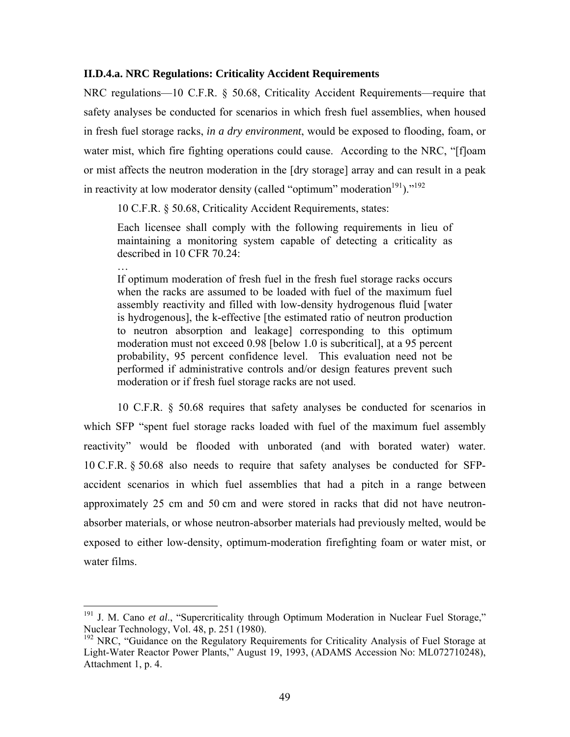#### **II.D.4.a. NRC Regulations: Criticality Accident Requirements**

NRC regulations—10 C.F.R. § 50.68, Criticality Accident Requirements—require that safety analyses be conducted for scenarios in which fresh fuel assemblies, when housed in fresh fuel storage racks, *in a dry environment*, would be exposed to flooding, foam, or water mist, which fire fighting operations could cause. According to the NRC, "[f]oam or mist affects the neutron moderation in the [dry storage] array and can result in a peak in reactivity at low moderator density (called "optimum" moderation $191$ ." $192$ 

10 C.F.R. § 50.68, Criticality Accident Requirements, states:

…

<u>.</u>

Each licensee shall comply with the following requirements in lieu of maintaining a monitoring system capable of detecting a criticality as described in 10 CFR 70.24:

If optimum moderation of fresh fuel in the fresh fuel storage racks occurs when the racks are assumed to be loaded with fuel of the maximum fuel assembly reactivity and filled with low-density hydrogenous fluid [water is hydrogenous], the k-effective [the estimated ratio of neutron production to neutron absorption and leakage] corresponding to this optimum moderation must not exceed 0.98 [below 1.0 is subcritical], at a 95 percent probability, 95 percent confidence level. This evaluation need not be performed if administrative controls and/or design features prevent such moderation or if fresh fuel storage racks are not used.

10 C.F.R. § 50.68 requires that safety analyses be conducted for scenarios in which SFP "spent fuel storage racks loaded with fuel of the maximum fuel assembly reactivity" would be flooded with unborated (and with borated water) water. 10 C.F.R. § 50.68 also needs to require that safety analyses be conducted for SFPaccident scenarios in which fuel assemblies that had a pitch in a range between approximately 25 cm and 50 cm and were stored in racks that did not have neutronabsorber materials, or whose neutron-absorber materials had previously melted, would be exposed to either low-density, optimum-moderation firefighting foam or water mist, or water films.

<sup>&</sup>lt;sup>191</sup> J. M. Cano *et al.*, "Supercriticality through Optimum Moderation in Nuclear Fuel Storage," Nuclear Technology, Vol. 48, p. 251 (1980).

<sup>&</sup>lt;sup>192</sup> NRC, "Guidance on the Regulatory Requirements for Criticality Analysis of Fuel Storage at Light-Water Reactor Power Plants," August 19, 1993, (ADAMS Accession No: ML072710248), Attachment 1, p. 4.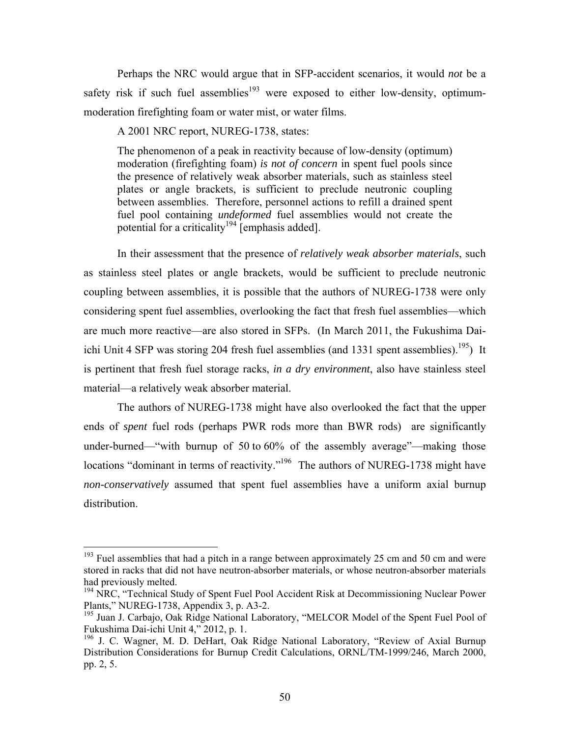Perhaps the NRC would argue that in SFP-accident scenarios, it would *not* be a safety risk if such fuel assemblies<sup>193</sup> were exposed to either low-density, optimummoderation firefighting foam or water mist, or water films.

A 2001 NRC report, NUREG-1738, states:

The phenomenon of a peak in reactivity because of low-density (optimum) moderation (firefighting foam) *is not of concern* in spent fuel pools since the presence of relatively weak absorber materials, such as stainless steel plates or angle brackets, is sufficient to preclude neutronic coupling between assemblies. Therefore, personnel actions to refill a drained spent fuel pool containing *undeformed* fuel assemblies would not create the potential for a criticality<sup>194</sup> [emphasis added].

In their assessment that the presence of *relatively weak absorber materials*, such as stainless steel plates or angle brackets, would be sufficient to preclude neutronic coupling between assemblies, it is possible that the authors of NUREG-1738 were only considering spent fuel assemblies, overlooking the fact that fresh fuel assemblies—which are much more reactive—are also stored in SFPs. (In March 2011, the Fukushima Daiichi Unit 4 SFP was storing 204 fresh fuel assemblies (and 1331 spent assemblies).<sup>195</sup>) It is pertinent that fresh fuel storage racks, *in a dry environment*, also have stainless steel material—a relatively weak absorber material.

The authors of NUREG-1738 might have also overlooked the fact that the upper ends of *spent* fuel rods (perhaps PWR rods more than BWR rods) are significantly under-burned—"with burnup of 50 to 60% of the assembly average"—making those locations "dominant in terms of reactivity."<sup>196</sup> The authors of NUREG-1738 might have *non-conservatively* assumed that spent fuel assemblies have a uniform axial burnup distribution.

 $193$  Fuel assemblies that had a pitch in a range between approximately 25 cm and 50 cm and were stored in racks that did not have neutron-absorber materials, or whose neutron-absorber materials had previously melted.

<sup>&</sup>lt;sup>194</sup> NRC, "Technical Study of Spent Fuel Pool Accident Risk at Decommissioning Nuclear Power Plants," NUREG-1738, Appendix 3, p. A3-2.

<sup>&</sup>lt;sup>195</sup> Juan J. Carbajo, Oak Ridge National Laboratory, "MELCOR Model of the Spent Fuel Pool of Fukushima Dai-ichi Unit 4," 2012, p. 1.

<sup>&</sup>lt;sup>196</sup> J. C. Wagner, M. D. DeHart, Oak Ridge National Laboratory, "Review of Axial Burnup Distribution Considerations for Burnup Credit Calculations, ORNL/TM-1999/246, March 2000, pp. 2, 5.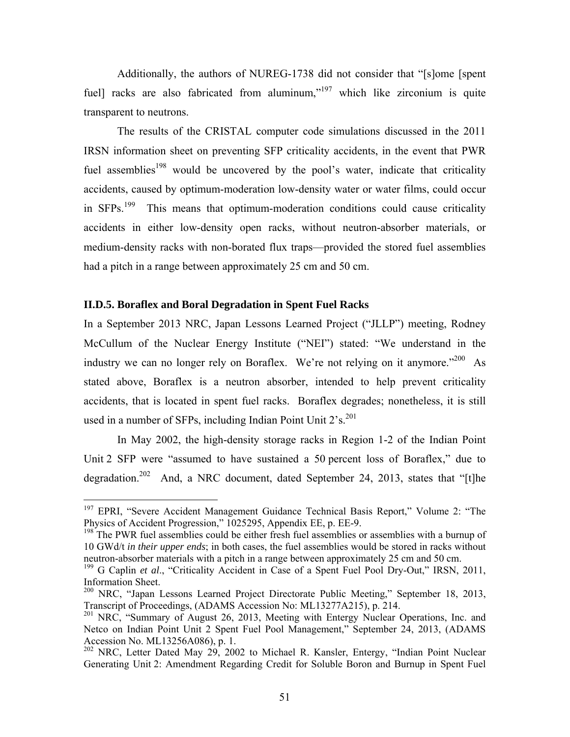Additionally, the authors of NUREG-1738 did not consider that "[s]ome [spent fuell racks are also fabricated from aluminum,"<sup>197</sup> which like zirconium is quite transparent to neutrons.

The results of the CRISTAL computer code simulations discussed in the 2011 IRSN information sheet on preventing SFP criticality accidents, in the event that PWR fuel assemblies<sup>198</sup> would be uncovered by the pool's water, indicate that criticality accidents, caused by optimum-moderation low-density water or water films, could occur in  $SFPs$ <sup>199</sup> This means that optimum-moderation conditions could cause criticality accidents in either low-density open racks, without neutron-absorber materials, or medium-density racks with non-borated flux traps—provided the stored fuel assemblies had a pitch in a range between approximately 25 cm and 50 cm.

#### **II.D.5. Boraflex and Boral Degradation in Spent Fuel Racks**

1

In a September 2013 NRC, Japan Lessons Learned Project ("JLLP") meeting, Rodney McCullum of the Nuclear Energy Institute ("NEI") stated: "We understand in the industry we can no longer rely on Boraflex. We're not relying on it anymore."<sup>200</sup> As stated above, Boraflex is a neutron absorber, intended to help prevent criticality accidents, that is located in spent fuel racks. Boraflex degrades; nonetheless, it is still used in a number of SFPs, including Indian Point Unit  $2's$ .<sup>201</sup>

In May 2002, the high-density storage racks in Region 1-2 of the Indian Point Unit 2 SFP were "assumed to have sustained a 50 percent loss of Boraflex," due to degradation.<sup>202</sup> And, a NRC document, dated September 24, 2013, states that "[t]he

<sup>&</sup>lt;sup>197</sup> EPRI, "Severe Accident Management Guidance Technical Basis Report," Volume 2: "The Physics of Accident Progression," 1025295, Appendix EE, p. EE-9.

<sup>&</sup>lt;sup>198</sup> The PWR fuel assemblies could be either fresh fuel assemblies or assemblies with a burnup of 10 GWd/t *in their upper ends*; in both cases, the fuel assemblies would be stored in racks without neutron-absorber materials with a pitch in a range between approximately 25 cm and 50 cm.

<sup>&</sup>lt;sup>199</sup> G Caplin *et al.*, "Criticality Accident in Case of a Spent Fuel Pool Dry-Out," IRSN, 2011, Information Sheet.

 $200$  NRC, "Japan Lessons Learned Project Directorate Public Meeting," September 18, 2013, Transcript of Proceedings, (ADAMS Accession No: ML13277A215), p. 214.

<sup>&</sup>lt;sup>201</sup> NRC, "Summary of August 26, 2013, Meeting with Entergy Nuclear Operations, Inc. and Netco on Indian Point Unit 2 Spent Fuel Pool Management," September 24, 2013, (ADAMS Accession No. ML13256A086), p. 1.

<sup>&</sup>lt;sup>202</sup> NRC, Letter Dated May 29, 2002 to Michael R. Kansler, Entergy, "Indian Point Nuclear Generating Unit 2: Amendment Regarding Credit for Soluble Boron and Burnup in Spent Fuel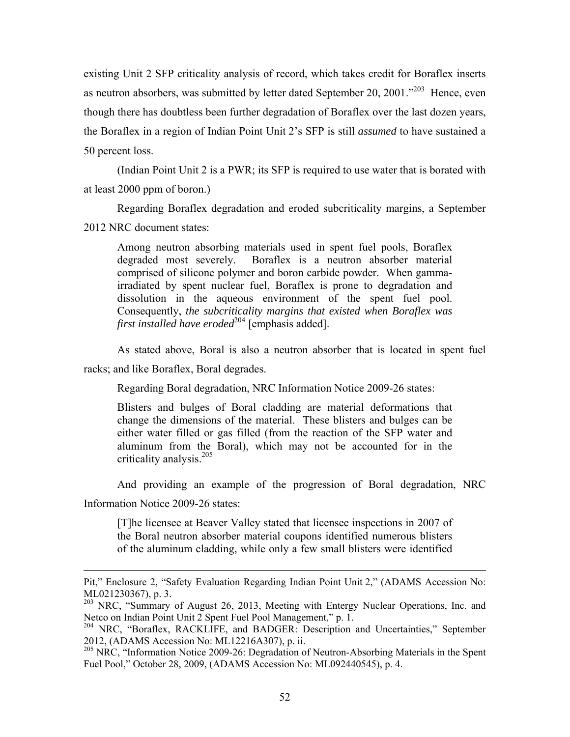existing Unit 2 SFP criticality analysis of record, which takes credit for Boraflex inserts as neutron absorbers, was submitted by letter dated September 20, 2001."<sup>203</sup> Hence, even though there has doubtless been further degradation of Boraflex over the last dozen years, the Boraflex in a region of Indian Point Unit 2's SFP is still *assumed* to have sustained a 50 percent loss.

(Indian Point Unit 2 is a PWR; its SFP is required to use water that is borated with at least 2000 ppm of boron.)

Regarding Boraflex degradation and eroded subcriticality margins, a September 2012 NRC document states:

Among neutron absorbing materials used in spent fuel pools, Boraflex degraded most severely. Boraflex is a neutron absorber material comprised of silicone polymer and boron carbide powder. When gammairradiated by spent nuclear fuel, Boraflex is prone to degradation and dissolution in the aqueous environment of the spent fuel pool. Consequently, *the subcriticality margins that existed when Boraflex was first installed have eroded*<sup>204</sup> [emphasis added].

As stated above, Boral is also a neutron absorber that is located in spent fuel

racks; and like Boraflex, Boral degrades.

Regarding Boral degradation, NRC Information Notice 2009-26 states:

Blisters and bulges of Boral cladding are material deformations that change the dimensions of the material. These blisters and bulges can be either water filled or gas filled (from the reaction of the SFP water and aluminum from the Boral), which may not be accounted for in the criticality analysis.<sup>205</sup>

And providing an example of the progression of Boral degradation, NRC

Information Notice 2009-26 states:

 $\overline{a}$ 

[T]he licensee at Beaver Valley stated that licensee inspections in 2007 of the Boral neutron absorber material coupons identified numerous blisters of the aluminum cladding, while only a few small blisters were identified

Pit," Enclosure 2, "Safety Evaluation Regarding Indian Point Unit 2," (ADAMS Accession No: ML021230367), p. 3.

<sup>&</sup>lt;sup>203</sup> NRC, "Summary of August 26, 2013, Meeting with Entergy Nuclear Operations, Inc. and Netco on Indian Point Unit 2 Spent Fuel Pool Management," p. 1.

<sup>&</sup>lt;sup>204</sup> NRC, "Boraflex, RACKLIFE, and BADGER: Description and Uncertainties," September 2012, (ADAMS Accession No: ML12216A307), p. ii.

<sup>&</sup>lt;sup>205</sup> NRC, "Information Notice 2009-26: Degradation of Neutron-Absorbing Materials in the Spent Fuel Pool," October 28, 2009, (ADAMS Accession No: ML092440545), p. 4.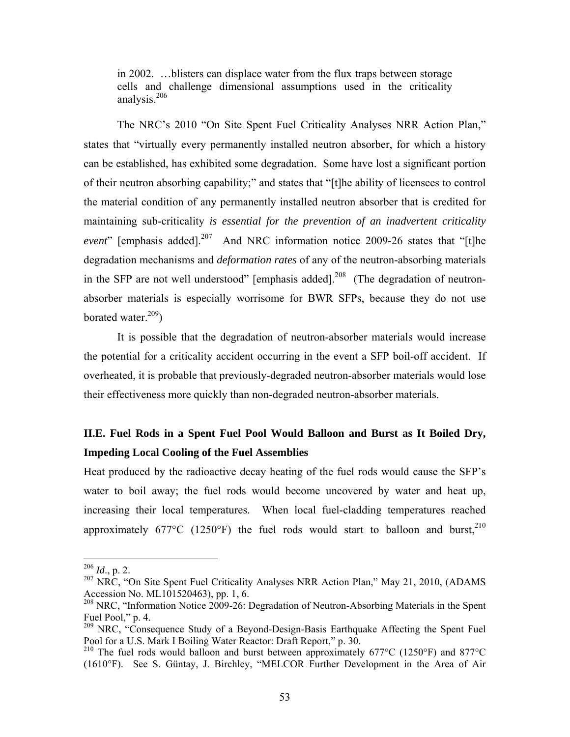in 2002. …blisters can displace water from the flux traps between storage cells and challenge dimensional assumptions used in the criticality analysis.206

The NRC's 2010 "On Site Spent Fuel Criticality Analyses NRR Action Plan," states that "virtually every permanently installed neutron absorber, for which a history can be established, has exhibited some degradation. Some have lost a significant portion of their neutron absorbing capability;" and states that "[t]he ability of licensees to control the material condition of any permanently installed neutron absorber that is credited for maintaining sub-criticality *is essential for the prevention of an inadvertent criticality event*" [emphasis added].<sup>207</sup> And NRC information notice 2009-26 states that "[t]he degradation mechanisms and *deformation rates* of any of the neutron-absorbing materials in the SFP are not well understood" [emphasis added].<sup>208</sup> (The degradation of neutronabsorber materials is especially worrisome for BWR SFPs, because they do not use borated water. $209$ )

It is possible that the degradation of neutron-absorber materials would increase the potential for a criticality accident occurring in the event a SFP boil-off accident. If overheated, it is probable that previously-degraded neutron-absorber materials would lose their effectiveness more quickly than non-degraded neutron-absorber materials.

# **II.E. Fuel Rods in a Spent Fuel Pool Would Balloon and Burst as It Boiled Dry, Impeding Local Cooling of the Fuel Assemblies**

Heat produced by the radioactive decay heating of the fuel rods would cause the SFP's water to boil away; the fuel rods would become uncovered by water and heat up, increasing their local temperatures. When local fuel-cladding temperatures reached approximately  $677^{\circ}$ C (1250°F) the fuel rods would start to balloon and burst.<sup>210</sup>

<sup>206</sup> *Id*., p. 2.

<sup>&</sup>lt;sup>207</sup> NRC, "On Site Spent Fuel Criticality Analyses NRR Action Plan," May 21, 2010, (ADAMS Accession No. ML101520463), pp. 1, 6.

 $208$  NRC, "Information Notice  $2009-26$ : Degradation of Neutron-Absorbing Materials in the Spent Fuel Pool," p. 4.

<sup>&</sup>lt;sup>209</sup> NRC, "Consequence Study of a Beyond-Design-Basis Earthquake Affecting the Spent Fuel Pool for a U.S. Mark I Boiling Water Reactor: Draft Report," p. 30.

<sup>&</sup>lt;sup>210</sup> The fuel rods would balloon and burst between approximately 677°C (1250°F) and 877°C (1610°F). See S. Güntay, J. Birchley, "MELCOR Further Development in the Area of Air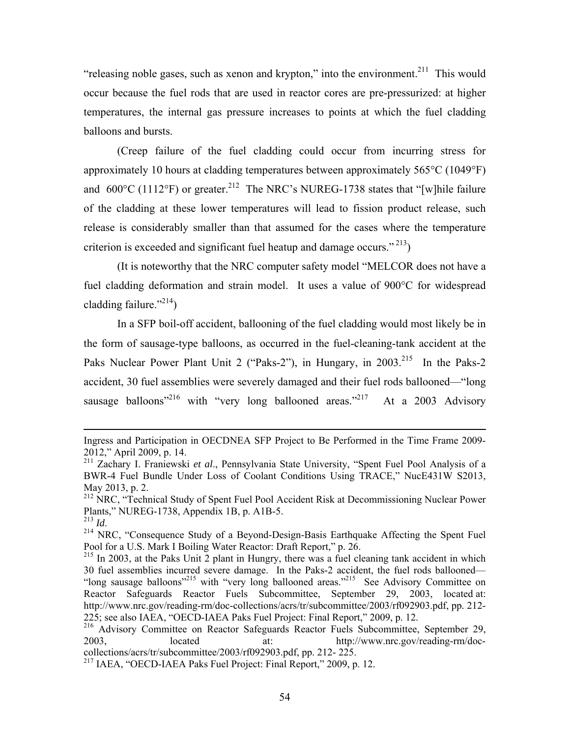"releasing noble gases, such as xenon and krypton," into the environment.<sup>211</sup> This would occur because the fuel rods that are used in reactor cores are pre-pressurized: at higher temperatures, the internal gas pressure increases to points at which the fuel cladding balloons and bursts.

(Creep failure of the fuel cladding could occur from incurring stress for approximately 10 hours at cladding temperatures between approximately 565°C (1049°F) and  $600^{\circ}$ C (1112°F) or greater.<sup>212</sup> The NRC's NUREG-1738 states that "[w] hile failure of the cladding at these lower temperatures will lead to fission product release, such release is considerably smaller than that assumed for the cases where the temperature criterion is exceeded and significant fuel heatup and damage occurs." $^{213}$ )

(It is noteworthy that the NRC computer safety model "MELCOR does not have a fuel cladding deformation and strain model. It uses a value of 900°C for widespread cladding failure." $^{214}$ )

In a SFP boil-off accident, ballooning of the fuel cladding would most likely be in the form of sausage-type balloons, as occurred in the fuel-cleaning-tank accident at the Paks Nuclear Power Plant Unit 2 ("Paks-2"), in Hungary, in 2003.<sup>215</sup> In the Paks-2 accident, 30 fuel assemblies were severely damaged and their fuel rods ballooned—"long sausage balloons<sup>"216</sup> with "very long ballooned areas."<sup>217</sup> At a 2003 Advisory

Ingress and Participation in OECDNEA SFP Project to Be Performed in the Time Frame 2009- 2012," April 2009, p. 14.

<sup>211</sup> Zachary I. Franiewski *et al*., Pennsylvania State University, "Spent Fuel Pool Analysis of a BWR-4 Fuel Bundle Under Loss of Coolant Conditions Using TRACE," NucE431W S2013, May 2013, p. 2.

<sup>&</sup>lt;sup>212</sup> NRC, "Technical Study of Spent Fuel Pool Accident Risk at Decommissioning Nuclear Power Plants," NUREG-1738, Appendix 1B, p. A1B-5.<br> $^{213}$  *Id* 

<sup>&</sup>lt;sup>214</sup> NRC, "Consequence Study of a Beyond-Design-Basis Earthquake Affecting the Spent Fuel Pool for a U.S. Mark I Boiling Water Reactor: Draft Report," p. 26.

 $215$  In 2003, at the Paks Unit 2 plant in Hungry, there was a fuel cleaning tank accident in which 30 fuel assemblies incurred severe damage. In the Paks-2 accident, the fuel rods ballooned— "long sausage balloons"<sup>215</sup> with "very long ballooned areas."<sup>215</sup> See Advisory Committee on Reactor Safeguards Reactor Fuels Subcommittee, September 29, 2003, located at: http://www.nrc.gov/reading-rm/doc-collections/acrs/tr/subcommittee/2003/rf092903.pdf, pp. 212- 225; see also IAEA, "OECD-IAEA Paks Fuel Project: Final Report," 2009, p. 12.

<sup>&</sup>lt;sup>216</sup> Advisory Committee on Reactor Safeguards Reactor Fuels Subcommittee, September 29, 2003, located at: http://www.nrc.gov/reading-rm/doccollections/acrs/tr/subcommittee/2003/rf092903.pdf, pp. 212- 225.

<sup>217</sup> IAEA, "OECD-IAEA Paks Fuel Project: Final Report," 2009, p. 12.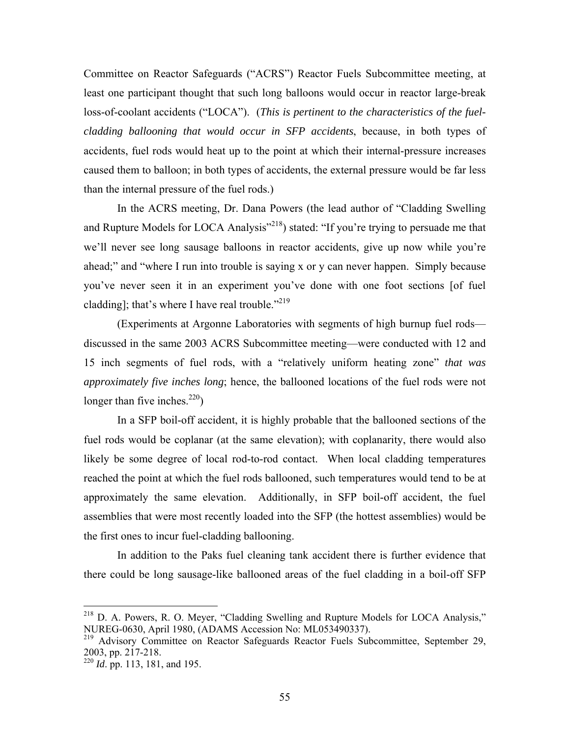Committee on Reactor Safeguards ("ACRS") Reactor Fuels Subcommittee meeting, at least one participant thought that such long balloons would occur in reactor large-break loss-of-coolant accidents ("LOCA"). (*This is pertinent to the characteristics of the fuelcladding ballooning that would occur in SFP accidents*, because, in both types of accidents, fuel rods would heat up to the point at which their internal-pressure increases caused them to balloon; in both types of accidents, the external pressure would be far less than the internal pressure of the fuel rods.)

In the ACRS meeting, Dr. Dana Powers (the lead author of "Cladding Swelling and Rupture Models for LOCA Analysis"<sup>218</sup>) stated: "If you're trying to persuade me that we'll never see long sausage balloons in reactor accidents, give up now while you're ahead;" and "where I run into trouble is saying x or y can never happen. Simply because you've never seen it in an experiment you've done with one foot sections [of fuel cladding]; that's where I have real trouble."<sup>219</sup>

(Experiments at Argonne Laboratories with segments of high burnup fuel rods discussed in the same 2003 ACRS Subcommittee meeting—were conducted with 12 and 15 inch segments of fuel rods, with a "relatively uniform heating zone" *that was approximately five inches long*; hence, the ballooned locations of the fuel rods were not longer than five inches.<sup>220</sup>)

In a SFP boil-off accident, it is highly probable that the ballooned sections of the fuel rods would be coplanar (at the same elevation); with coplanarity, there would also likely be some degree of local rod-to-rod contact. When local cladding temperatures reached the point at which the fuel rods ballooned, such temperatures would tend to be at approximately the same elevation. Additionally, in SFP boil-off accident, the fuel assemblies that were most recently loaded into the SFP (the hottest assemblies) would be the first ones to incur fuel-cladding ballooning.

In addition to the Paks fuel cleaning tank accident there is further evidence that there could be long sausage-like ballooned areas of the fuel cladding in a boil-off SFP

<sup>218</sup> D. A. Powers, R. O. Meyer, "Cladding Swelling and Rupture Models for LOCA Analysis," NUREG-0630, April 1980, (ADAMS Accession No: ML053490337).

<sup>&</sup>lt;sup>219</sup> Advisory Committee on Reactor Safeguards Reactor Fuels Subcommittee, September 29, 2003, pp. 217-218.

<sup>&</sup>lt;sup>220</sup> *Id.* pp. 113, 181, and 195.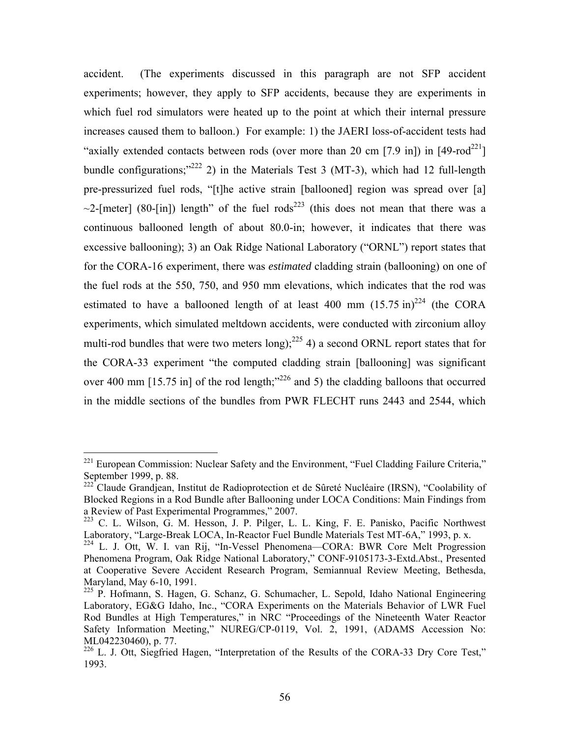accident. (The experiments discussed in this paragraph are not SFP accident experiments; however, they apply to SFP accidents, because they are experiments in which fuel rod simulators were heated up to the point at which their internal pressure increases caused them to balloon.) For example: 1) the JAERI loss-of-accident tests had "axially extended contacts between rods (over more than 20 cm [7.9 in]) in [49-rod<sup>221</sup>] bundle configurations;"<sup>222</sup> 2) in the Materials Test 3 (MT-3), which had 12 full-length pre-pressurized fuel rods, "[t]he active strain [ballooned] region was spread over [a]  $\sim$ 2-[meter] (80-[in]) length" of the fuel rods<sup>223</sup> (this does not mean that there was a continuous ballooned length of about 80.0-in; however, it indicates that there was excessive ballooning); 3) an Oak Ridge National Laboratory ("ORNL") report states that for the CORA-16 experiment, there was *estimated* cladding strain (ballooning) on one of the fuel rods at the 550, 750, and 950 mm elevations, which indicates that the rod was estimated to have a ballooned length of at least 400 mm  $(15.75 \text{ in})^{224}$  (the CORA experiments, which simulated meltdown accidents, were conducted with zirconium alloy multi-rod bundles that were two meters long);<sup>225</sup> 4) a second ORNL report states that for the CORA-33 experiment "the computed cladding strain [ballooning] was significant over 400 mm  $[15.75 \text{ in}]$  of the rod length;"<sup>226</sup> and 5) the cladding balloons that occurred in the middle sections of the bundles from PWR FLECHT runs 2443 and 2544, which

<sup>&</sup>lt;sup>221</sup> European Commission: Nuclear Safety and the Environment, "Fuel Cladding Failure Criteria," September 1999, p. 88.

<sup>&</sup>lt;sup>222</sup> Claude Grandjean, Institut de Radioprotection et de Sûreté Nucléaire (IRSN), "Coolability of Blocked Regions in a Rod Bundle after Ballooning under LOCA Conditions: Main Findings from a Review of Past Experimental Programmes," 2007.

<sup>223</sup> C. L. Wilson, G. M. Hesson, J. P. Pilger, L. L. King, F. E. Panisko, Pacific Northwest Laboratory, "Large-Break LOCA, In-Reactor Fuel Bundle Materials Test MT-6A," 1993, p. x.

<sup>224</sup> L. J. Ott, W. I. van Rij, "In-Vessel Phenomena—CORA: BWR Core Melt Progression Phenomena Program, Oak Ridge National Laboratory," CONF-9105173-3-Extd.Abst., Presented at Cooperative Severe Accident Research Program, Semiannual Review Meeting, Bethesda, Maryland, May 6-10, 1991.

<sup>225</sup> P. Hofmann, S. Hagen, G. Schanz, G. Schumacher, L. Sepold, Idaho National Engineering Laboratory, EG&G Idaho, Inc., "CORA Experiments on the Materials Behavior of LWR Fuel Rod Bundles at High Temperatures," in NRC "Proceedings of the Nineteenth Water Reactor Safety Information Meeting," NUREG/CP-0119, Vol. 2, 1991, (ADAMS Accession No: ML042230460), p. 77.

 $226$  L. J. Ott, Siegfried Hagen, "Interpretation of the Results of the CORA-33 Dry Core Test," 1993.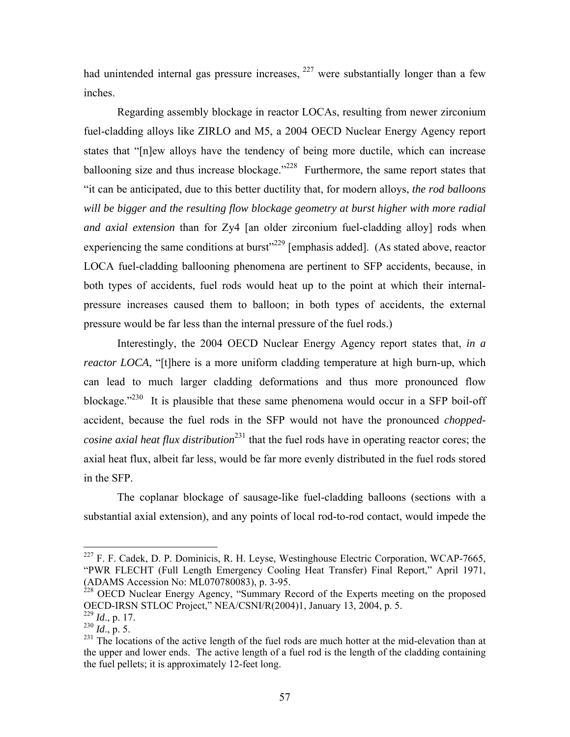had unintended internal gas pressure increases,  $227$  were substantially longer than a few inches.

Regarding assembly blockage in reactor LOCAs, resulting from newer zirconium fuel-cladding alloys like ZIRLO and M5, a 2004 OECD Nuclear Energy Agency report states that "[n]ew alloys have the tendency of being more ductile, which can increase ballooning size and thus increase blockage."<sup>228</sup> Furthermore, the same report states that "it can be anticipated, due to this better ductility that, for modern alloys, *the rod balloons will be bigger and the resulting flow blockage geometry at burst higher with more radial and axial extension* than for Zy4 [an older zirconium fuel-cladding alloy] rods when experiencing the same conditions at burst<sup>3229</sup> [emphasis added]. (As stated above, reactor LOCA fuel-cladding ballooning phenomena are pertinent to SFP accidents, because, in both types of accidents, fuel rods would heat up to the point at which their internalpressure increases caused them to balloon; in both types of accidents, the external pressure would be far less than the internal pressure of the fuel rods.)

Interestingly, the 2004 OECD Nuclear Energy Agency report states that, *in a reactor LOCA*, "[t]here is a more uniform cladding temperature at high burn-up, which can lead to much larger cladding deformations and thus more pronounced flow blockage."<sup>230</sup> It is plausible that these same phenomena would occur in a SFP boil-off accident, because the fuel rods in the SFP would not have the pronounced *choppedcosine axial heat flux distribution*<sup>231</sup> that the fuel rods have in operating reactor cores; the axial heat flux, albeit far less, would be far more evenly distributed in the fuel rods stored in the SFP.

The coplanar blockage of sausage-like fuel-cladding balloons (sections with a substantial axial extension), and any points of local rod-to-rod contact, would impede the

 $^{227}$  F. F. Cadek, D. P. Dominicis, R. H. Leyse, Westinghouse Electric Corporation, WCAP-7665, "PWR FLECHT (Full Length Emergency Cooling Heat Transfer) Final Report," April 1971, (ADAMS Accession No: ML070780083), p. 3-95.

 $228$  OECD Nuclear Energy Agency, "Summary Record of the Experts meeting on the proposed OECD-IRSN STLOC Project," NEA/CSNI/R(2004)1, January 13, 2004, p. 5.

<sup>229</sup> *Id*., p. 17.

 $^{230}$   $\overline{Id}$ ., p. 5.

 $231$  The locations of the active length of the fuel rods are much hotter at the mid-elevation than at the upper and lower ends. The active length of a fuel rod is the length of the cladding containing the fuel pellets; it is approximately 12-feet long.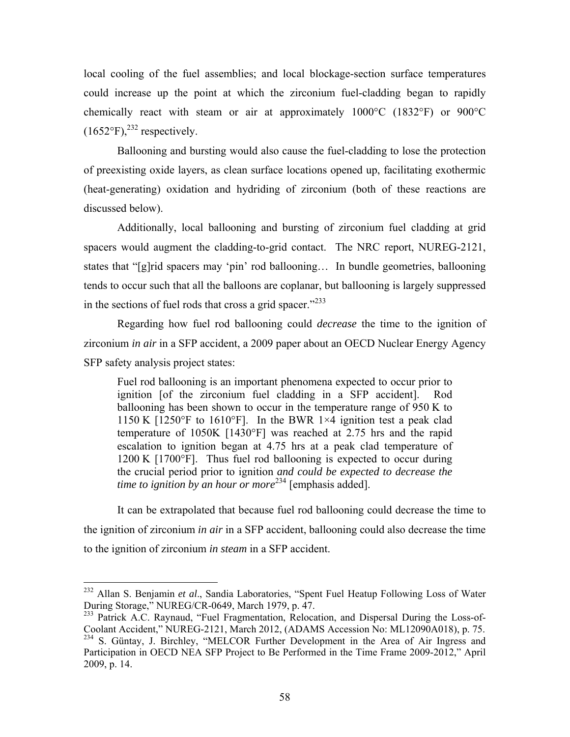local cooling of the fuel assemblies; and local blockage-section surface temperatures could increase up the point at which the zirconium fuel-cladding began to rapidly chemically react with steam or air at approximately 1000°C (1832°F) or 900°C  $(1652^{\circ}F)$ ,<sup>232</sup> respectively.

Ballooning and bursting would also cause the fuel-cladding to lose the protection of preexisting oxide layers, as clean surface locations opened up, facilitating exothermic (heat-generating) oxidation and hydriding of zirconium (both of these reactions are discussed below).

Additionally, local ballooning and bursting of zirconium fuel cladding at grid spacers would augment the cladding-to-grid contact. The NRC report, NUREG-2121, states that "[g]rid spacers may 'pin' rod ballooning… In bundle geometries, ballooning tends to occur such that all the balloons are coplanar, but ballooning is largely suppressed in the sections of fuel rods that cross a grid spacer." $233$ 

Regarding how fuel rod ballooning could *decrease* the time to the ignition of zirconium *in air* in a SFP accident, a 2009 paper about an OECD Nuclear Energy Agency SFP safety analysis project states:

Fuel rod ballooning is an important phenomena expected to occur prior to ignition [of the zirconium fuel cladding in a SFP accident]. Rod ballooning has been shown to occur in the temperature range of 950 K to 1150 K  $[1250\textdegree F$  to  $1610\textdegree F$ . In the BWR 1×4 ignition test a peak clad temperature of 1050K [1430°F] was reached at 2.75 hrs and the rapid escalation to ignition began at 4.75 hrs at a peak clad temperature of 1200 K [1700°F]. Thus fuel rod ballooning is expected to occur during the crucial period prior to ignition *and could be expected to decrease the time to ignition by an hour or more*234 [emphasis added].

It can be extrapolated that because fuel rod ballooning could decrease the time to the ignition of zirconium *in air* in a SFP accident, ballooning could also decrease the time to the ignition of zirconium *in steam* in a SFP accident.

<sup>232</sup> Allan S. Benjamin *et al*., Sandia Laboratories, "Spent Fuel Heatup Following Loss of Water During Storage," NUREG/CR-0649, March 1979, p. 47.

<sup>&</sup>lt;sup>233</sup> Patrick A.C. Raynaud, "Fuel Fragmentation, Relocation, and Dispersal During the Loss-of-Coolant Accident," NUREG-2121, March 2012, (ADAMS Accession No: ML12090A018), p. 75. <sup>234</sup> S. Güntay, J. Birchley, "MELCOR Further Development in the Area of Air Ingress and Participation in OECD NEA SFP Project to Be Performed in the Time Frame 2009-2012," April 2009, p. 14.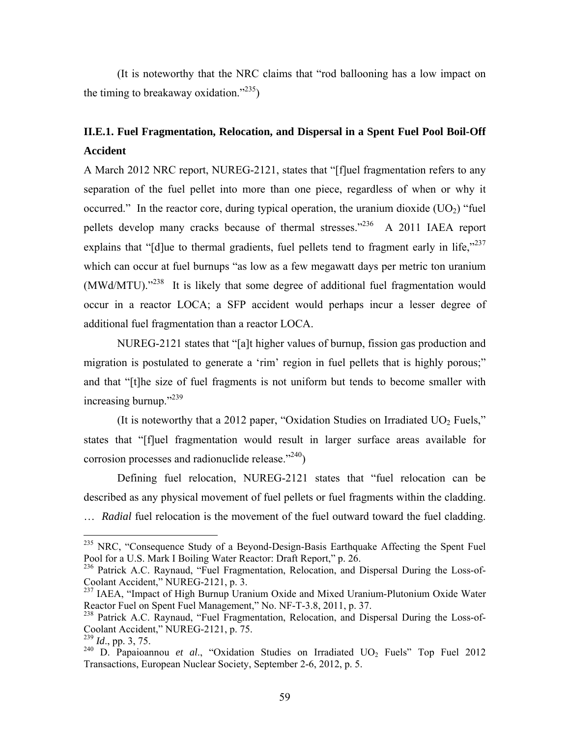(It is noteworthy that the NRC claims that "rod ballooning has a low impact on the timing to breakaway oxidation." $^{235}$ )

### **II.E.1. Fuel Fragmentation, Relocation, and Dispersal in a Spent Fuel Pool Boil-Off Accident**

A March 2012 NRC report, NUREG-2121, states that "[f]uel fragmentation refers to any separation of the fuel pellet into more than one piece, regardless of when or why it occurred." In the reactor core, during typical operation, the uranium dioxide  $(UO<sub>2</sub>)$  "fuel pellets develop many cracks because of thermal stresses.<sup>2236</sup> A 2011 IAEA report explains that "[d]ue to thermal gradients, fuel pellets tend to fragment early in life," $237$ which can occur at fuel burnups "as low as a few megawatt days per metric ton uranium (MWd/MTU)."238 It is likely that some degree of additional fuel fragmentation would occur in a reactor LOCA; a SFP accident would perhaps incur a lesser degree of additional fuel fragmentation than a reactor LOCA.

NUREG-2121 states that "[a]t higher values of burnup, fission gas production and migration is postulated to generate a 'rim' region in fuel pellets that is highly porous;" and that "[t]he size of fuel fragments is not uniform but tends to become smaller with increasing burnup."<sup>239</sup>

(It is noteworthy that a 2012 paper, "Oxidation Studies on Irradiated  $UO<sub>2</sub>$  Fuels," states that "[f]uel fragmentation would result in larger surface areas available for corrosion processes and radionuclide release. $1240$ 

Defining fuel relocation, NUREG-2121 states that "fuel relocation can be described as any physical movement of fuel pellets or fuel fragments within the cladding. ... *Radial* fuel relocation is the movement of the fuel outward toward the fuel cladding.

<sup>&</sup>lt;sup>235</sup> NRC, "Consequence Study of a Beyond-Design-Basis Earthquake Affecting the Spent Fuel Pool for a U.S. Mark I Boiling Water Reactor: Draft Report," p. 26.

<sup>&</sup>lt;sup>236</sup> Patrick A.C. Raynaud, "Fuel Fragmentation, Relocation, and Dispersal During the Loss-of-Coolant Accident," NUREG-2121, p. 3.

<sup>&</sup>lt;sup>237</sup> IAEA, "Impact of High Burnup Uranium Oxide and Mixed Uranium-Plutonium Oxide Water Reactor Fuel on Spent Fuel Management," No. NF-T-3.8, 2011, p. 37.

<sup>&</sup>lt;sup>238</sup> Patrick A.C. Raynaud, "Fuel Fragmentation, Relocation, and Dispersal During the Loss-of-Coolant Accident," NUREG-2121, p. 75.

<sup>239</sup> *Id*., pp. 3, 75.

<sup>&</sup>lt;sup>240</sup> D. Papaioannou *et al.*, "Oxidation Studies on Irradiated UO<sub>2</sub> Fuels" Top Fuel 2012 Transactions, European Nuclear Society, September 2-6, 2012, p. 5.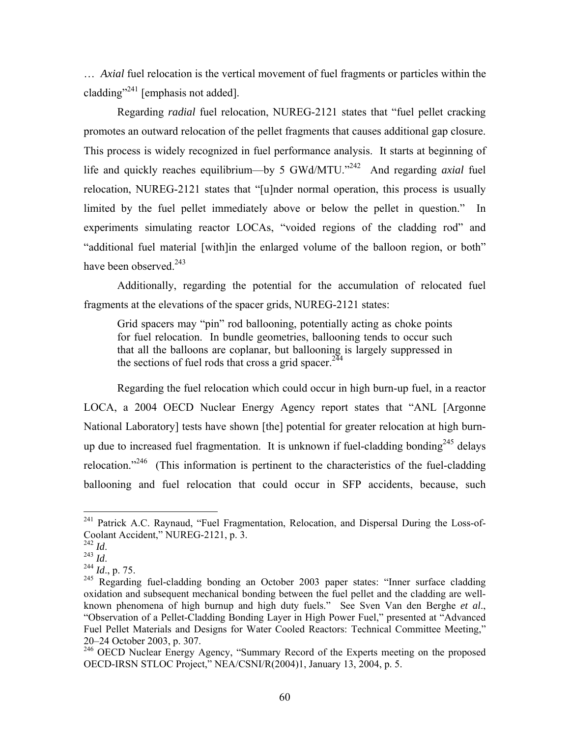… *Axial* fuel relocation is the vertical movement of fuel fragments or particles within the cladding"<sup>241</sup> [emphasis not added].

Regarding *radial* fuel relocation, NUREG-2121 states that "fuel pellet cracking promotes an outward relocation of the pellet fragments that causes additional gap closure. This process is widely recognized in fuel performance analysis. It starts at beginning of life and quickly reaches equilibrium—by 5 GWd/MTU."242 And regarding *axial* fuel relocation, NUREG-2121 states that "[u]nder normal operation, this process is usually limited by the fuel pellet immediately above or below the pellet in question." In experiments simulating reactor LOCAs, "voided regions of the cladding rod" and "additional fuel material [with]in the enlarged volume of the balloon region, or both" have been observed.<sup>243</sup>

Additionally, regarding the potential for the accumulation of relocated fuel fragments at the elevations of the spacer grids, NUREG-2121 states:

Grid spacers may "pin" rod ballooning, potentially acting as choke points for fuel relocation. In bundle geometries, ballooning tends to occur such that all the balloons are coplanar, but ballooning is largely suppressed in the sections of fuel rods that cross a grid spacer.<sup>244</sup>

Regarding the fuel relocation which could occur in high burn-up fuel, in a reactor LOCA, a 2004 OECD Nuclear Energy Agency report states that "ANL [Argonne National Laboratory] tests have shown [the] potential for greater relocation at high burnup due to increased fuel fragmentation. It is unknown if fuel-cladding bonding<sup>245</sup> delays relocation."<sup>246</sup> (This information is pertinent to the characteristics of the fuel-cladding ballooning and fuel relocation that could occur in SFP accidents, because, such

<sup>&</sup>lt;sup>241</sup> Patrick A.C. Raynaud, "Fuel Fragmentation, Relocation, and Dispersal During the Loss-of-Coolant Accident," NUREG-2121, p. 3.<br><sup>242</sup> Id.<br><sup>243</sup> Id.

<sup>242</sup> *Id*. 243 *Id*. 244 *Id*., p. 75.

<sup>&</sup>lt;sup>245</sup> Regarding fuel-cladding bonding an October 2003 paper states: "Inner surface cladding oxidation and subsequent mechanical bonding between the fuel pellet and the cladding are wellknown phenomena of high burnup and high duty fuels." See Sven Van den Berghe *et al*., "Observation of a Pellet-Cladding Bonding Layer in High Power Fuel," presented at "Advanced Fuel Pellet Materials and Designs for Water Cooled Reactors: Technical Committee Meeting," 20–24 October 2003, p. 307.

<sup>&</sup>lt;sup>246</sup> OECD Nuclear Energy Agency, "Summary Record of the Experts meeting on the proposed OECD-IRSN STLOC Project," NEA/CSNI/R(2004)1, January 13, 2004, p. 5.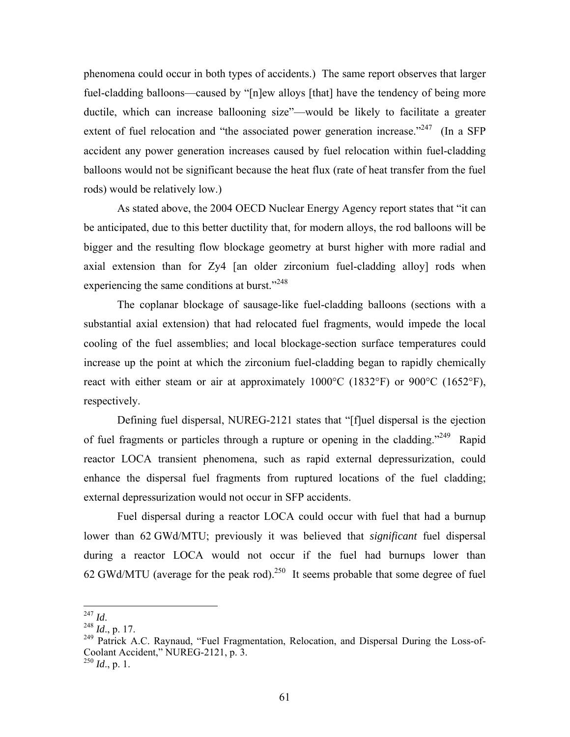phenomena could occur in both types of accidents.) The same report observes that larger fuel-cladding balloons—caused by "[n]ew alloys [that] have the tendency of being more ductile, which can increase ballooning size"—would be likely to facilitate a greater extent of fuel relocation and "the associated power generation increase."  $^{247}$  (In a SFP accident any power generation increases caused by fuel relocation within fuel-cladding balloons would not be significant because the heat flux (rate of heat transfer from the fuel rods) would be relatively low.)

As stated above, the 2004 OECD Nuclear Energy Agency report states that "it can be anticipated, due to this better ductility that, for modern alloys, the rod balloons will be bigger and the resulting flow blockage geometry at burst higher with more radial and axial extension than for Zy4 [an older zirconium fuel-cladding alloy] rods when experiencing the same conditions at burst."<sup>248</sup>

The coplanar blockage of sausage-like fuel-cladding balloons (sections with a substantial axial extension) that had relocated fuel fragments, would impede the local cooling of the fuel assemblies; and local blockage-section surface temperatures could increase up the point at which the zirconium fuel-cladding began to rapidly chemically react with either steam or air at approximately 1000°C (1832°F) or 900°C (1652°F), respectively.

Defining fuel dispersal, NUREG-2121 states that "[f]uel dispersal is the ejection of fuel fragments or particles through a rupture or opening in the cladding."<sup>249</sup> Rapid reactor LOCA transient phenomena, such as rapid external depressurization, could enhance the dispersal fuel fragments from ruptured locations of the fuel cladding; external depressurization would not occur in SFP accidents.

Fuel dispersal during a reactor LOCA could occur with fuel that had a burnup lower than 62 GWd/MTU; previously it was believed that *significant* fuel dispersal during a reactor LOCA would not occur if the fuel had burnups lower than 62 GWd/MTU (average for the peak rod).<sup>250</sup> It seems probable that some degree of fuel

 $^{247}$  *Id.* 

<sup>247</sup> *Id*. <sup>248</sup> *Id*., p. 17.

<sup>&</sup>lt;sup>249</sup> Patrick A.C. Raynaud, "Fuel Fragmentation, Relocation, and Dispersal During the Loss-of-Coolant Accident," NUREG-2121, p. 3.

 $^{250}$  *Id.*, p. 1.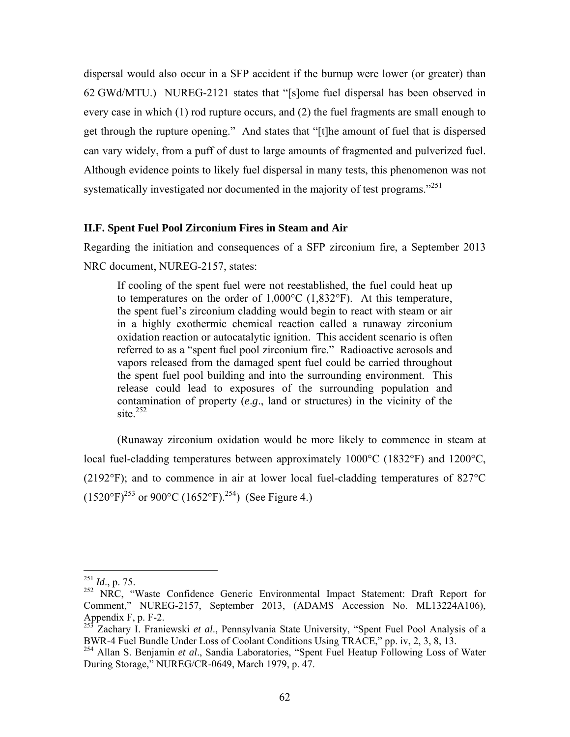dispersal would also occur in a SFP accident if the burnup were lower (or greater) than 62 GWd/MTU.) NUREG-2121 states that "[s]ome fuel dispersal has been observed in every case in which (1) rod rupture occurs, and (2) the fuel fragments are small enough to get through the rupture opening." And states that "[t]he amount of fuel that is dispersed can vary widely, from a puff of dust to large amounts of fragmented and pulverized fuel. Although evidence points to likely fuel dispersal in many tests, this phenomenon was not systematically investigated nor documented in the majority of test programs."<sup>251</sup>

#### **II.F. Spent Fuel Pool Zirconium Fires in Steam and Air**

Regarding the initiation and consequences of a SFP zirconium fire, a September 2013 NRC document, NUREG-2157, states:

If cooling of the spent fuel were not reestablished, the fuel could heat up to temperatures on the order of  $1,000^{\circ}$ C (1,832°F). At this temperature, the spent fuel's zirconium cladding would begin to react with steam or air in a highly exothermic chemical reaction called a runaway zirconium oxidation reaction or autocatalytic ignition. This accident scenario is often referred to as a "spent fuel pool zirconium fire." Radioactive aerosols and vapors released from the damaged spent fuel could be carried throughout the spent fuel pool building and into the surrounding environment. This release could lead to exposures of the surrounding population and contamination of property (*e*.*g*., land or structures) in the vicinity of the site. $252$ 

(Runaway zirconium oxidation would be more likely to commence in steam at local fuel-cladding temperatures between approximately 1000°C (1832°F) and 1200°C, (2192°F); and to commence in air at lower local fuel-cladding temperatures of 827°C  $(1520^{\circ}F)^{253}$  or 900°C (1652°F).<sup>254</sup>) (See Figure 4.)

<sup>251</sup> *Id*., p. 75.

<sup>&</sup>lt;sup>252</sup> NRC, "Waste Confidence Generic Environmental Impact Statement: Draft Report for Comment," NUREG-2157, September 2013, (ADAMS Accession No. ML13224A106), Appendix  $F$ , p.  $F-2$ .

<sup>253</sup> Zachary I. Franiewski *et al*., Pennsylvania State University, "Spent Fuel Pool Analysis of a BWR-4 Fuel Bundle Under Loss of Coolant Conditions Using TRACE," pp. iv, 2, 3, 8, 13.

<sup>254</sup> Allan S. Benjamin *et al*., Sandia Laboratories, "Spent Fuel Heatup Following Loss of Water During Storage," NUREG/CR-0649, March 1979, p. 47.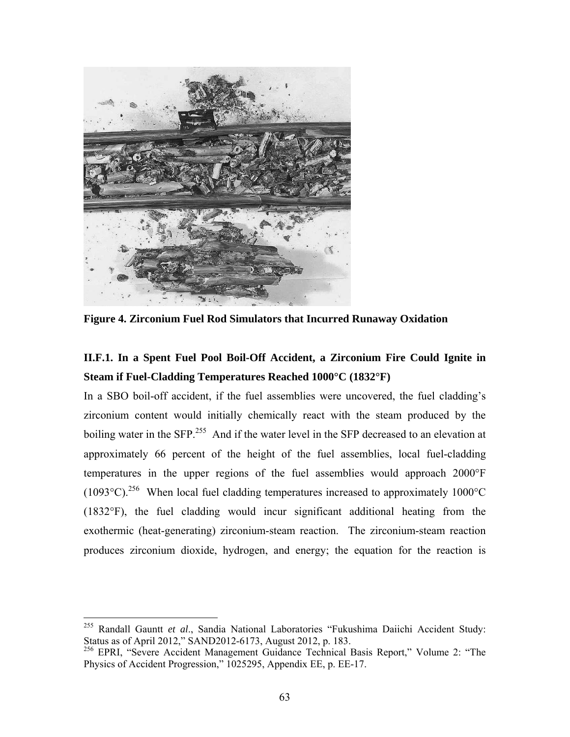

**Figure 4. Zirconium Fuel Rod Simulators that Incurred Runaway Oxidation** 

# **II.F.1. In a Spent Fuel Pool Boil-Off Accident, a Zirconium Fire Could Ignite in Steam if Fuel-Cladding Temperatures Reached 1000°C (1832°F)**

In a SBO boil-off accident, if the fuel assemblies were uncovered, the fuel cladding's zirconium content would initially chemically react with the steam produced by the boiling water in the SFP.<sup>255</sup> And if the water level in the SFP decreased to an elevation at approximately 66 percent of the height of the fuel assemblies, local fuel-cladding temperatures in the upper regions of the fuel assemblies would approach 2000°F (1093 $^{\circ}$ C).<sup>256</sup> When local fuel cladding temperatures increased to approximately 1000 $^{\circ}$ C (1832°F), the fuel cladding would incur significant additional heating from the exothermic (heat-generating) zirconium-steam reaction. The zirconium-steam reaction produces zirconium dioxide, hydrogen, and energy; the equation for the reaction is

<sup>255</sup> Randall Gauntt *et al*., Sandia National Laboratories "Fukushima Daiichi Accident Study: Status as of April 2012," SAND2012-6173, August 2012, p. 183.

<sup>&</sup>lt;sup>256</sup> EPRI, "Severe Accident Management Guidance Technical Basis Report," Volume 2: "The Physics of Accident Progression," 1025295, Appendix EE, p. EE-17.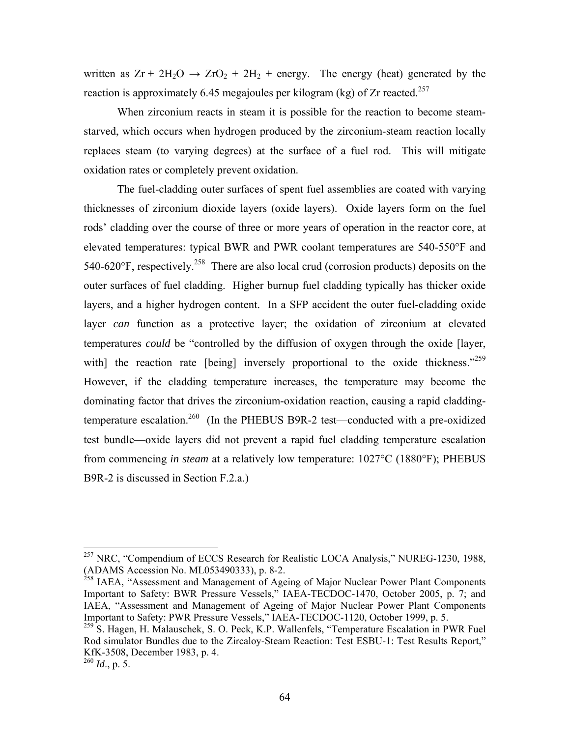written as  $Zr + 2H_2O \rightarrow ZrO_2 + 2H_2$  + energy. The energy (heat) generated by the reaction is approximately 6.45 megajoules per kilogram (kg) of  $Zr$  reacted.<sup>257</sup>

When zirconium reacts in steam it is possible for the reaction to become steamstarved, which occurs when hydrogen produced by the zirconium-steam reaction locally replaces steam (to varying degrees) at the surface of a fuel rod. This will mitigate oxidation rates or completely prevent oxidation.

The fuel-cladding outer surfaces of spent fuel assemblies are coated with varying thicknesses of zirconium dioxide layers (oxide layers). Oxide layers form on the fuel rods' cladding over the course of three or more years of operation in the reactor core, at elevated temperatures: typical BWR and PWR coolant temperatures are 540-550°F and 540-620 $\degree$ F, respectively.<sup>258</sup> There are also local crud (corrosion products) deposits on the outer surfaces of fuel cladding. Higher burnup fuel cladding typically has thicker oxide layers, and a higher hydrogen content. In a SFP accident the outer fuel-cladding oxide layer *can* function as a protective layer; the oxidation of zirconium at elevated temperatures *could* be "controlled by the diffusion of oxygen through the oxide [layer, with] the reaction rate [being] inversely proportional to the oxide thickness."<sup>259</sup> However, if the cladding temperature increases, the temperature may become the dominating factor that drives the zirconium-oxidation reaction, causing a rapid claddingtemperature escalation.<sup>260</sup> (In the PHEBUS B9R-2 test—conducted with a pre-oxidized test bundle—oxide layers did not prevent a rapid fuel cladding temperature escalation from commencing *in steam* at a relatively low temperature: 1027°C (1880°F); PHEBUS B9R-2 is discussed in Section F.2.a.)

 $^{257}$  NRC, "Compendium of ECCS Research for Realistic LOCA Analysis," NUREG-1230, 1988, (ADAMS Accession No. ML053490333), p. 8-2.

<sup>&</sup>lt;sup>258</sup> IAEA, "Assessment and Management of Ageing of Major Nuclear Power Plant Components Important to Safety: BWR Pressure Vessels," IAEA-TECDOC-1470, October 2005, p. 7; and IAEA, "Assessment and Management of Ageing of Major Nuclear Power Plant Components Important to Safety: PWR Pressure Vessels," IAEA-TECDOC-1120, October 1999, p. 5.

<sup>&</sup>lt;sup>259</sup> S. Hagen, H. Malauschek, S. O. Peck, K.P. Wallenfels, "Temperature Escalation in PWR Fuel Rod simulator Bundles due to the Zircaloy-Steam Reaction: Test ESBU-1: Test Results Report," KfK-3508, December 1983, p. 4.

<sup>260</sup> *Id*., p. 5.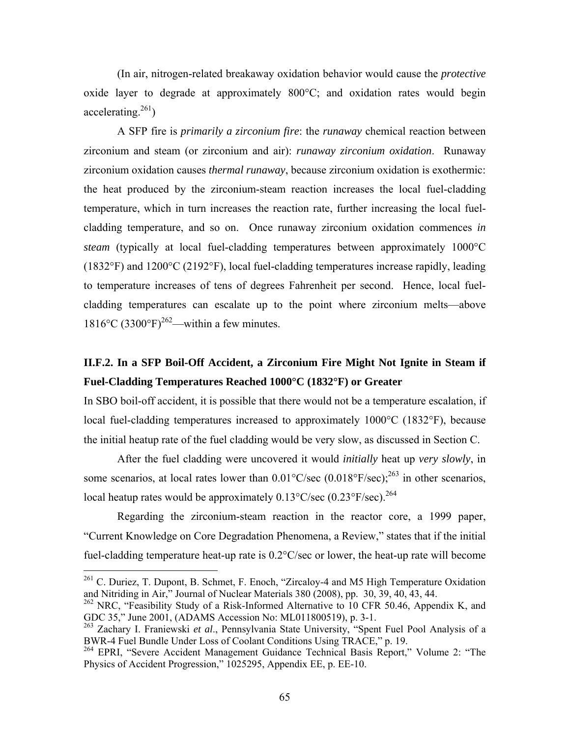(In air, nitrogen-related breakaway oxidation behavior would cause the *protective* oxide layer to degrade at approximately 800°C; and oxidation rates would begin accelerating.  $261$ )

A SFP fire is *primarily a zirconium fire*: the *runaway* chemical reaction between zirconium and steam (or zirconium and air): *runaway zirconium oxidation*. Runaway zirconium oxidation causes *thermal runaway*, because zirconium oxidation is exothermic: the heat produced by the zirconium-steam reaction increases the local fuel-cladding temperature, which in turn increases the reaction rate, further increasing the local fuelcladding temperature, and so on. Once runaway zirconium oxidation commences *in steam* (typically at local fuel-cladding temperatures between approximately 1000°C (1832°F) and 1200°C (2192°F), local fuel-cladding temperatures increase rapidly, leading to temperature increases of tens of degrees Fahrenheit per second. Hence, local fuelcladding temperatures can escalate up to the point where zirconium melts—above 1816°C (3300°F)<sup>262</sup>—within a few minutes.

## **II.F.2. In a SFP Boil-Off Accident, a Zirconium Fire Might Not Ignite in Steam if Fuel-Cladding Temperatures Reached 1000°C (1832°F) or Greater**

In SBO boil-off accident, it is possible that there would not be a temperature escalation, if local fuel-cladding temperatures increased to approximately 1000°C (1832°F), because the initial heatup rate of the fuel cladding would be very slow, as discussed in Section C.

After the fuel cladding were uncovered it would *initially* heat up *very slowly*, in some scenarios, at local rates lower than  $0.01^{\circ}$ C/sec  $(0.018^{\circ}$ F/sec);<sup>263</sup> in other scenarios, local heatup rates would be approximately  $0.13^{\circ}$ C/sec  $(0.23^{\circ}$ F/sec).<sup>264</sup>

Regarding the zirconium-steam reaction in the reactor core, a 1999 paper, "Current Knowledge on Core Degradation Phenomena, a Review," states that if the initial fuel-cladding temperature heat-up rate is 0.2°C/sec or lower, the heat-up rate will become

 $261$  C. Duriez, T. Dupont, B. Schmet, F. Enoch, "Zircaloy-4 and M5 High Temperature Oxidation and Nitriding in Air," Journal of Nuclear Materials 380 (2008), pp. 30, 39, 40, 43, 44.

<sup>&</sup>lt;sup>262</sup> NRC, "Feasibility Study of a Risk-Informed Alternative to 10 CFR 50.46, Appendix K, and GDC 35," June 2001, (ADAMS Accession No: ML011800519), p. 3-1.

<sup>263</sup> Zachary I. Franiewski *et al*., Pennsylvania State University, "Spent Fuel Pool Analysis of a BWR-4 Fuel Bundle Under Loss of Coolant Conditions Using TRACE," p. 19.

<sup>&</sup>lt;sup>264</sup> EPRI, "Severe Accident Management Guidance Technical Basis Report," Volume 2: "The Physics of Accident Progression," 1025295, Appendix EE, p. EE-10.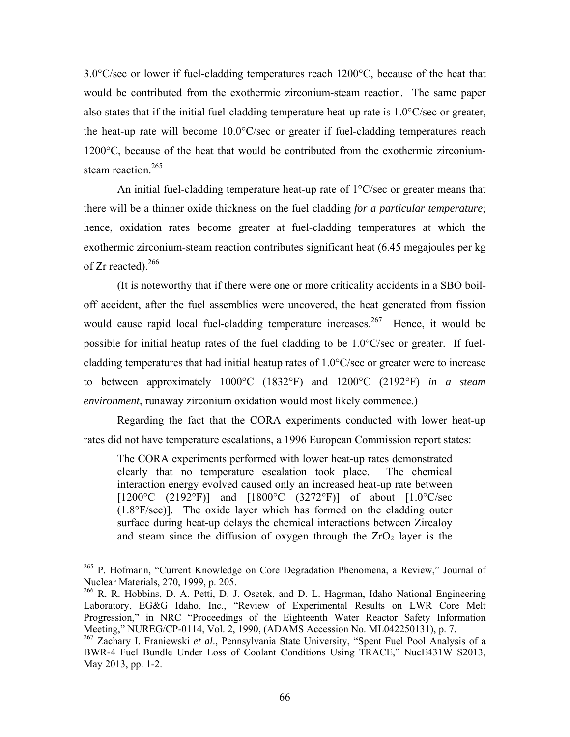3.0°C/sec or lower if fuel-cladding temperatures reach 1200°C, because of the heat that would be contributed from the exothermic zirconium-steam reaction. The same paper also states that if the initial fuel-cladding temperature heat-up rate is 1.0°C/sec or greater, the heat-up rate will become 10.0°C/sec or greater if fuel-cladding temperatures reach 1200°C, because of the heat that would be contributed from the exothermic zirconiumsteam reaction.<sup>265</sup>

An initial fuel-cladding temperature heat-up rate of 1°C/sec or greater means that there will be a thinner oxide thickness on the fuel cladding *for a particular temperature*; hence, oxidation rates become greater at fuel-cladding temperatures at which the exothermic zirconium-steam reaction contributes significant heat (6.45 megajoules per kg of Zr reacted).<sup>266</sup>

(It is noteworthy that if there were one or more criticality accidents in a SBO boiloff accident, after the fuel assemblies were uncovered, the heat generated from fission would cause rapid local fuel-cladding temperature increases.<sup>267</sup> Hence, it would be possible for initial heatup rates of the fuel cladding to be 1.0°C/sec or greater. If fuelcladding temperatures that had initial heatup rates of 1.0°C/sec or greater were to increase to between approximately 1000°C (1832°F) and 1200°C (2192°F) *in a steam environment*, runaway zirconium oxidation would most likely commence.)

Regarding the fact that the CORA experiments conducted with lower heat-up rates did not have temperature escalations, a 1996 European Commission report states:

The CORA experiments performed with lower heat-up rates demonstrated clearly that no temperature escalation took place. The chemical interaction energy evolved caused only an increased heat-up rate between [ $1200^{\circ}$ C ( $2192^{\circ}$ F)] and [ $1800^{\circ}$ C ( $3272^{\circ}$ F)] of about [ $1.0^{\circ}$ C/sec (1.8°F/sec)]. The oxide layer which has formed on the cladding outer surface during heat-up delays the chemical interactions between Zircaloy and steam since the diffusion of oxygen through the  $ZrO<sub>2</sub>$  layer is the

<sup>&</sup>lt;sup>265</sup> P. Hofmann, "Current Knowledge on Core Degradation Phenomena, a Review," Journal of Nuclear Materials, 270, 1999, p. 205.

<sup>266</sup> R. R. Hobbins, D. A. Petti, D. J. Osetek, and D. L. Hagrman, Idaho National Engineering Laboratory, EG&G Idaho, Inc., "Review of Experimental Results on LWR Core Melt Progression," in NRC "Proceedings of the Eighteenth Water Reactor Safety Information Meeting," NUREG/CP-0114, Vol. 2, 1990, (ADAMS Accession No. ML042250131), p. 7.

<sup>267</sup> Zachary I. Franiewski *et al*., Pennsylvania State University, "Spent Fuel Pool Analysis of a BWR-4 Fuel Bundle Under Loss of Coolant Conditions Using TRACE," NucE431W S2013, May 2013, pp. 1-2.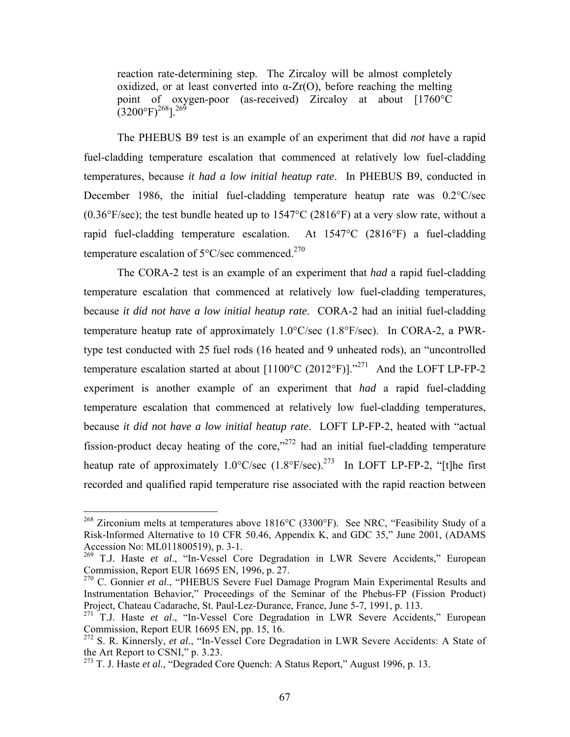reaction rate-determining step. The Zircaloy will be almost completely oxidized, or at least converted into  $\alpha$ -Zr(O), before reaching the melting point of oxygen-poor (as-received) Zircaloy at about [1760°C  $(3200^{\circ}F)^{268}$ ].<sup>269</sup>

The PHEBUS B9 test is an example of an experiment that did *not* have a rapid fuel-cladding temperature escalation that commenced at relatively low fuel-cladding temperatures, because *it had a low initial heatup rate*. In PHEBUS B9, conducted in December 1986, the initial fuel-cladding temperature heatup rate was 0.2°C/sec  $(0.36\textdegree F/sec)$ ; the test bundle heated up to  $1547\textdegree C$  (2816 $\textdegree F$ ) at a very slow rate, without a rapid fuel-cladding temperature escalation. At 1547°C (2816°F) a fuel-cladding temperature escalation of  $5^{\circ}$ C/sec commenced.<sup>270</sup>

The CORA-2 test is an example of an experiment that *had* a rapid fuel-cladding temperature escalation that commenced at relatively low fuel-cladding temperatures, because *it did not have a low initial heatup rate*. CORA-2 had an initial fuel-cladding temperature heatup rate of approximately 1.0°C/sec (1.8°F/sec). In CORA-2, a PWRtype test conducted with 25 fuel rods (16 heated and 9 unheated rods), an "uncontrolled temperature escalation started at about  $[1100^{\circ}C (2012^{\circ}F)]$ ."<sup>271</sup> And the LOFT LP-FP-2 experiment is another example of an experiment that *had* a rapid fuel-cladding temperature escalation that commenced at relatively low fuel-cladding temperatures, because *it did not have a low initial heatup rate*. LOFT LP-FP-2, heated with "actual fission-product decay heating of the core," $272$  had an initial fuel-cladding temperature heatup rate of approximately  $1.0^{\circ}$ C/sec  $(1.8^{\circ}$ F/sec).<sup>273</sup> In LOFT LP-FP-2, "[t]he first recorded and qualified rapid temperature rise associated with the rapid reaction between

<sup>&</sup>lt;sup>268</sup> Zirconium melts at temperatures above 1816°C (3300°F). See NRC, "Feasibility Study of a Risk-Informed Alternative to 10 CFR 50.46, Appendix K, and GDC 35," June 2001, (ADAMS Accession No: ML011800519), p. 3-1.

<sup>&</sup>lt;sup>269</sup> T.J. Haste et al., "In-Vessel Core Degradation in LWR Severe Accidents," European Commission, Report EUR 16695 EN, 1996, p. 27.

<sup>270</sup> C. Gonnier *et al*., "PHEBUS Severe Fuel Damage Program Main Experimental Results and Instrumentation Behavior," Proceedings of the Seminar of the Phebus-FP (Fission Product) Project, Chateau Cadarache, St. Paul-Lez-Durance, France, June 5-7, 1991, p. 113.

<sup>&</sup>lt;sup>271</sup> T.J. Haste *et al.*, "In-Vessel Core Degradation in LWR Severe Accidents," European Commission, Report EUR 16695 EN, pp. 15, 16.

<sup>&</sup>lt;sup>272</sup> S. R. Kinnersly, *et al.*, "In-Vessel Core Degradation in LWR Severe Accidents: A State of the Art Report to CSNI," p. 3.23.

<sup>273</sup> T. J. Haste *et al*., "Degraded Core Quench: A Status Report," August 1996, p. 13.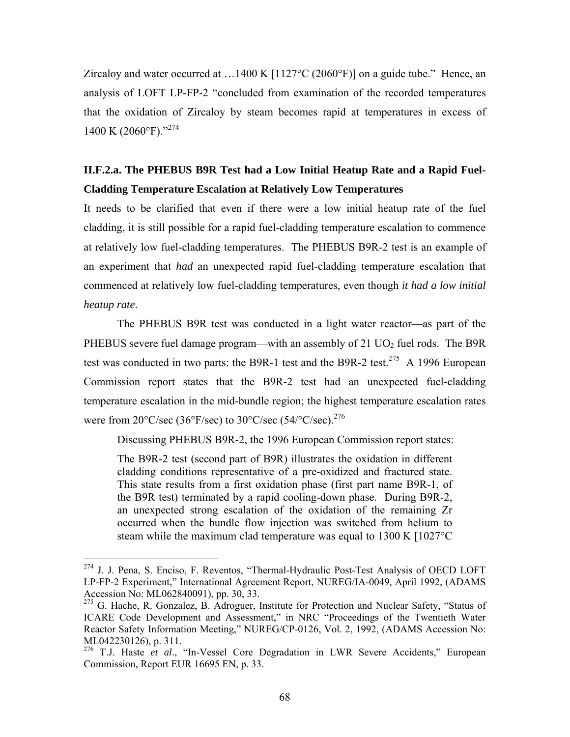Zircaloy and water occurred at  $\dots$ 1400 K [1127°C (2060°F)] on a guide tube." Hence, an analysis of LOFT LP-FP-2 "concluded from examination of the recorded temperatures that the oxidation of Zircaloy by steam becomes rapid at temperatures in excess of 1400 K (2060°F)."274

### **II.F.2.a. The PHEBUS B9R Test had a Low Initial Heatup Rate and a Rapid Fuel-Cladding Temperature Escalation at Relatively Low Temperatures**

It needs to be clarified that even if there were a low initial heatup rate of the fuel cladding, it is still possible for a rapid fuel-cladding temperature escalation to commence at relatively low fuel-cladding temperatures. The PHEBUS B9R-2 test is an example of an experiment that *had* an unexpected rapid fuel-cladding temperature escalation that commenced at relatively low fuel-cladding temperatures, even though *it had a low initial heatup rate*.

The PHEBUS B9R test was conducted in a light water reactor—as part of the PHEBUS severe fuel damage program—with an assembly of 21  $UO<sub>2</sub>$  fuel rods. The B9R test was conducted in two parts: the B9R-1 test and the B9R-2 test.<sup>275</sup> A 1996 European Commission report states that the B9R-2 test had an unexpected fuel-cladding temperature escalation in the mid-bundle region; the highest temperature escalation rates were from  $20^{\circ}$ C/sec (36°F/sec) to  $30^{\circ}$ C/sec (54/°C/sec).<sup>276</sup>

Discussing PHEBUS B9R-2, the 1996 European Commission report states:

The B9R-2 test (second part of B9R) illustrates the oxidation in different cladding conditions representative of a pre-oxidized and fractured state. This state results from a first oxidation phase (first part name B9R-1, of the B9R test) terminated by a rapid cooling-down phase. During B9R-2, an unexpected strong escalation of the oxidation of the remaining Zr occurred when the bundle flow injection was switched from helium to steam while the maximum clad temperature was equal to 1300 K [1027°C

<sup>&</sup>lt;sup>274</sup> J. J. Pena, S. Enciso, F. Reventos, "Thermal-Hydraulic Post-Test Analysis of OECD LOFT LP-FP-2 Experiment," International Agreement Report, NUREG/IA-0049, April 1992, (ADAMS Accession No: ML062840091), pp. 30, 33.

<sup>&</sup>lt;sup>275</sup> G. Hache, R. Gonzalez, B. Adroguer, Institute for Protection and Nuclear Safety, "Status of ICARE Code Development and Assessment," in NRC "Proceedings of the Twentieth Water Reactor Safety Information Meeting," NUREG/CP-0126, Vol. 2, 1992, (ADAMS Accession No: ML042230126), p. 311.

<sup>&</sup>lt;sup>276</sup> T.J. Haste *et al.*, "In-Vessel Core Degradation in LWR Severe Accidents," European Commission, Report EUR 16695 EN, p. 33.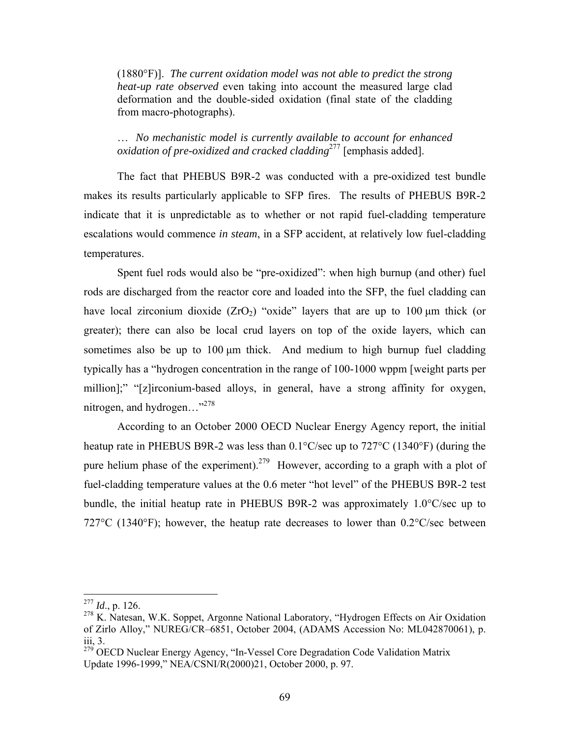(1880°F)]. *The current oxidation model was not able to predict the strong heat-up rate observed* even taking into account the measured large clad deformation and the double-sided oxidation (final state of the cladding from macro-photographs).

… *No mechanistic model is currently available to account for enhanced oxidation of pre-oxidized and cracked cladding*277 [emphasis added].

The fact that PHEBUS B9R-2 was conducted with a pre-oxidized test bundle makes its results particularly applicable to SFP fires. The results of PHEBUS B9R-2 indicate that it is unpredictable as to whether or not rapid fuel-cladding temperature escalations would commence *in steam*, in a SFP accident, at relatively low fuel-cladding temperatures.

Spent fuel rods would also be "pre-oxidized": when high burnup (and other) fuel rods are discharged from the reactor core and loaded into the SFP, the fuel cladding can have local zirconium dioxide  $(ZrO<sub>2</sub>)$  "oxide" layers that are up to 100 µm thick (or greater); there can also be local crud layers on top of the oxide layers, which can sometimes also be up to 100 μm thick. And medium to high burnup fuel cladding typically has a "hydrogen concentration in the range of 100-1000 wppm [weight parts per million];" "[z]irconium-based alloys, in general, have a strong affinity for oxygen, nitrogen, and hydrogen..."<sup>278</sup>

According to an October 2000 OECD Nuclear Energy Agency report, the initial heatup rate in PHEBUS B9R-2 was less than 0.1°C/sec up to 727°C (1340°F) (during the pure helium phase of the experiment).<sup>279</sup> However, according to a graph with a plot of fuel-cladding temperature values at the 0.6 meter "hot level" of the PHEBUS B9R-2 test bundle, the initial heatup rate in PHEBUS B9R-2 was approximately 1.0°C/sec up to 727 $\rm{^{\circ}C}$  (1340 $\rm{^{\circ}F}$ ); however, the heatup rate decreases to lower than 0.2 $\rm{^{\circ}C/sec}$  between

 $^{277}$  *Id.*, p. 126.

 $^{278}$  K. Natesan, W.K. Soppet, Argonne National Laboratory, "Hydrogen Effects on Air Oxidation" of Zirlo Alloy," NUREG/CR–6851, October 2004, (ADAMS Accession No: ML042870061), p. iii, 3.

<sup>&</sup>lt;sup>279</sup> OECD Nuclear Energy Agency, "In-Vessel Core Degradation Code Validation Matrix Update 1996-1999," NEA/CSNI/R(2000)21, October 2000, p. 97.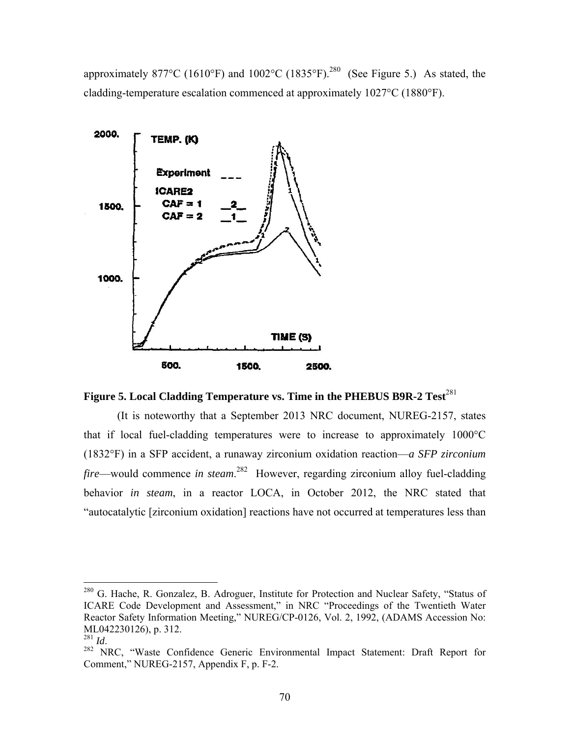approximately 877°C (1610°F) and 1002°C (1835°F).<sup>280</sup> (See Figure 5.) As stated, the cladding-temperature escalation commenced at approximately 1027°C (1880°F).





(It is noteworthy that a September 2013 NRC document, NUREG-2157, states that if local fuel-cladding temperatures were to increase to approximately 1000°C (1832°F) in a SFP accident, a runaway zirconium oxidation reaction—*a SFP zirconium fire*—would commence *in steam*. 282 However, regarding zirconium alloy fuel-cladding behavior *in steam*, in a reactor LOCA, in October 2012, the NRC stated that "autocatalytic [zirconium oxidation] reactions have not occurred at temperatures less than

 $^{280}$  G. Hache, R. Gonzalez, B. Adroguer, Institute for Protection and Nuclear Safety, "Status of ICARE Code Development and Assessment," in NRC "Proceedings of the Twentieth Water Reactor Safety Information Meeting," NUREG/CP-0126, Vol. 2, 1992, (ADAMS Accession No: ML042230126), p. 312.<br><sup>281</sup> Id.

<sup>&</sup>lt;sup>282</sup> NRC, "Waste Confidence Generic Environmental Impact Statement: Draft Report for Comment," NUREG-2157, Appendix F, p. F-2.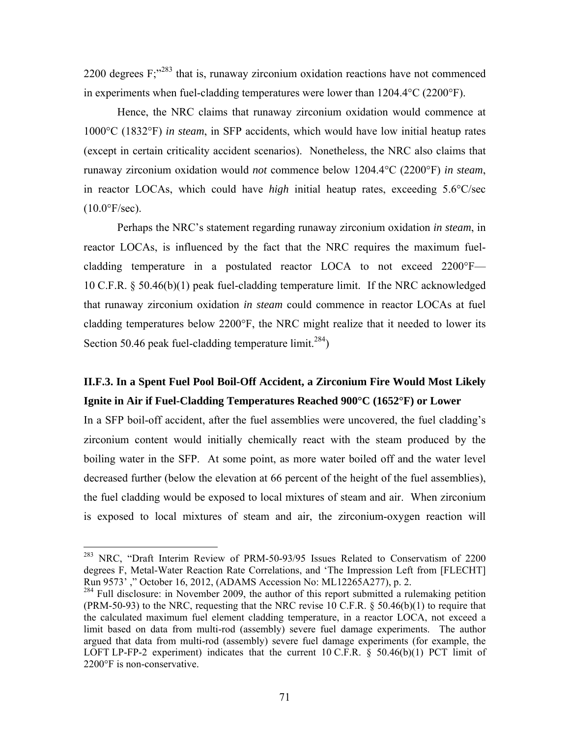2200 degrees F;"283 that is, runaway zirconium oxidation reactions have not commenced in experiments when fuel-cladding temperatures were lower than 1204.4°C (2200°F).

Hence, the NRC claims that runaway zirconium oxidation would commence at 1000°C (1832°F) *in steam*, in SFP accidents, which would have low initial heatup rates (except in certain criticality accident scenarios). Nonetheless, the NRC also claims that runaway zirconium oxidation would *not* commence below 1204.4°C (2200°F) *in steam*, in reactor LOCAs, which could have *high* initial heatup rates, exceeding 5.6°C/sec  $(10.0\text{°F/sec})$ .

Perhaps the NRC's statement regarding runaway zirconium oxidation *in steam*, in reactor LOCAs, is influenced by the fact that the NRC requires the maximum fuelcladding temperature in a postulated reactor LOCA to not exceed 2200°F— 10 C.F.R. § 50.46(b)(1) peak fuel-cladding temperature limit. If the NRC acknowledged that runaway zirconium oxidation *in steam* could commence in reactor LOCAs at fuel cladding temperatures below 2200°F, the NRC might realize that it needed to lower its Section 50.46 peak fuel-cladding temperature limit.<sup>284</sup>)

### **II.F.3. In a Spent Fuel Pool Boil-Off Accident, a Zirconium Fire Would Most Likely Ignite in Air if Fuel-Cladding Temperatures Reached 900°C (1652°F) or Lower**

In a SFP boil-off accident, after the fuel assemblies were uncovered, the fuel cladding's zirconium content would initially chemically react with the steam produced by the boiling water in the SFP. At some point, as more water boiled off and the water level decreased further (below the elevation at 66 percent of the height of the fuel assemblies), the fuel cladding would be exposed to local mixtures of steam and air. When zirconium is exposed to local mixtures of steam and air, the zirconium-oxygen reaction will

<sup>&</sup>lt;sup>283</sup> NRC, "Draft Interim Review of PRM-50-93/95 Issues Related to Conservatism of 2200 degrees F, Metal-Water Reaction Rate Correlations, and 'The Impression Left from [FLECHT] Run 9573' ," October 16, 2012, (ADAMS Accession No: ML12265A277), p. 2.

<sup>&</sup>lt;sup>284</sup> Full disclosure: in November 2009, the author of this report submitted a rulemaking petition  $(PRM-50-93)$  to the NRC, requesting that the NRC revise 10 C.F.R. § 50.46(b)(1) to require that the calculated maximum fuel element cladding temperature, in a reactor LOCA, not exceed a limit based on data from multi-rod (assembly) severe fuel damage experiments. The author argued that data from multi-rod (assembly) severe fuel damage experiments (for example, the LOFT LP-FP-2 experiment) indicates that the current 10 C.F.R.  $\S$  50.46(b)(1) PCT limit of 2200°F is non-conservative.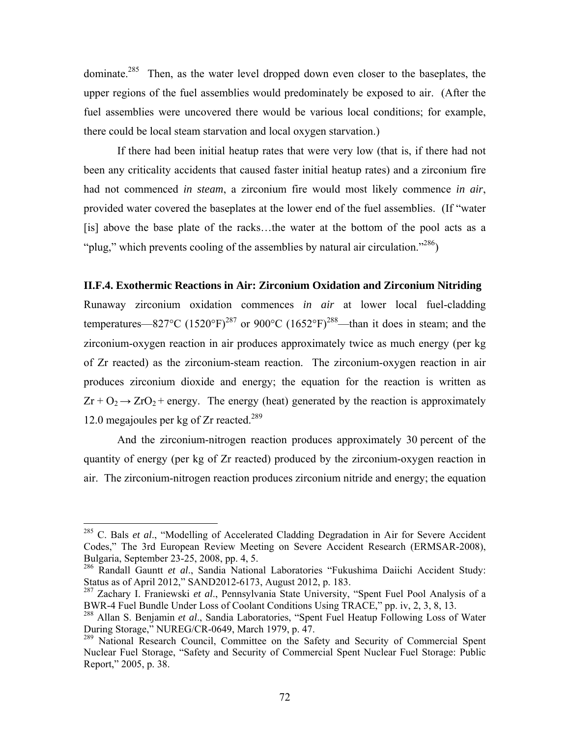dominate.<sup>285</sup> Then, as the water level dropped down even closer to the baseplates, the upper regions of the fuel assemblies would predominately be exposed to air. (After the fuel assemblies were uncovered there would be various local conditions; for example, there could be local steam starvation and local oxygen starvation.)

If there had been initial heatup rates that were very low (that is, if there had not been any criticality accidents that caused faster initial heatup rates) and a zirconium fire had not commenced *in steam*, a zirconium fire would most likely commence *in air*, provided water covered the baseplates at the lower end of the fuel assemblies. (If "water [is] above the base plate of the racks...the water at the bottom of the pool acts as a "plug," which prevents cooling of the assemblies by natural air circulation."<sup>286</sup>)

#### **II.F.4. Exothermic Reactions in Air: Zirconium Oxidation and Zirconium Nitriding**

Runaway zirconium oxidation commences *in air* at lower local fuel-cladding temperatures—827°C (1520°F)<sup>287</sup> or 900°C (1652°F)<sup>288</sup>—than it does in steam; and the zirconium-oxygen reaction in air produces approximately twice as much energy (per kg of Zr reacted) as the zirconium-steam reaction. The zirconium-oxygen reaction in air produces zirconium dioxide and energy; the equation for the reaction is written as  $Zr + O_2 \rightarrow ZrO_2$  + energy. The energy (heat) generated by the reaction is approximately 12.0 megajoules per kg of  $Zr$  reacted.<sup>289</sup>

And the zirconium-nitrogen reaction produces approximately 30 percent of the quantity of energy (per kg of Zr reacted) produced by the zirconium-oxygen reaction in air. The zirconium-nitrogen reaction produces zirconium nitride and energy; the equation

<u>.</u>

<sup>285</sup> C. Bals *et al*., "Modelling of Accelerated Cladding Degradation in Air for Severe Accident Codes," The 3rd European Review Meeting on Severe Accident Research (ERMSAR-2008), Bulgaria, September 23-25, 2008, pp. 4, 5.

<sup>286</sup> Randall Gauntt *et al*., Sandia National Laboratories "Fukushima Daiichi Accident Study: Status as of April 2012," SAND2012-6173, August 2012, p. 183.

<sup>287</sup> Zachary I. Franiewski *et al*., Pennsylvania State University, "Spent Fuel Pool Analysis of a BWR-4 Fuel Bundle Under Loss of Coolant Conditions Using TRACE," pp. iv, 2, 3, 8, 13.

<sup>288</sup> Allan S. Benjamin *et al*., Sandia Laboratories, "Spent Fuel Heatup Following Loss of Water During Storage," NUREG/CR-0649, March 1979, p. 47.

<sup>&</sup>lt;sup>289</sup> National Research Council, Committee on the Safety and Security of Commercial Spent Nuclear Fuel Storage, "Safety and Security of Commercial Spent Nuclear Fuel Storage: Public Report," 2005, p. 38.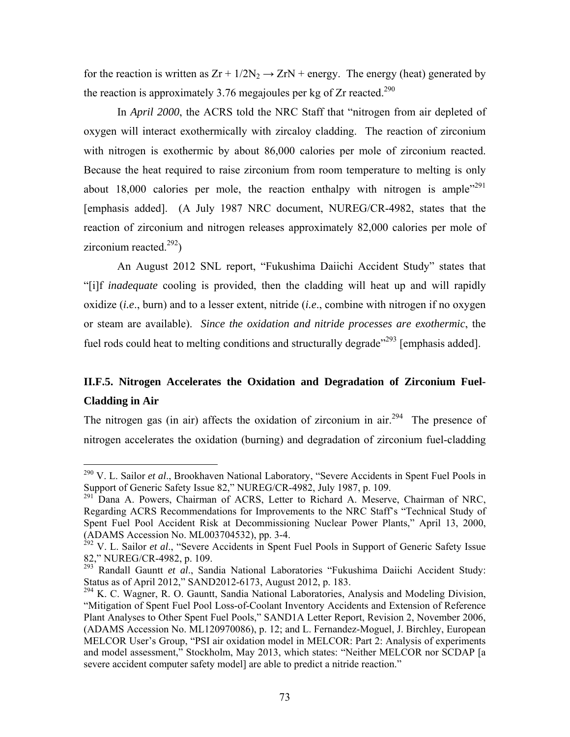for the reaction is written as  $Zr + 1/2N_2 \rightarrow ZrN$  + energy. The energy (heat) generated by the reaction is approximately 3.76 megajoules per kg of Zr reacted.<sup>290</sup>

In *April 2000*, the ACRS told the NRC Staff that "nitrogen from air depleted of oxygen will interact exothermically with zircaloy cladding. The reaction of zirconium with nitrogen is exothermic by about 86,000 calories per mole of zirconium reacted. Because the heat required to raise zirconium from room temperature to melting is only about 18,000 calories per mole, the reaction enthalpy with nitrogen is ample<sup> $291$ </sup> [emphasis added]. (A July 1987 NRC document, NUREG/CR-4982, states that the reaction of zirconium and nitrogen releases approximately 82,000 calories per mole of zirconium reacted. $^{292}$ )

An August 2012 SNL report, "Fukushima Daiichi Accident Study" states that "[i]f *inadequate* cooling is provided, then the cladding will heat up and will rapidly oxidize (*i.e*., burn) and to a lesser extent, nitride (*i.e*., combine with nitrogen if no oxygen or steam are available). *Since the oxidation and nitride processes are exothermic*, the fuel rods could heat to melting conditions and structurally degrade"<sup>293</sup> [emphasis added].

# **II.F.5. Nitrogen Accelerates the Oxidation and Degradation of Zirconium Fuel-Cladding in Air**

The nitrogen gas (in air) affects the oxidation of zirconium in air.<sup>294</sup> The presence of nitrogen accelerates the oxidation (burning) and degradation of zirconium fuel-cladding

<sup>290</sup> V. L. Sailor *et al*., Brookhaven National Laboratory, "Severe Accidents in Spent Fuel Pools in Support of Generic Safety Issue 82," NUREG/CR-4982, July 1987, p. 109.

<sup>&</sup>lt;sup>291</sup> Dana A. Powers, Chairman of ACRS, Letter to Richard A. Meserve, Chairman of NRC, Regarding ACRS Recommendations for Improvements to the NRC Staff's "Technical Study of Spent Fuel Pool Accident Risk at Decommissioning Nuclear Power Plants," April 13, 2000, (ADAMS Accession No. ML003704532), pp. 3-4.

<sup>&</sup>lt;sup>292</sup> V. L. Sailor *et al.*, "Severe Accidents in Spent Fuel Pools in Support of Generic Safety Issue 82," NUREG/CR-4982, p. 109.

<sup>293</sup> Randall Gauntt *et al*., Sandia National Laboratories "Fukushima Daiichi Accident Study: Status as of April 2012," SAND2012-6173, August 2012, p. 183.

<sup>&</sup>lt;sup>294</sup> K. C. Wagner, R. O. Gauntt, Sandia National Laboratories, Analysis and Modeling Division, "Mitigation of Spent Fuel Pool Loss-of-Coolant Inventory Accidents and Extension of Reference Plant Analyses to Other Spent Fuel Pools," SAND1A Letter Report, Revision 2, November 2006, (ADAMS Accession No. ML120970086), p. 12; and L. Fernandez-Moguel, J. Birchley, European MELCOR User's Group, "PSI air oxidation model in MELCOR: Part 2: Analysis of experiments and model assessment," Stockholm, May 2013, which states: "Neither MELCOR nor SCDAP [a severe accident computer safety model] are able to predict a nitride reaction."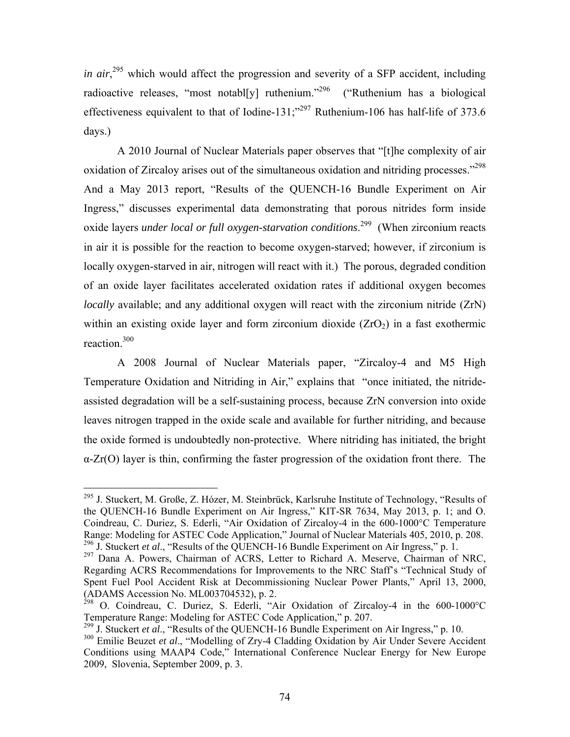in air,<sup>295</sup> which would affect the progression and severity of a SFP accident, including radioactive releases, "most notable ruthenium."<sup>296</sup> ("Ruthenium has a biological effectiveness equivalent to that of Iodine-131;"<sup>297</sup> Ruthenium-106 has half-life of 373.6 days.)

A 2010 Journal of Nuclear Materials paper observes that "[t]he complexity of air oxidation of Zircaloy arises out of the simultaneous oxidation and nitriding processes."<sup>298</sup> And a May 2013 report, "Results of the QUENCH-16 Bundle Experiment on Air Ingress," discusses experimental data demonstrating that porous nitrides form inside oxide layers *under local or full oxygen-starvation conditions*.<sup>299</sup> (When zirconium reacts in air it is possible for the reaction to become oxygen-starved; however, if zirconium is locally oxygen-starved in air, nitrogen will react with it.) The porous, degraded condition of an oxide layer facilitates accelerated oxidation rates if additional oxygen becomes *locally* available; and any additional oxygen will react with the zirconium nitride (ZrN) within an existing oxide layer and form zirconium dioxide  $(ZrO<sub>2</sub>)$  in a fast exothermic reaction.<sup>300</sup>

A 2008 Journal of Nuclear Materials paper, "Zircaloy-4 and M5 High Temperature Oxidation and Nitriding in Air," explains that "once initiated, the nitrideassisted degradation will be a self-sustaining process, because ZrN conversion into oxide leaves nitrogen trapped in the oxide scale and available for further nitriding, and because the oxide formed is undoubtedly non-protective. Where nitriding has initiated, the bright  $\alpha$ -Zr(O) layer is thin, confirming the faster progression of the oxidation front there. The

<sup>1</sup> <sup>295</sup> J. Stuckert, M. Große, Z. Hózer, M. Steinbrück, Karlsruhe Institute of Technology, "Results of the QUENCH-16 Bundle Experiment on Air Ingress," KIT-SR 7634, May 2013, p. 1; and O. Coindreau, C. Duriez, S. Ederli, "Air Oxidation of Zircaloy-4 in the 600-1000°C Temperature Range: Modeling for ASTEC Code Application," Journal of Nuclear Materials 405, 2010, p. 208. <sup>296</sup> J. Stuckert *et al.*, "Results of the QUENCH-16 Bundle Experiment on Air Ingress," p. 1.

<sup>&</sup>lt;sup>297</sup> Dana A. Powers, Chairman of ACRS, Letter to Richard A. Meserve, Chairman of NRC, Regarding ACRS Recommendations for Improvements to the NRC Staff's "Technical Study of Spent Fuel Pool Accident Risk at Decommissioning Nuclear Power Plants," April 13, 2000, (ADAMS Accession No. ML003704532), p. 2.

<sup>&</sup>lt;sup>298</sup> O. Coindreau, C. Duriez, S. Ederli, "Air Oxidation of Zircaloy-4 in the 600-1000°C Temperature Range: Modeling for ASTEC Code Application," p. 207.

<sup>&</sup>lt;sup>299</sup> J. Stuckert *et al.*, "Results of the QUENCH-16 Bundle Experiment on Air Ingress," p. 10.

<sup>&</sup>lt;sup>300</sup> Emilie Beuzet et al., "Modelling of Zry-4 Cladding Oxidation by Air Under Severe Accident Conditions using MAAP4 Code," International Conference Nuclear Energy for New Europe 2009, Slovenia, September 2009, p. 3.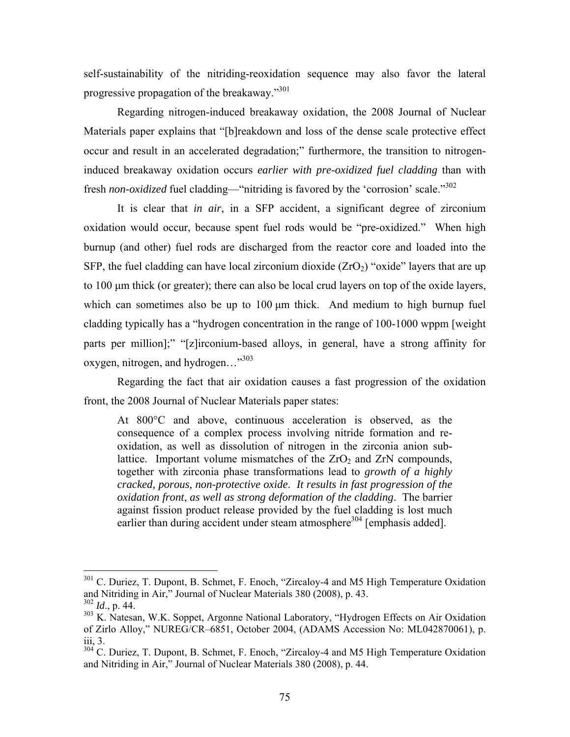self-sustainability of the nitriding-reoxidation sequence may also favor the lateral progressive propagation of the breakaway."301

Regarding nitrogen-induced breakaway oxidation, the 2008 Journal of Nuclear Materials paper explains that "[b]reakdown and loss of the dense scale protective effect occur and result in an accelerated degradation;" furthermore, the transition to nitrogeninduced breakaway oxidation occurs *earlier with pre-oxidized fuel cladding* than with fresh *non-oxidized* fuel cladding—"nitriding is favored by the 'corrosion' scale."<sup>302</sup>

It is clear that *in air*, in a SFP accident, a significant degree of zirconium oxidation would occur, because spent fuel rods would be "pre-oxidized." When high burnup (and other) fuel rods are discharged from the reactor core and loaded into the SFP, the fuel cladding can have local zirconium dioxide  $(ZrO<sub>2</sub>)$  "oxide" layers that are up to 100 μm thick (or greater); there can also be local crud layers on top of the oxide layers, which can sometimes also be up to 100 μm thick. And medium to high burnup fuel cladding typically has a "hydrogen concentration in the range of 100-1000 wppm [weight parts per million];" "[z]irconium-based alloys, in general, have a strong affinity for oxygen, nitrogen, and hydrogen..."<sup>303</sup>

Regarding the fact that air oxidation causes a fast progression of the oxidation front, the 2008 Journal of Nuclear Materials paper states:

At 800°C and above, continuous acceleration is observed, as the consequence of a complex process involving nitride formation and reoxidation, as well as dissolution of nitrogen in the zirconia anion sublattice. Important volume mismatches of the  $ZrO<sub>2</sub>$  and  $ZrN$  compounds, together with zirconia phase transformations lead to *growth of a highly cracked, porous, non-protective oxide*. *It results in fast progression of the oxidation front*, *as well as strong deformation of the cladding*. The barrier against fission product release provided by the fuel cladding is lost much earlier than during accident under steam atmosphere<sup>304</sup> [emphasis added].

<sup>&</sup>lt;sup>301</sup> C. Duriez, T. Dupont, B. Schmet, F. Enoch, "Zircaloy-4 and M5 High Temperature Oxidation and Nitriding in Air," Journal of Nuclear Materials 380 (2008), p. 43.  $302$  *Id.*, p. 44.

<sup>&</sup>lt;sup>303</sup> K. Natesan, W.K. Soppet, Argonne National Laboratory, "Hydrogen Effects on Air Oxidation of Zirlo Alloy," NUREG/CR–6851, October 2004, (ADAMS Accession No: ML042870061), p. iii, 3.

<sup>&</sup>lt;sup>304</sup> C. Duriez, T. Dupont, B. Schmet, F. Enoch, "Zircaloy-4 and M5 High Temperature Oxidation and Nitriding in Air," Journal of Nuclear Materials 380 (2008), p. 44.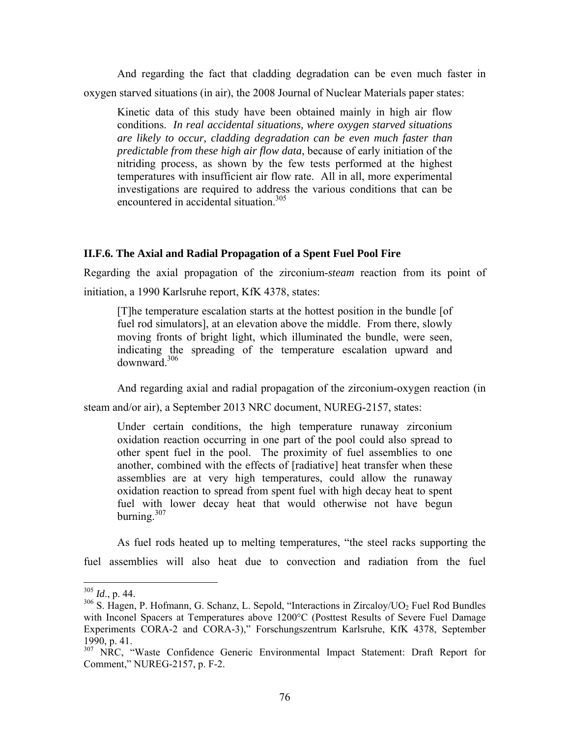And regarding the fact that cladding degradation can be even much faster in oxygen starved situations (in air), the 2008 Journal of Nuclear Materials paper states:

Kinetic data of this study have been obtained mainly in high air flow conditions. *In real accidental situations, where oxygen starved situations are likely to occur, cladding degradation can be even much faster than predictable from these high air flow data*, because of early initiation of the nitriding process, as shown by the few tests performed at the highest temperatures with insufficient air flow rate. All in all, more experimental investigations are required to address the various conditions that can be encountered in accidental situation.<sup>305</sup>

#### **II.F.6. The Axial and Radial Propagation of a Spent Fuel Pool Fire**

Regarding the axial propagation of the zirconium-*steam* reaction from its point of initiation, a 1990 Karlsruhe report, KfK 4378, states:

[T]he temperature escalation starts at the hottest position in the bundle [of fuel rod simulators], at an elevation above the middle. From there, slowly moving fronts of bright light, which illuminated the bundle, were seen, indicating the spreading of the temperature escalation upward and downward.306

And regarding axial and radial propagation of the zirconium-oxygen reaction (in

steam and/or air), a September 2013 NRC document, NUREG-2157, states:

Under certain conditions, the high temperature runaway zirconium oxidation reaction occurring in one part of the pool could also spread to other spent fuel in the pool. The proximity of fuel assemblies to one another, combined with the effects of [radiative] heat transfer when these assemblies are at very high temperatures, could allow the runaway oxidation reaction to spread from spent fuel with high decay heat to spent fuel with lower decay heat that would otherwise not have begun burning. $307$ 

As fuel rods heated up to melting temperatures, "the steel racks supporting the fuel assemblies will also heat due to convection and radiation from the fuel

 $305$  *Id.*, p. 44.

 $306$  S. Hagen, P. Hofmann, G. Schanz, L. Sepold, "Interactions in Zircaloy/UO<sub>2</sub> Fuel Rod Bundles with Inconel Spacers at Temperatures above 1200°C (Posttest Results of Severe Fuel Damage Experiments CORA-2 and CORA-3)," Forschungszentrum Karlsruhe, KfK 4378, September 1990, p. 41.

<sup>&</sup>lt;sup>307</sup> NRC, "Waste Confidence Generic Environmental Impact Statement: Draft Report for Comment," NUREG-2157, p. F-2.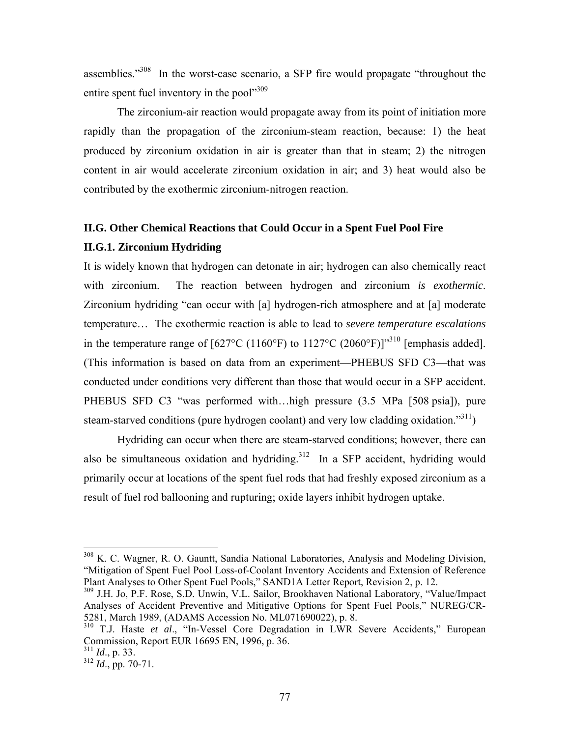assemblies."308 In the worst-case scenario, a SFP fire would propagate "throughout the entire spent fuel inventory in the pool"<sup>309</sup>

The zirconium-air reaction would propagate away from its point of initiation more rapidly than the propagation of the zirconium-steam reaction, because: 1) the heat produced by zirconium oxidation in air is greater than that in steam; 2) the nitrogen content in air would accelerate zirconium oxidation in air; and 3) heat would also be contributed by the exothermic zirconium-nitrogen reaction.

#### **II.G. Other Chemical Reactions that Could Occur in a Spent Fuel Pool Fire**

#### **II.G.1. Zirconium Hydriding**

It is widely known that hydrogen can detonate in air; hydrogen can also chemically react with zirconium. The reaction between hydrogen and zirconium *is exothermic*. Zirconium hydriding "can occur with [a] hydrogen-rich atmosphere and at [a] moderate temperature… The exothermic reaction is able to lead to *severe temperature escalations* in the temperature range of  $[627^{\circ}C (1160^{\circ}F)$  to  $1127^{\circ}C (2060^{\circ}F)]^{310}$  [emphasis added]. (This information is based on data from an experiment—PHEBUS SFD C3—that was conducted under conditions very different than those that would occur in a SFP accident. PHEBUS SFD C3 "was performed with...high pressure (3.5 MPa [508 psia]), pure steam-starved conditions (pure hydrogen coolant) and very low cladding oxidation."<sup>311</sup>)

Hydriding can occur when there are steam-starved conditions; however, there can also be simultaneous oxidation and hydriding.<sup>312</sup> In a SFP accident, hydriding would primarily occur at locations of the spent fuel rods that had freshly exposed zirconium as a result of fuel rod ballooning and rupturing; oxide layers inhibit hydrogen uptake.

<sup>&</sup>lt;sup>308</sup> K. C. Wagner, R. O. Gauntt, Sandia National Laboratories, Analysis and Modeling Division, "Mitigation of Spent Fuel Pool Loss-of-Coolant Inventory Accidents and Extension of Reference Plant Analyses to Other Spent Fuel Pools," SAND1A Letter Report, Revision 2, p. 12.

<sup>309</sup> J.H. Jo, P.F. Rose, S.D. Unwin, V.L. Sailor, Brookhaven National Laboratory, "Value/Impact Analyses of Accident Preventive and Mitigative Options for Spent Fuel Pools," NUREG/CR-5281, March 1989, (ADAMS Accession No. ML071690022), p. 8.

<sup>310</sup> T.J. Haste *et al*., "In-Vessel Core Degradation in LWR Severe Accidents," European Commission, Report EUR 16695 EN, 1996, p. 36.

<sup>311</sup> *Id*., p. 33.

<sup>312</sup> *Id*., pp. 70-71.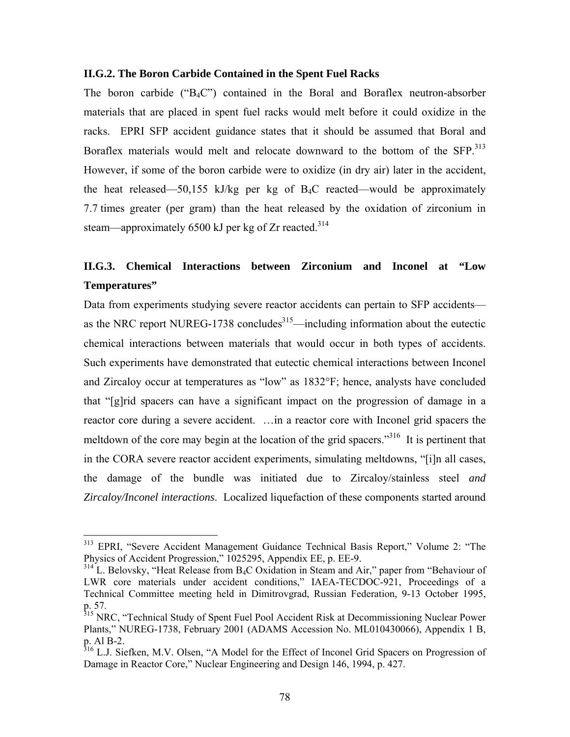#### **II.G.2. The Boron Carbide Contained in the Spent Fuel Racks**

The boron carbide (" $B_4C$ ") contained in the Boral and Boraflex neutron-absorber materials that are placed in spent fuel racks would melt before it could oxidize in the racks. EPRI SFP accident guidance states that it should be assumed that Boral and Boraflex materials would melt and relocate downward to the bottom of the SFP.<sup>313</sup> However, if some of the boron carbide were to oxidize (in dry air) later in the accident, the heat released—50,155 kJ/kg per kg of  $B_4C$  reacted—would be approximately 7.7 times greater (per gram) than the heat released by the oxidation of zirconium in steam—approximately 6500 kJ per kg of Zr reacted.<sup>314</sup>

## **II.G.3. Chemical Interactions between Zirconium and Inconel at "Low Temperatures"**

Data from experiments studying severe reactor accidents can pertain to SFP accidents as the NRC report NUREG-1738 concludes $315$ —including information about the eutectic chemical interactions between materials that would occur in both types of accidents. Such experiments have demonstrated that eutectic chemical interactions between Inconel and Zircaloy occur at temperatures as "low" as 1832°F; hence, analysts have concluded that "[g]rid spacers can have a significant impact on the progression of damage in a reactor core during a severe accident. …in a reactor core with Inconel grid spacers the meltdown of the core may begin at the location of the grid spacers."<sup>316</sup> It is pertinent that in the CORA severe reactor accident experiments, simulating meltdowns, "[i]n all cases, the damage of the bundle was initiated due to Zircaloy/stainless steel *and Zircaloy/Inconel interactions*. Localized liquefaction of these components started around

<sup>313</sup> EPRI, "Severe Accident Management Guidance Technical Basis Report," Volume 2: "The Physics of Accident Progression," 1025295, Appendix EE, p. EE-9.

 $314$  L. Belovsky, "Heat Release from B<sub>4</sub>C Oxidation in Steam and Air," paper from "Behaviour of LWR core materials under accident conditions," IAEA-TECDOC-921, Proceedings of a Technical Committee meeting held in Dimitrovgrad, Russian Federation, 9-13 October 1995, p. 57.

<sup>&</sup>lt;sup>315</sup> NRC, "Technical Study of Spent Fuel Pool Accident Risk at Decommissioning Nuclear Power Plants," NUREG-1738, February 2001 (ADAMS Accession No. ML010430066), Appendix 1 B, p. Al B-2.

<sup>&</sup>lt;sup>316</sup> L.J. Siefken, M.V. Olsen, "A Model for the Effect of Inconel Grid Spacers on Progression of Damage in Reactor Core," Nuclear Engineering and Design 146, 1994, p. 427.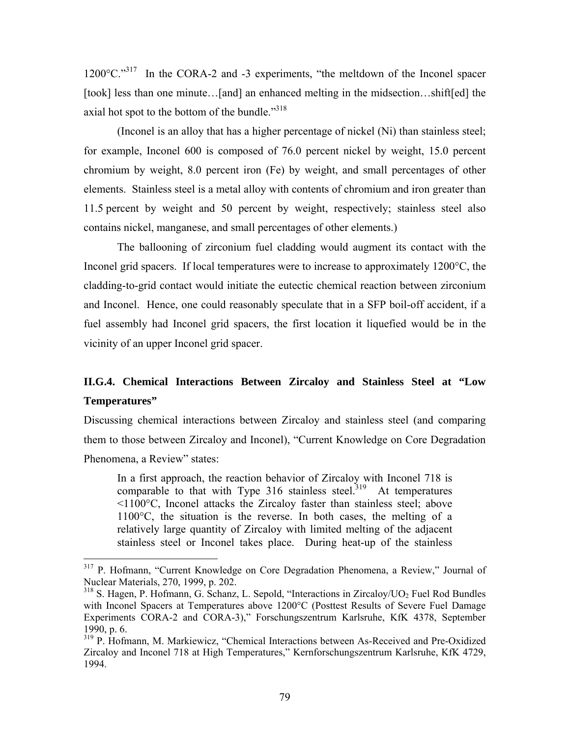$1200^{\circ}$ C."<sup>317</sup> In the CORA-2 and -3 experiments, "the meltdown of the Inconel spacer [took] less than one minute...[and] an enhanced melting in the midsection...shift[ed] the axial hot spot to the bottom of the bundle." $318$ 

(Inconel is an alloy that has a higher percentage of nickel (Ni) than stainless steel; for example, Inconel 600 is composed of 76.0 percent nickel by weight, 15.0 percent chromium by weight, 8.0 percent iron (Fe) by weight, and small percentages of other elements. Stainless steel is a metal alloy with contents of chromium and iron greater than 11.5 percent by weight and 50 percent by weight, respectively; stainless steel also contains nickel, manganese, and small percentages of other elements.)

The ballooning of zirconium fuel cladding would augment its contact with the Inconel grid spacers. If local temperatures were to increase to approximately 1200°C, the cladding-to-grid contact would initiate the eutectic chemical reaction between zirconium and Inconel. Hence, one could reasonably speculate that in a SFP boil-off accident, if a fuel assembly had Inconel grid spacers, the first location it liquefied would be in the vicinity of an upper Inconel grid spacer.

### **II.G.4. Chemical Interactions Between Zircaloy and Stainless Steel at "Low Temperatures"**

Discussing chemical interactions between Zircaloy and stainless steel (and comparing them to those between Zircaloy and Inconel), "Current Knowledge on Core Degradation Phenomena, a Review" states:

In a first approach, the reaction behavior of Zircaloy with Inconel 718 is comparable to that with Type  $316$  stainless steel.<sup>319</sup> At temperatures <1100°C, Inconel attacks the Zircaloy faster than stainless steel; above 1100°C, the situation is the reverse. In both cases, the melting of a relatively large quantity of Zircaloy with limited melting of the adjacent stainless steel or Inconel takes place. During heat-up of the stainless

<sup>&</sup>lt;sup>317</sup> P. Hofmann, "Current Knowledge on Core Degradation Phenomena, a Review," Journal of Nuclear Materials, 270, 1999, p. 202.

 $318$  S. Hagen, P. Hofmann, G. Schanz, L. Sepold, "Interactions in Zircaloy/UO<sub>2</sub> Fuel Rod Bundles with Inconel Spacers at Temperatures above 1200°C (Posttest Results of Severe Fuel Damage Experiments CORA-2 and CORA-3)," Forschungszentrum Karlsruhe, KfK 4378, September 1990, p. 6.

<sup>319</sup> P. Hofmann, M. Markiewicz, "Chemical Interactions between As-Received and Pre-Oxidized Zircaloy and Inconel 718 at High Temperatures," Kernforschungszentrum Karlsruhe, KfK 4729, 1994.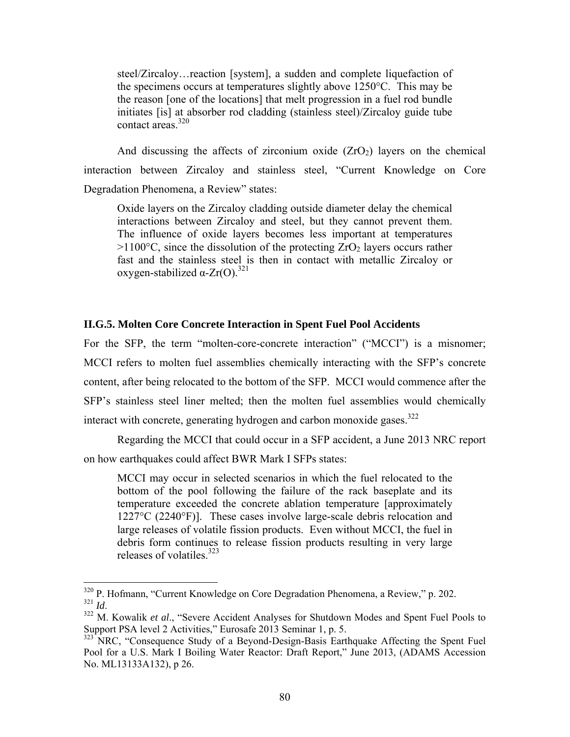steel/Zircaloy…reaction [system], a sudden and complete liquefaction of the specimens occurs at temperatures slightly above 1250°C. This may be the reason [one of the locations] that melt progression in a fuel rod bundle initiates [is] at absorber rod cladding (stainless steel)/Zircaloy guide tube contact areas $\frac{320}{ }$ 

And discussing the affects of zirconium oxide  $(ZrO<sub>2</sub>)$  layers on the chemical interaction between Zircaloy and stainless steel, "Current Knowledge on Core Degradation Phenomena, a Review" states:

Oxide layers on the Zircaloy cladding outside diameter delay the chemical interactions between Zircaloy and steel, but they cannot prevent them. The influence of oxide layers becomes less important at temperatures  $>1100^{\circ}$ C, since the dissolution of the protecting ZrO<sub>2</sub> layers occurs rather fast and the stainless steel is then in contact with metallic Zircaloy or oxygen-stabilized  $\alpha$ -Zr(O).<sup>321</sup>

#### **II.G.5. Molten Core Concrete Interaction in Spent Fuel Pool Accidents**

For the SFP, the term "molten-core-concrete interaction" ("MCCI") is a misnomer; MCCI refers to molten fuel assemblies chemically interacting with the SFP's concrete content, after being relocated to the bottom of the SFP. MCCI would commence after the SFP's stainless steel liner melted; then the molten fuel assemblies would chemically interact with concrete, generating hydrogen and carbon monoxide gases. $322$ 

Regarding the MCCI that could occur in a SFP accident, a June 2013 NRC report on how earthquakes could affect BWR Mark I SFPs states:

MCCI may occur in selected scenarios in which the fuel relocated to the bottom of the pool following the failure of the rack baseplate and its temperature exceeded the concrete ablation temperature [approximately 1227°C (2240°F)]. These cases involve large-scale debris relocation and large releases of volatile fission products. Even without MCCI, the fuel in debris form continues to release fission products resulting in very large releases of volatiles. $323$ 

 $\frac{320}{121}$  P. Hofmann, "Current Knowledge on Core Degradation Phenomena, a Review," p. 202.

<sup>&</sup>lt;sup>322</sup> M. Kowalik *et al.*, "Severe Accident Analyses for Shutdown Modes and Spent Fuel Pools to Support PSA level 2 Activities," Eurosafe 2013 Seminar 1, p. 5.

<sup>&</sup>lt;sup>323</sup> NRC, "Consequence Study of a Beyond-Design-Basis Earthquake Affecting the Spent Fuel Pool for a U.S. Mark I Boiling Water Reactor: Draft Report," June 2013, (ADAMS Accession No. ML13133A132), p 26.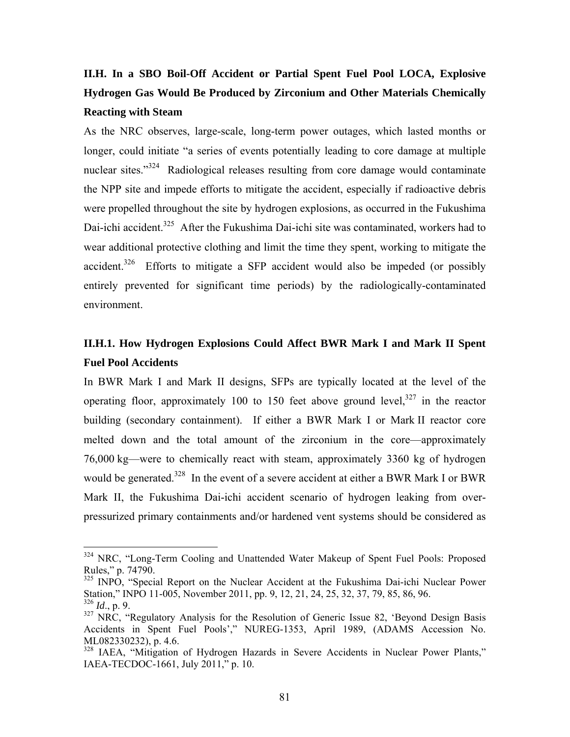# **II.H. In a SBO Boil-Off Accident or Partial Spent Fuel Pool LOCA, Explosive Hydrogen Gas Would Be Produced by Zirconium and Other Materials Chemically Reacting with Steam**

As the NRC observes, large-scale, long-term power outages, which lasted months or longer, could initiate "a series of events potentially leading to core damage at multiple nuclear sites."<sup>324</sup> Radiological releases resulting from core damage would contaminate the NPP site and impede efforts to mitigate the accident, especially if radioactive debris were propelled throughout the site by hydrogen explosions, as occurred in the Fukushima Dai-ichi accident.<sup>325</sup> After the Fukushima Dai-ichi site was contaminated, workers had to wear additional protective clothing and limit the time they spent, working to mitigate the accident.<sup>326</sup> Efforts to mitigate a SFP accident would also be impeded (or possibly entirely prevented for significant time periods) by the radiologically-contaminated environment.

## **II.H.1. How Hydrogen Explosions Could Affect BWR Mark I and Mark II Spent Fuel Pool Accidents**

In BWR Mark I and Mark II designs, SFPs are typically located at the level of the operating floor, approximately 100 to 150 feet above ground level,  $327$  in the reactor building (secondary containment). If either a BWR Mark I or Mark II reactor core melted down and the total amount of the zirconium in the core—approximately 76,000 kg—were to chemically react with steam, approximately 3360 kg of hydrogen would be generated.<sup>328</sup> In the event of a severe accident at either a BWR Mark I or BWR Mark II, the Fukushima Dai-ichi accident scenario of hydrogen leaking from overpressurized primary containments and/or hardened vent systems should be considered as

<sup>&</sup>lt;sup>324</sup> NRC, "Long-Term Cooling and Unattended Water Makeup of Spent Fuel Pools: Proposed Rules," p. 74790.

<sup>&</sup>lt;sup>325</sup> INPO, "Special Report on the Nuclear Accident at the Fukushima Dai-ichi Nuclear Power Station," INPO 11-005, November 2011, pp. 9, 12, 21, 24, 25, 32, 37, 79, 85, 86, 96.  $326$  *Id.*, p. 9.

 $327 \text{ NRC}$ , "Regulatory Analysis for the Resolution of Generic Issue 82, 'Beyond Design Basis Accidents in Spent Fuel Pools'," NUREG-1353, April 1989, (ADAMS Accession No. ML082330232), p. 4.6.

<sup>&</sup>lt;sup>328</sup> IAEA, "Mitigation of Hydrogen Hazards in Severe Accidents in Nuclear Power Plants," IAEA-TECDOC-1661, July 2011," p. 10.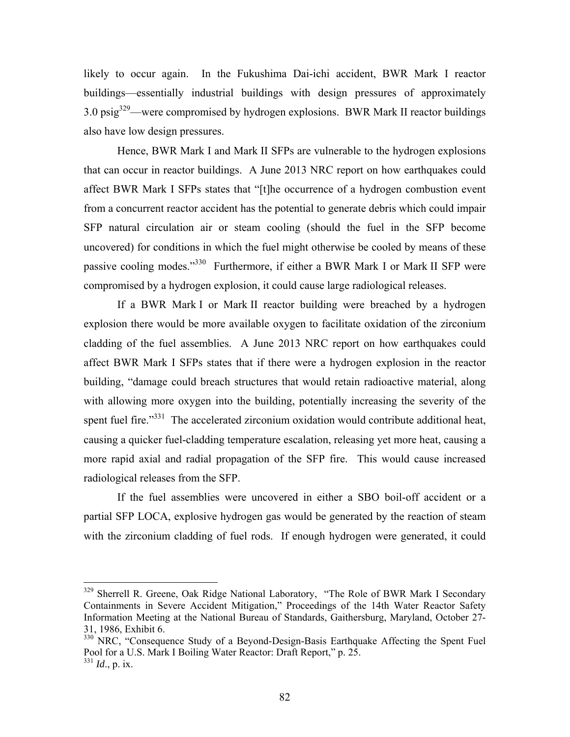likely to occur again. In the Fukushima Dai-ichi accident, BWR Mark I reactor buildings—essentially industrial buildings with design pressures of approximately 3.0 psig329—were compromised by hydrogen explosions. BWR Mark II reactor buildings also have low design pressures.

Hence, BWR Mark I and Mark II SFPs are vulnerable to the hydrogen explosions that can occur in reactor buildings. A June 2013 NRC report on how earthquakes could affect BWR Mark I SFPs states that "[t]he occurrence of a hydrogen combustion event from a concurrent reactor accident has the potential to generate debris which could impair SFP natural circulation air or steam cooling (should the fuel in the SFP become uncovered) for conditions in which the fuel might otherwise be cooled by means of these passive cooling modes."330 Furthermore, if either a BWR Mark I or Mark II SFP were compromised by a hydrogen explosion, it could cause large radiological releases.

If a BWR Mark I or Mark II reactor building were breached by a hydrogen explosion there would be more available oxygen to facilitate oxidation of the zirconium cladding of the fuel assemblies. A June 2013 NRC report on how earthquakes could affect BWR Mark I SFPs states that if there were a hydrogen explosion in the reactor building, "damage could breach structures that would retain radioactive material, along with allowing more oxygen into the building, potentially increasing the severity of the spent fuel fire."<sup>331</sup> The accelerated zirconium oxidation would contribute additional heat, causing a quicker fuel-cladding temperature escalation, releasing yet more heat, causing a more rapid axial and radial propagation of the SFP fire. This would cause increased radiological releases from the SFP.

If the fuel assemblies were uncovered in either a SBO boil-off accident or a partial SFP LOCA, explosive hydrogen gas would be generated by the reaction of steam with the zirconium cladding of fuel rods. If enough hydrogen were generated, it could

<sup>&</sup>lt;sup>329</sup> Sherrell R. Greene, Oak Ridge National Laboratory, "The Role of BWR Mark I Secondary Containments in Severe Accident Mitigation," Proceedings of the 14th Water Reactor Safety Information Meeting at the National Bureau of Standards, Gaithersburg, Maryland, October 27- 31, 1986, Exhibit 6.

<sup>&</sup>lt;sup>330</sup> NRC, "Consequence Study of a Beyond-Design-Basis Earthquake Affecting the Spent Fuel Pool for a U.S. Mark I Boiling Water Reactor: Draft Report," p. 25. <sup>331</sup> *Id*., p. ix.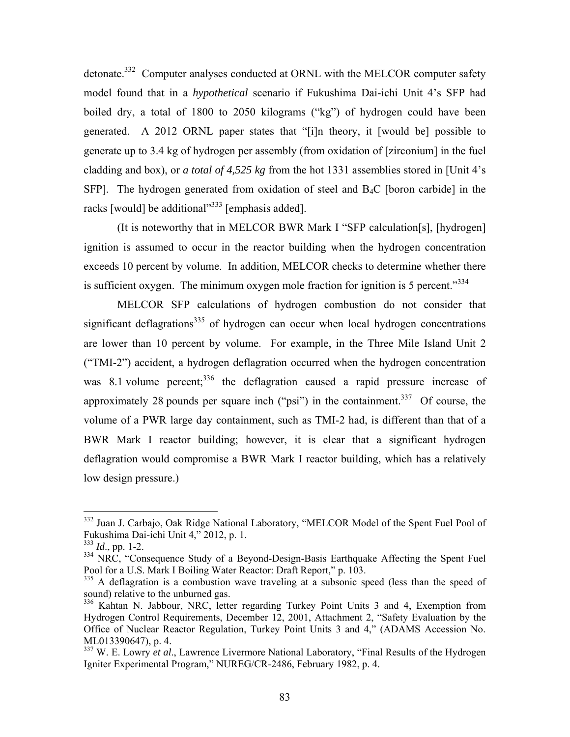detonate.<sup>332</sup> Computer analyses conducted at ORNL with the MELCOR computer safety model found that in a *hypothetical* scenario if Fukushima Dai-ichi Unit 4's SFP had boiled dry, a total of 1800 to 2050 kilograms ("kg") of hydrogen could have been generated. A 2012 ORNL paper states that "[i]n theory, it [would be] possible to generate up to 3.4 kg of hydrogen per assembly (from oxidation of [zirconium] in the fuel cladding and box), or *a total of 4,525 kg* from the hot 1331 assemblies stored in [Unit 4's SFP]. The hydrogen generated from oxidation of steel and B4C [boron carbide] in the racks [would] be additional $^{\prime\prime}$ <sup>333</sup> [emphasis added].

(It is noteworthy that in MELCOR BWR Mark I "SFP calculation[s], [hydrogen] ignition is assumed to occur in the reactor building when the hydrogen concentration exceeds 10 percent by volume. In addition, MELCOR checks to determine whether there is sufficient oxygen. The minimum oxygen mole fraction for ignition is 5 percent.<sup>334</sup>

MELCOR SFP calculations of hydrogen combustion do not consider that significant deflagrations<sup>335</sup> of hydrogen can occur when local hydrogen concentrations are lower than 10 percent by volume. For example, in the Three Mile Island Unit 2 ("TMI-2") accident, a hydrogen deflagration occurred when the hydrogen concentration was 8.1 volume percent;<sup>336</sup> the deflagration caused a rapid pressure increase of approximately 28 pounds per square inch ("psi") in the containment.<sup>337</sup> Of course, the volume of a PWR large day containment, such as TMI-2 had, is different than that of a BWR Mark I reactor building; however, it is clear that a significant hydrogen deflagration would compromise a BWR Mark I reactor building, which has a relatively low design pressure.)

<sup>&</sup>lt;sup>332</sup> Juan J. Carbajo, Oak Ridge National Laboratory, "MELCOR Model of the Spent Fuel Pool of Fukushima Dai-ichi Unit 4," 2012, p. 1.

<sup>333</sup> *Id*., pp. 1-2.

<sup>&</sup>lt;sup>334</sup> NRC, "Consequence Study of a Beyond-Design-Basis Earthquake Affecting the Spent Fuel Pool for a U.S. Mark I Boiling Water Reactor: Draft Report," p. 103.

<sup>&</sup>lt;sup>335</sup> A deflagration is a combustion wave traveling at a subsonic speed (less than the speed of sound) relative to the unburned gas.

<sup>336</sup> Kahtan N. Jabbour, NRC, letter regarding Turkey Point Units 3 and 4, Exemption from Hydrogen Control Requirements, December 12, 2001, Attachment 2, "Safety Evaluation by the Office of Nuclear Reactor Regulation, Turkey Point Units 3 and 4," (ADAMS Accession No. ML013390647), p. 4.

<sup>&</sup>lt;sup>337</sup> W. E. Lowry *et al.*, Lawrence Livermore National Laboratory, "Final Results of the Hydrogen Igniter Experimental Program," NUREG/CR-2486, February 1982, p. 4.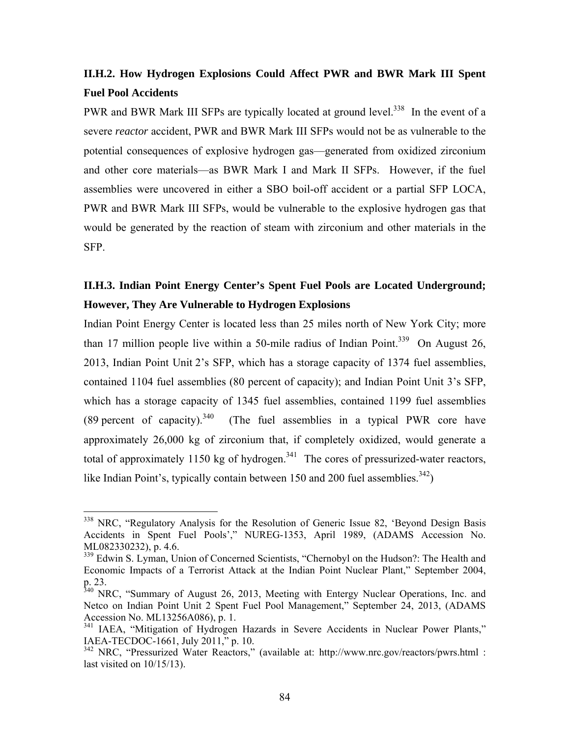# **II.H.2. How Hydrogen Explosions Could Affect PWR and BWR Mark III Spent Fuel Pool Accidents**

PWR and BWR Mark III SFPs are typically located at ground level.<sup>338</sup> In the event of a severe *reactor* accident, PWR and BWR Mark III SFPs would not be as vulnerable to the potential consequences of explosive hydrogen gas—generated from oxidized zirconium and other core materials—as BWR Mark I and Mark II SFPs. However, if the fuel assemblies were uncovered in either a SBO boil-off accident or a partial SFP LOCA, PWR and BWR Mark III SFPs, would be vulnerable to the explosive hydrogen gas that would be generated by the reaction of steam with zirconium and other materials in the SFP.

## **II.H.3. Indian Point Energy Center's Spent Fuel Pools are Located Underground; However, They Are Vulnerable to Hydrogen Explosions**

Indian Point Energy Center is located less than 25 miles north of New York City; more than 17 million people live within a 50-mile radius of Indian Point.<sup>339</sup> On August 26, 2013, Indian Point Unit 2's SFP, which has a storage capacity of 1374 fuel assemblies, contained 1104 fuel assemblies (80 percent of capacity); and Indian Point Unit 3's SFP, which has a storage capacity of 1345 fuel assemblies, contained 1199 fuel assemblies (89 percent of capacity).<sup>340</sup> (The fuel assemblies in a typical PWR core have approximately 26,000 kg of zirconium that, if completely oxidized, would generate a total of approximately 1150 kg of hydrogen.<sup>341</sup> The cores of pressurized-water reactors, like Indian Point's, typically contain between 150 and 200 fuel assemblies.<sup>342</sup>)

<sup>&</sup>lt;sup>338</sup> NRC, "Regulatory Analysis for the Resolution of Generic Issue 82, 'Beyond Design Basis Accidents in Spent Fuel Pools'," NUREG-1353, April 1989, (ADAMS Accession No. ML082330232), p. 4.6.

<sup>&</sup>lt;sup>339</sup> Edwin S. Lyman, Union of Concerned Scientists, "Chernobyl on the Hudson?: The Health and Economic Impacts of a Terrorist Attack at the Indian Point Nuclear Plant," September 2004, p. 23.

 $340$  NRC, "Summary of August 26, 2013, Meeting with Entergy Nuclear Operations, Inc. and Netco on Indian Point Unit 2 Spent Fuel Pool Management," September 24, 2013, (ADAMS Accession No. ML13256A086), p. 1.

<sup>&</sup>lt;sup>341</sup> IAEA, "Mitigation of Hydrogen Hazards in Severe Accidents in Nuclear Power Plants," IAEA-TECDOC-1661, July 2011," p. 10.

<sup>&</sup>lt;sup>342</sup> NRC, "Pressurized Water Reactors," (available at: http://www.nrc.gov/reactors/pwrs.html : last visited on 10/15/13).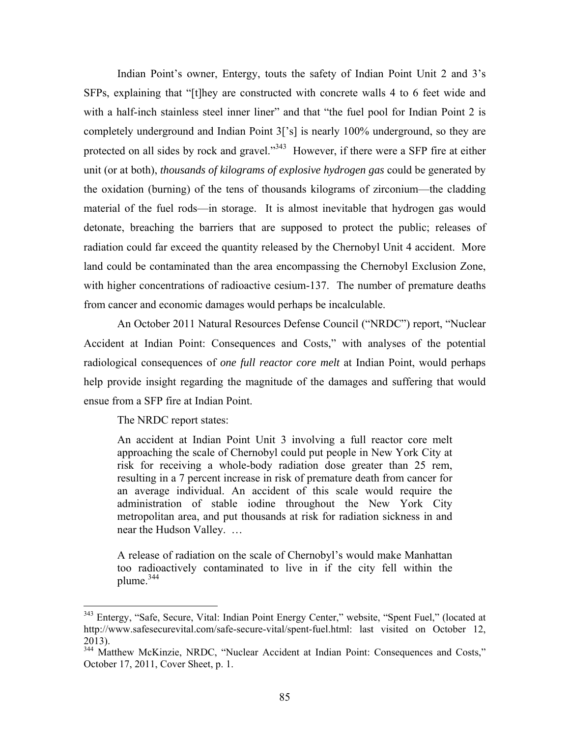Indian Point's owner, Entergy, touts the safety of Indian Point Unit 2 and 3's SFPs, explaining that "[t]hey are constructed with concrete walls 4 to 6 feet wide and with a half-inch stainless steel inner liner" and that "the fuel pool for Indian Point 2 is completely underground and Indian Point 3['s] is nearly 100% underground, so they are protected on all sides by rock and gravel."<sup>343</sup> However, if there were a SFP fire at either unit (or at both), *thousands of kilograms of explosive hydrogen gas* could be generated by the oxidation (burning) of the tens of thousands kilograms of zirconium—the cladding material of the fuel rods—in storage. It is almost inevitable that hydrogen gas would detonate, breaching the barriers that are supposed to protect the public; releases of radiation could far exceed the quantity released by the Chernobyl Unit 4 accident. More land could be contaminated than the area encompassing the Chernobyl Exclusion Zone, with higher concentrations of radioactive cesium-137. The number of premature deaths from cancer and economic damages would perhaps be incalculable.

An October 2011 Natural Resources Defense Council ("NRDC") report, "Nuclear Accident at Indian Point: Consequences and Costs," with analyses of the potential radiological consequences of *one full reactor core melt* at Indian Point, would perhaps help provide insight regarding the magnitude of the damages and suffering that would ensue from a SFP fire at Indian Point.

The NRDC report states:

 $\overline{a}$ 

An accident at Indian Point Unit 3 involving a full reactor core melt approaching the scale of Chernobyl could put people in New York City at risk for receiving a whole-body radiation dose greater than 25 rem, resulting in a 7 percent increase in risk of premature death from cancer for an average individual. An accident of this scale would require the administration of stable iodine throughout the New York City metropolitan area, and put thousands at risk for radiation sickness in and near the Hudson Valley. …

A release of radiation on the scale of Chernobyl's would make Manhattan too radioactively contaminated to live in if the city fell within the plume. $344$ 

<sup>&</sup>lt;sup>343</sup> Entergy, "Safe, Secure, Vital: Indian Point Energy Center," website, "Spent Fuel," (located at http://www.safesecurevital.com/safe-secure-vital/spent-fuel.html: last visited on October 12, 2013).

<sup>&</sup>lt;sup>344</sup> Matthew McKinzie, NRDC, "Nuclear Accident at Indian Point: Consequences and Costs," October 17, 2011, Cover Sheet, p. 1.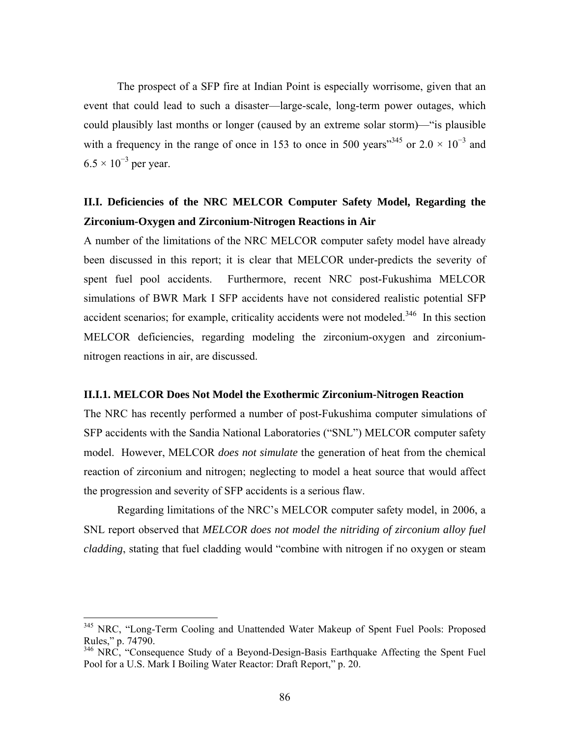The prospect of a SFP fire at Indian Point is especially worrisome, given that an event that could lead to such a disaster—large-scale, long-term power outages, which could plausibly last months or longer (caused by an extreme solar storm)—"is plausible with a frequency in the range of once in 153 to once in 500 years<sup>345</sup> or  $2.0 \times 10^{-3}$  and  $6.5 \times 10^{-3}$  per year.

## **II.I. Deficiencies of the NRC MELCOR Computer Safety Model, Regarding the Zirconium-Oxygen and Zirconium-Nitrogen Reactions in Air**

A number of the limitations of the NRC MELCOR computer safety model have already been discussed in this report; it is clear that MELCOR under-predicts the severity of spent fuel pool accidents. Furthermore, recent NRC post-Fukushima MELCOR simulations of BWR Mark I SFP accidents have not considered realistic potential SFP accident scenarios; for example, criticality accidents were not modeled.<sup>346</sup> In this section MELCOR deficiencies, regarding modeling the zirconium-oxygen and zirconiumnitrogen reactions in air, are discussed.

#### **II.I.1. MELCOR Does Not Model the Exothermic Zirconium-Nitrogen Reaction**

The NRC has recently performed a number of post-Fukushima computer simulations of SFP accidents with the Sandia National Laboratories ("SNL") MELCOR computer safety model. However, MELCOR *does not simulate* the generation of heat from the chemical reaction of zirconium and nitrogen; neglecting to model a heat source that would affect the progression and severity of SFP accidents is a serious flaw.

Regarding limitations of the NRC's MELCOR computer safety model, in 2006, a SNL report observed that *MELCOR does not model the nitriding of zirconium alloy fuel cladding*, stating that fuel cladding would "combine with nitrogen if no oxygen or steam

<sup>&</sup>lt;sup>345</sup> NRC, "Long-Term Cooling and Unattended Water Makeup of Spent Fuel Pools: Proposed Rules," p. 74790.

 $346$  NRC, "Consequence Study of a Beyond-Design-Basis Earthquake Affecting the Spent Fuel Pool for a U.S. Mark I Boiling Water Reactor: Draft Report," p. 20.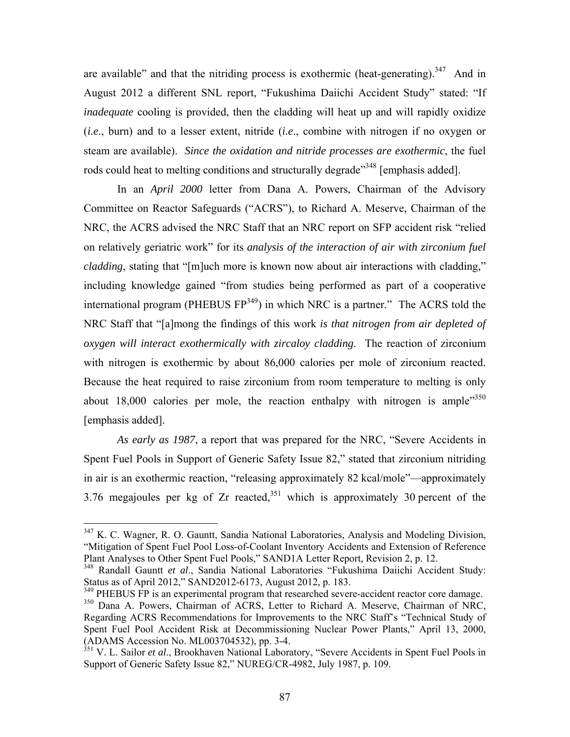are available" and that the nitriding process is exothermic (heat-generating). $347$  And in August 2012 a different SNL report, "Fukushima Daiichi Accident Study" stated: "If *inadequate* cooling is provided, then the cladding will heat up and will rapidly oxidize (*i.e*., burn) and to a lesser extent, nitride (*i.e*., combine with nitrogen if no oxygen or steam are available). *Since the oxidation and nitride processes are exothermic*, the fuel rods could heat to melting conditions and structurally degrade"<sup>348</sup> [emphasis added].

In an *April 2000* letter from Dana A. Powers, Chairman of the Advisory Committee on Reactor Safeguards ("ACRS"), to Richard A. Meserve, Chairman of the NRC, the ACRS advised the NRC Staff that an NRC report on SFP accident risk "relied on relatively geriatric work" for its *analysis of the interaction of air with zirconium fuel cladding*, stating that "[m]uch more is known now about air interactions with cladding," including knowledge gained "from studies being performed as part of a cooperative international program (PHEBUS  $FP^{349}$ ) in which NRC is a partner." The ACRS told the NRC Staff that "[a]mong the findings of this work *is that nitrogen from air depleted of oxygen will interact exothermically with zircaloy cladding*. The reaction of zirconium with nitrogen is exothermic by about 86,000 calories per mole of zirconium reacted. Because the heat required to raise zirconium from room temperature to melting is only about 18,000 calories per mole, the reaction enthalpy with nitrogen is ample<sup> $350$ </sup> [emphasis added].

*As early as 1987*, a report that was prepared for the NRC, "Severe Accidents in Spent Fuel Pools in Support of Generic Safety Issue 82," stated that zirconium nitriding in air is an exothermic reaction, "releasing approximately 82 kcal/mole"—approximately 3.76 megajoules per kg of Zr reacted,  $351$  which is approximately 30 percent of the

<sup>&</sup>lt;sup>347</sup> K. C. Wagner, R. O. Gauntt, Sandia National Laboratories, Analysis and Modeling Division, "Mitigation of Spent Fuel Pool Loss-of-Coolant Inventory Accidents and Extension of Reference Plant Analyses to Other Spent Fuel Pools," SAND1A Letter Report, Revision 2, p. 12.

<sup>348</sup> Randall Gauntt *et al*., Sandia National Laboratories "Fukushima Daiichi Accident Study: Status as of April 2012," SAND2012-6173, August 2012, p. 183.

<sup>&</sup>lt;sup>349</sup> PHEBUS FP is an experimental program that researched severe-accident reactor core damage.

<sup>350</sup> Dana A. Powers, Chairman of ACRS, Letter to Richard A. Meserve, Chairman of NRC, Regarding ACRS Recommendations for Improvements to the NRC Staff's "Technical Study of Spent Fuel Pool Accident Risk at Decommissioning Nuclear Power Plants," April 13, 2000, (ADAMS Accession No. ML003704532), pp. 3-4.

<sup>351</sup> V. L. Sailor *et al*., Brookhaven National Laboratory, "Severe Accidents in Spent Fuel Pools in Support of Generic Safety Issue 82," NUREG/CR-4982, July 1987, p. 109.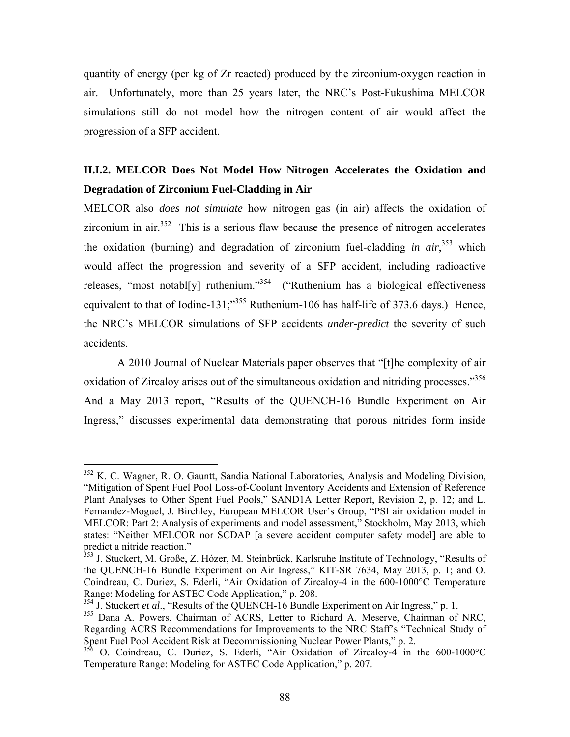quantity of energy (per kg of Zr reacted) produced by the zirconium-oxygen reaction in air. Unfortunately, more than 25 years later, the NRC's Post-Fukushima MELCOR simulations still do not model how the nitrogen content of air would affect the progression of a SFP accident.

## **II.I.2. MELCOR Does Not Model How Nitrogen Accelerates the Oxidation and Degradation of Zirconium Fuel-Cladding in Air**

MELCOR also *does not simulate* how nitrogen gas (in air) affects the oxidation of zirconium in air. $352$  This is a serious flaw because the presence of nitrogen accelerates the oxidation (burning) and degradation of zirconium fuel-cladding *in air*, 353 which would affect the progression and severity of a SFP accident, including radioactive releases, "most notabl[y] ruthenium." $354$  ("Ruthenium has a biological effectiveness equivalent to that of Iodine-131;<sup>355</sup> Ruthenium-106 has half-life of 373.6 days.) Hence, the NRC's MELCOR simulations of SFP accidents *under-predict* the severity of such accidents.

A 2010 Journal of Nuclear Materials paper observes that "[t]he complexity of air oxidation of Zircaloy arises out of the simultaneous oxidation and nitriding processes."<sup>356</sup> And a May 2013 report, "Results of the QUENCH-16 Bundle Experiment on Air Ingress," discusses experimental data demonstrating that porous nitrides form inside

 $352$  K. C. Wagner, R. O. Gauntt, Sandia National Laboratories, Analysis and Modeling Division, "Mitigation of Spent Fuel Pool Loss-of-Coolant Inventory Accidents and Extension of Reference Plant Analyses to Other Spent Fuel Pools," SAND1A Letter Report, Revision 2, p. 12; and L. Fernandez-Moguel, J. Birchley, European MELCOR User's Group, "PSI air oxidation model in MELCOR: Part 2: Analysis of experiments and model assessment," Stockholm, May 2013, which states: "Neither MELCOR nor SCDAP [a severe accident computer safety model] are able to predict a nitride reaction."

<sup>&</sup>lt;sup>353</sup> J. Stuckert, M. Große, Z. Hózer, M. Steinbrück, Karlsruhe Institute of Technology, "Results of the QUENCH-16 Bundle Experiment on Air Ingress," KIT-SR 7634, May 2013, p. 1; and O. Coindreau, C. Duriez, S. Ederli, "Air Oxidation of Zircaloy-4 in the 600-1000°C Temperature Range: Modeling for ASTEC Code Application," p. 208.

<sup>&</sup>lt;sup>354</sup> J. Stuckert *et al.*, "Results of the QUENCH-16 Bundle Experiment on Air Ingress," p. 1.

<sup>355</sup> Dana A. Powers, Chairman of ACRS, Letter to Richard A. Meserve, Chairman of NRC, Regarding ACRS Recommendations for Improvements to the NRC Staff's "Technical Study of Spent Fuel Pool Accident Risk at Decommissioning Nuclear Power Plants," p. 2.

 $356$  O. Coindreau, C. Duriez, S. Ederli, "Air Oxidation of Zircaloy-4 in the 600-1000°C Temperature Range: Modeling for ASTEC Code Application," p. 207.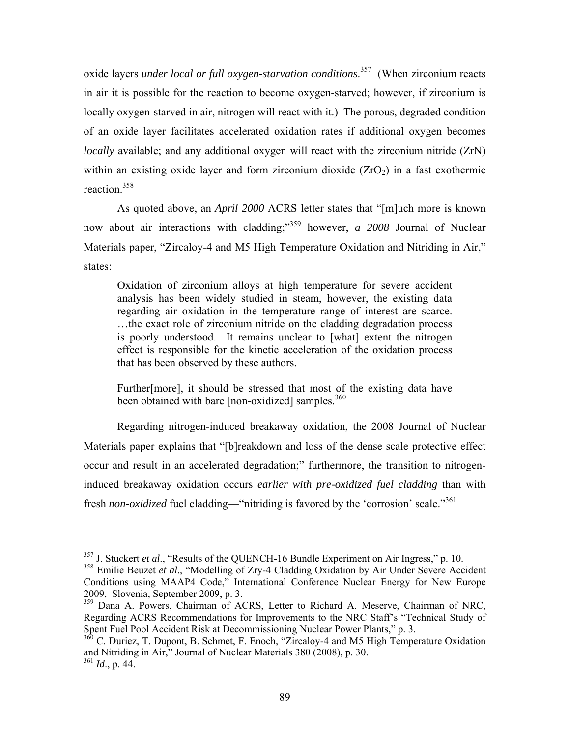oxide layers *under local or full oxygen-starvation conditions*. 357 (When zirconium reacts in air it is possible for the reaction to become oxygen-starved; however, if zirconium is locally oxygen-starved in air, nitrogen will react with it.) The porous, degraded condition of an oxide layer facilitates accelerated oxidation rates if additional oxygen becomes *locally* available; and any additional oxygen will react with the zirconium nitride (ZrN) within an existing oxide layer and form zirconium dioxide  $(ZrO<sub>2</sub>)$  in a fast exothermic reaction.358

As quoted above, an *April 2000* ACRS letter states that "[m]uch more is known now about air interactions with cladding;"<sup>359</sup> however, *a 2008* Journal of Nuclear Materials paper, "Zircaloy-4 and M5 High Temperature Oxidation and Nitriding in Air," states:

Oxidation of zirconium alloys at high temperature for severe accident analysis has been widely studied in steam, however, the existing data regarding air oxidation in the temperature range of interest are scarce. …the exact role of zirconium nitride on the cladding degradation process is poorly understood. It remains unclear to [what] extent the nitrogen effect is responsible for the kinetic acceleration of the oxidation process that has been observed by these authors.

Further[more], it should be stressed that most of the existing data have been obtained with bare [non-oxidized] samples.<sup>360</sup>

Regarding nitrogen-induced breakaway oxidation, the 2008 Journal of Nuclear Materials paper explains that "[b]reakdown and loss of the dense scale protective effect occur and result in an accelerated degradation;" furthermore, the transition to nitrogeninduced breakaway oxidation occurs *earlier with pre-oxidized fuel cladding* than with fresh *non-oxidized* fuel cladding—"nitriding is favored by the 'corrosion' scale."361

<sup>357</sup> J. Stuckert *et al*., "Results of the QUENCH-16 Bundle Experiment on Air Ingress," p. 10.

<sup>&</sup>lt;sup>358</sup> Emilie Beuzet et al., "Modelling of Zry-4 Cladding Oxidation by Air Under Severe Accident Conditions using MAAP4 Code," International Conference Nuclear Energy for New Europe 2009, Slovenia, September 2009, p. 3.

<sup>&</sup>lt;sup>359</sup> Dana A. Powers, Chairman of ACRS, Letter to Richard A. Meserve, Chairman of NRC, Regarding ACRS Recommendations for Improvements to the NRC Staff's "Technical Study of Spent Fuel Pool Accident Risk at Decommissioning Nuclear Power Plants," p. 3.

 $360$  C. Duriez, T. Dupont, B. Schmet, F. Enoch, "Zircaloy-4 and M5 High Temperature Oxidation and Nitriding in Air," Journal of Nuclear Materials 380 (2008), p. 30.

<sup>361</sup> *Id*., p. 44.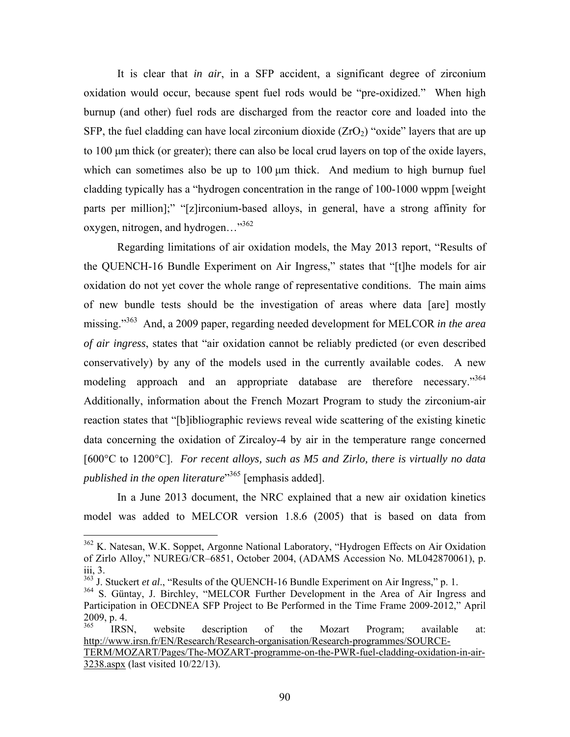It is clear that *in air*, in a SFP accident, a significant degree of zirconium oxidation would occur, because spent fuel rods would be "pre-oxidized." When high burnup (and other) fuel rods are discharged from the reactor core and loaded into the SFP, the fuel cladding can have local zirconium dioxide  $(ZrO<sub>2</sub>)$  "oxide" layers that are up to 100 μm thick (or greater); there can also be local crud layers on top of the oxide layers, which can sometimes also be up to 100 μm thick. And medium to high burnup fuel cladding typically has a "hydrogen concentration in the range of 100-1000 wppm [weight parts per million];" "[z]irconium-based alloys, in general, have a strong affinity for oxygen, nitrogen, and hydrogen..."<sup>362</sup>

Regarding limitations of air oxidation models, the May 2013 report, "Results of the QUENCH-16 Bundle Experiment on Air Ingress," states that "[t]he models for air oxidation do not yet cover the whole range of representative conditions. The main aims of new bundle tests should be the investigation of areas where data [are] mostly missing."363 And, a 2009 paper, regarding needed development for MELCOR *in the area of air ingress*, states that "air oxidation cannot be reliably predicted (or even described conservatively) by any of the models used in the currently available codes. A new modeling approach and an appropriate database are therefore necessary."<sup>364</sup> Additionally, information about the French Mozart Program to study the zirconium-air reaction states that "[b]ibliographic reviews reveal wide scattering of the existing kinetic data concerning the oxidation of Zircaloy-4 by air in the temperature range concerned [600°C to 1200°C]. *For recent alloys, such as M5 and Zirlo, there is virtually no data published in the open literature*" 365 [emphasis added].

In a June 2013 document, the NRC explained that a new air oxidation kinetics model was added to MELCOR version 1.8.6 (2005) that is based on data from

<sup>&</sup>lt;sup>362</sup> K. Natesan, W.K. Soppet, Argonne National Laboratory, "Hydrogen Effects on Air Oxidation of Zirlo Alloy," NUREG/CR–6851, October 2004, (ADAMS Accession No. ML042870061), p. iii, 3.

<sup>&</sup>lt;sup>363</sup> J. Stuckert *et al.*, "Results of the OUENCH-16 Bundle Experiment on Air Ingress," p. 1.

<sup>&</sup>lt;sup>364</sup> S. Güntay, J. Birchley, "MELCOR Further Development in the Area of Air Ingress and Participation in OECDNEA SFP Project to Be Performed in the Time Frame 2009-2012," April  $2009$ , p. 4.

IRSN, website description of the Mozart Program; available at: http://www.irsn.fr/EN/Research/Research-organisation/Research-programmes/SOURCE-TERM/MOZART/Pages/The-MOZART-programme-on-the-PWR-fuel-cladding-oxidation-in-air-

<sup>3238.</sup>aspx (last visited 10/22/13).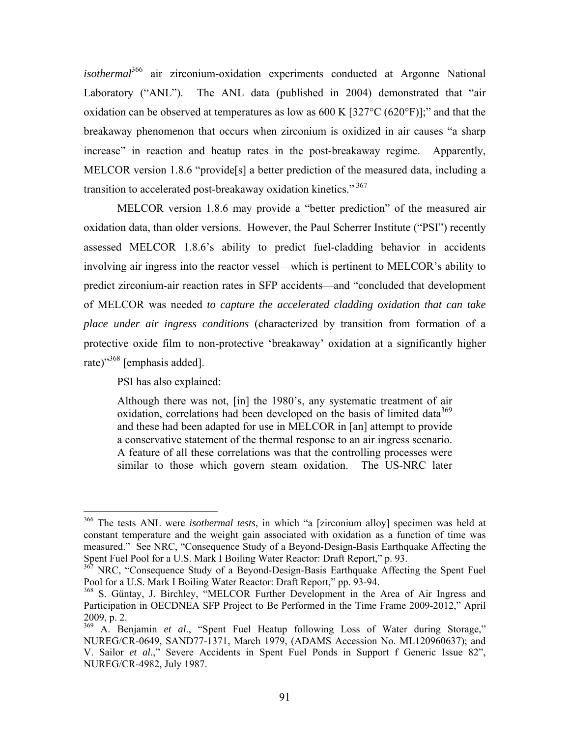*isothermal*<sup>366</sup> air zirconium-oxidation experiments conducted at Argonne National Laboratory ("ANL"). The ANL data (published in 2004) demonstrated that "air oxidation can be observed at temperatures as low as  $600 \text{ K}$  [327°C ( $620$ °F)];" and that the breakaway phenomenon that occurs when zirconium is oxidized in air causes "a sharp increase" in reaction and heatup rates in the post-breakaway regime. Apparently, MELCOR version 1.8.6 "provide[s] a better prediction of the measured data, including a transition to accelerated post-breakaway oxidation kinetics."<sup>367</sup>

MELCOR version 1.8.6 may provide a "better prediction" of the measured air oxidation data, than older versions. However, the Paul Scherrer Institute ("PSI") recently assessed MELCOR 1.8.6's ability to predict fuel-cladding behavior in accidents involving air ingress into the reactor vessel—which is pertinent to MELCOR's ability to predict zirconium-air reaction rates in SFP accidents—and "concluded that development of MELCOR was needed *to capture the accelerated cladding oxidation that can take place under air ingress conditions* (characterized by transition from formation of a protective oxide film to non-protective 'breakaway' oxidation at a significantly higher rate)"368 [emphasis added].

PSI has also explained:

 $\overline{a}$ 

Although there was not, [in] the 1980's, any systematic treatment of air oxidation, correlations had been developed on the basis of limited data<sup>369</sup> and these had been adapted for use in MELCOR in [an] attempt to provide a conservative statement of the thermal response to an air ingress scenario. A feature of all these correlations was that the controlling processes were similar to those which govern steam oxidation. The US-NRC later

<sup>366</sup> The tests ANL were *isothermal tests*, in which "a [zirconium alloy] specimen was held at constant temperature and the weight gain associated with oxidation as a function of time was measured." See NRC, "Consequence Study of a Beyond-Design-Basis Earthquake Affecting the Spent Fuel Pool for a U.S. Mark I Boiling Water Reactor: Draft Report," p. 93.

<sup>&</sup>lt;sup>367</sup> NRC, "Consequence Study of a Beyond-Design-Basis Earthquake Affecting the Spent Fuel Pool for a U.S. Mark I Boiling Water Reactor: Draft Report," pp. 93-94.

<sup>&</sup>lt;sup>368</sup> S. Güntay, J. Birchley, "MELCOR Further Development in the Area of Air Ingress and Participation in OECDNEA SFP Project to Be Performed in the Time Frame 2009-2012," April 2009, p. 2.

<sup>&</sup>lt;sup>369</sup> A. Benjamin et al., "Spent Fuel Heatup following Loss of Water during Storage," NUREG/CR-0649, SAND77-1371, March 1979, (ADAMS Accession No. ML120960637); and V. Sailor *et al*.," Severe Accidents in Spent Fuel Ponds in Support f Generic Issue 82", NUREG/CR-4982, July 1987.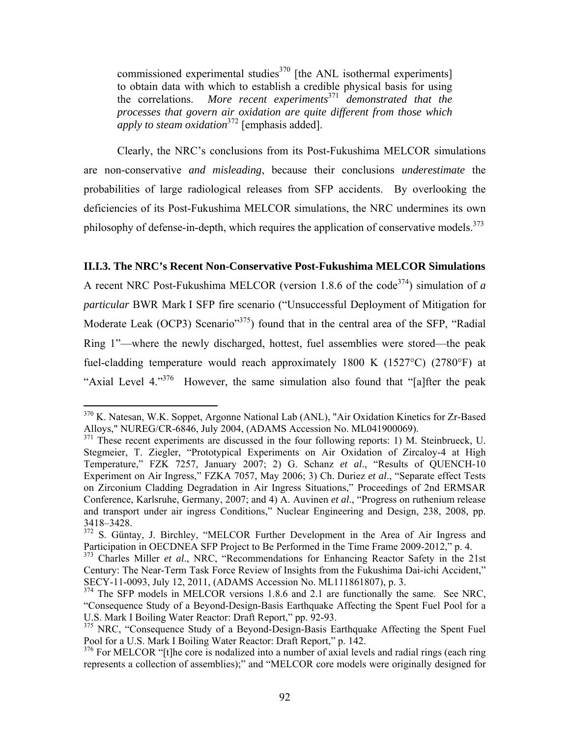commissioned experimental studies<sup>370</sup> [the ANL isothermal experiments] to obtain data with which to establish a credible physical basis for using the correlations. *More recent experiments*<sup>371</sup> *demonstrated that the processes that govern air oxidation are quite different from those which apply to steam oxidation*<sup>372</sup> [emphasis added].

Clearly, the NRC's conclusions from its Post-Fukushima MELCOR simulations are non-conservative *and misleading*, because their conclusions *underestimate* the probabilities of large radiological releases from SFP accidents. By overlooking the deficiencies of its Post-Fukushima MELCOR simulations, the NRC undermines its own philosophy of defense-in-depth, which requires the application of conservative models.<sup>373</sup>

#### **II.I.3. The NRC's Recent Non-Conservative Post-Fukushima MELCOR Simulations**

A recent NRC Post-Fukushima MELCOR (version 1.8.6 of the code<sup>374</sup>) simulation of a *particular* BWR Mark I SFP fire scenario ("Unsuccessful Deployment of Mitigation for Moderate Leak (OCP3) Scenario"<sup>375</sup>) found that in the central area of the SFP, "Radial Ring 1"—where the newly discharged, hottest, fuel assemblies were stored—the peak fuel-cladding temperature would reach approximately 1800 K (1527°C) (2780°F) at "Axial Level 4."376 However, the same simulation also found that "[a]fter the peak

 $\overline{a}$ <sup>370</sup> K. Natesan, W.K. Soppet, Argonne National Lab (ANL), "Air Oxidation Kinetics for Zr-Based Alloys," NUREG/CR-6846, July 2004, (ADAMS Accession No. ML041900069).

<sup>&</sup>lt;sup>371</sup> These recent experiments are discussed in the four following reports: 1) M. Steinbrueck, U. Stegmeier, T. Ziegler, "Prototypical Experiments on Air Oxidation of Zircaloy-4 at High Temperature," FZK 7257, January 2007; 2) G. Schanz *et al*., "Results of QUENCH-10 Experiment on Air Ingress," FZKA 7057, May 2006; 3) Ch. Duriez *et al*., "Separate effect Tests on Zirconium Cladding Degradation in Air Ingress Situations," Proceedings of 2nd ERMSAR Conference, Karlsruhe, Germany, 2007; and 4) A. Auvinen *et al*., "Progress on ruthenium release and transport under air ingress Conditions," Nuclear Engineering and Design, 238, 2008, pp. 3418–3428.

<sup>&</sup>lt;sup>372</sup> S. Güntay, J. Birchley, "MELCOR Further Development in the Area of Air Ingress and Participation in OECDNEA SFP Project to Be Performed in the Time Frame 2009-2012," p. 4.

<sup>&</sup>lt;sup>373</sup> Charles Miller *et al.*, NRC, "Recommendations for Enhancing Reactor Safety in the 21st Century: The Near-Term Task Force Review of Insights from the Fukushima Dai-ichi Accident," SECY-11-0093, July 12, 2011, (ADAMS Accession No. ML111861807), p. 3.

<sup>&</sup>lt;sup>374</sup> The SFP models in MELCOR versions 1.8.6 and 2.1 are functionally the same. See NRC, "Consequence Study of a Beyond-Design-Basis Earthquake Affecting the Spent Fuel Pool for a U.S. Mark I Boiling Water Reactor: Draft Report," pp. 92-93.

<sup>&</sup>lt;sup>375</sup> NRC, "Consequence Study of a Beyond-Design-Basis Earthquake Affecting the Spent Fuel Pool for a U.S. Mark I Boiling Water Reactor: Draft Report," p. 142.

<sup>&</sup>lt;sup>376</sup> For MELCOR "[t]he core is nodalized into a number of axial levels and radial rings (each ring represents a collection of assemblies);" and "MELCOR core models were originally designed for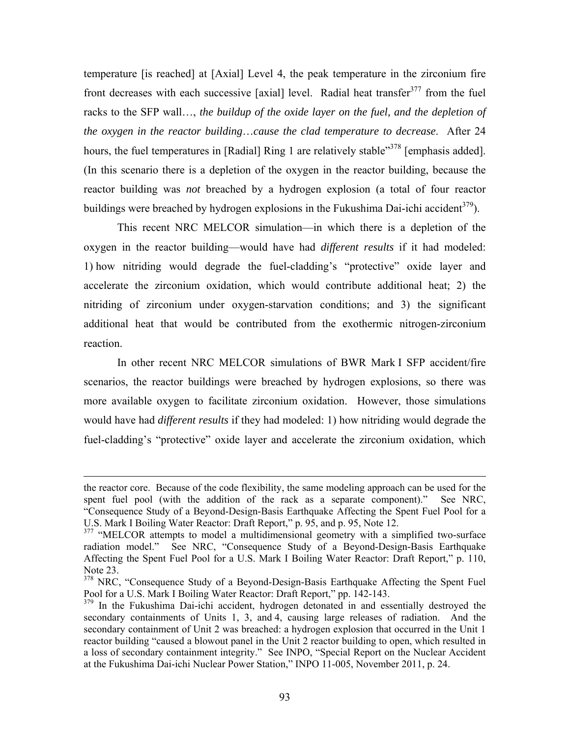temperature [is reached] at [Axial] Level 4, the peak temperature in the zirconium fire front decreases with each successive [axial] level. Radial heat transfer<sup>377</sup> from the fuel racks to the SFP wall…, *the buildup of the oxide layer on the fuel, and the depletion of the oxygen in the reactor building*…*cause the clad temperature to decrease*. After 24 hours, the fuel temperatures in [Radial] Ring 1 are relatively stable<sup>3378</sup> [emphasis added]. (In this scenario there is a depletion of the oxygen in the reactor building, because the reactor building was *not* breached by a hydrogen explosion (a total of four reactor buildings were breached by hydrogen explosions in the Fukushima Dai-ichi accident<sup>379</sup>).

This recent NRC MELCOR simulation—in which there is a depletion of the oxygen in the reactor building—would have had *different results* if it had modeled: 1) how nitriding would degrade the fuel-cladding's "protective" oxide layer and accelerate the zirconium oxidation, which would contribute additional heat; 2) the nitriding of zirconium under oxygen-starvation conditions; and 3) the significant additional heat that would be contributed from the exothermic nitrogen-zirconium reaction.

In other recent NRC MELCOR simulations of BWR Mark I SFP accident/fire scenarios, the reactor buildings were breached by hydrogen explosions, so there was more available oxygen to facilitate zirconium oxidation. However, those simulations would have had *different results* if they had modeled: 1) how nitriding would degrade the fuel-cladding's "protective" oxide layer and accelerate the zirconium oxidation, which

<u>.</u>

the reactor core. Because of the code flexibility, the same modeling approach can be used for the spent fuel pool (with the addition of the rack as a separate component)." See NRC, "Consequence Study of a Beyond-Design-Basis Earthquake Affecting the Spent Fuel Pool for a U.S. Mark I Boiling Water Reactor: Draft Report," p. 95, and p. 95, Note 12.

<sup>&</sup>lt;sup>377</sup> "MELCOR attempts to model a multidimensional geometry with a simplified two-surface radiation model." See NRC, "Consequence Study of a Beyond-Design-Basis Earthquake Affecting the Spent Fuel Pool for a U.S. Mark I Boiling Water Reactor: Draft Report," p. 110, Note 23.

<sup>&</sup>lt;sup>378</sup> NRC, "Consequence Study of a Beyond-Design-Basis Earthquake Affecting the Spent Fuel Pool for a U.S. Mark I Boiling Water Reactor: Draft Report," pp. 142-143.

<sup>&</sup>lt;sup>379</sup> In the Fukushima Dai-ichi accident, hydrogen detonated in and essentially destroyed the secondary containments of Units 1, 3, and 4, causing large releases of radiation. And the secondary containment of Unit 2 was breached: a hydrogen explosion that occurred in the Unit 1 reactor building "caused a blowout panel in the Unit 2 reactor building to open, which resulted in a loss of secondary containment integrity." See INPO, "Special Report on the Nuclear Accident at the Fukushima Dai-ichi Nuclear Power Station," INPO 11-005, November 2011, p. 24.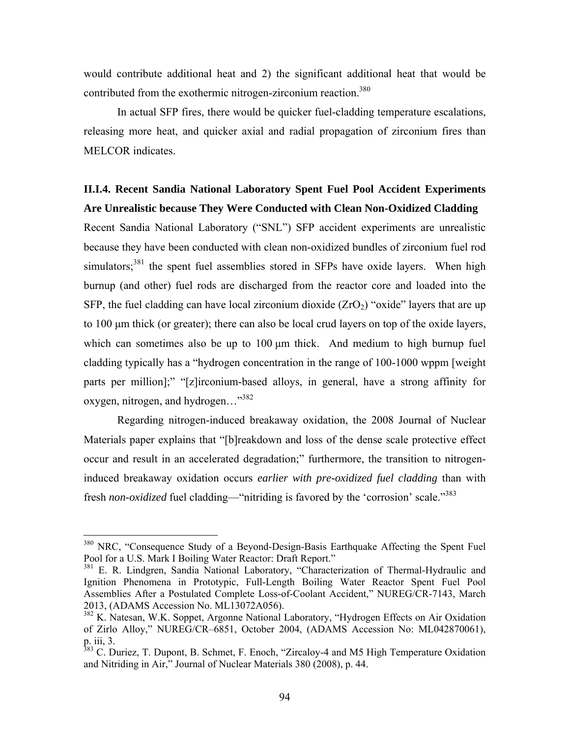would contribute additional heat and 2) the significant additional heat that would be contributed from the exothermic nitrogen-zirconium reaction.<sup>380</sup>

In actual SFP fires, there would be quicker fuel-cladding temperature escalations, releasing more heat, and quicker axial and radial propagation of zirconium fires than MELCOR indicates.

### **II.I.4. Recent Sandia National Laboratory Spent Fuel Pool Accident Experiments Are Unrealistic because They Were Conducted with Clean Non-Oxidized Cladding**

Recent Sandia National Laboratory ("SNL") SFP accident experiments are unrealistic because they have been conducted with clean non-oxidized bundles of zirconium fuel rod simulators;<sup>381</sup> the spent fuel assemblies stored in SFPs have oxide layers. When high burnup (and other) fuel rods are discharged from the reactor core and loaded into the SFP, the fuel cladding can have local zirconium dioxide  $(ZrO<sub>2</sub>)$  "oxide" layers that are up to 100 μm thick (or greater); there can also be local crud layers on top of the oxide layers, which can sometimes also be up to 100 μm thick. And medium to high burnup fuel cladding typically has a "hydrogen concentration in the range of 100-1000 wppm [weight parts per million];" "[z]irconium-based alloys, in general, have a strong affinity for oxygen, nitrogen, and hydrogen..."<sup>382</sup>

Regarding nitrogen-induced breakaway oxidation, the 2008 Journal of Nuclear Materials paper explains that "[b]reakdown and loss of the dense scale protective effect occur and result in an accelerated degradation;" furthermore, the transition to nitrogeninduced breakaway oxidation occurs *earlier with pre-oxidized fuel cladding* than with fresh *non-oxidized* fuel cladding—"nitriding is favored by the 'corrosion' scale."383

<sup>&</sup>lt;sup>380</sup> NRC, "Consequence Study of a Beyond-Design-Basis Earthquake Affecting the Spent Fuel Pool for a U.S. Mark I Boiling Water Reactor: Draft Report."

<sup>&</sup>lt;sup>381</sup> E. R. Lindgren, Sandia National Laboratory, "Characterization of Thermal-Hydraulic and Ignition Phenomena in Prototypic, Full-Length Boiling Water Reactor Spent Fuel Pool Assemblies After a Postulated Complete Loss-of-Coolant Accident," NUREG/CR-7143, March 2013, (ADAMS Accession No. ML13072A056).

<sup>&</sup>lt;sup>382</sup> K. Natesan, W.K. Soppet, Argonne National Laboratory, "Hydrogen Effects on Air Oxidation of Zirlo Alloy," NUREG/CR–6851, October 2004, (ADAMS Accession No: ML042870061), p. iii, 3.

<sup>&</sup>lt;sup>383</sup> C. Duriez, T. Dupont, B. Schmet, F. Enoch, "Zircaloy-4 and M5 High Temperature Oxidation and Nitriding in Air," Journal of Nuclear Materials 380 (2008), p. 44.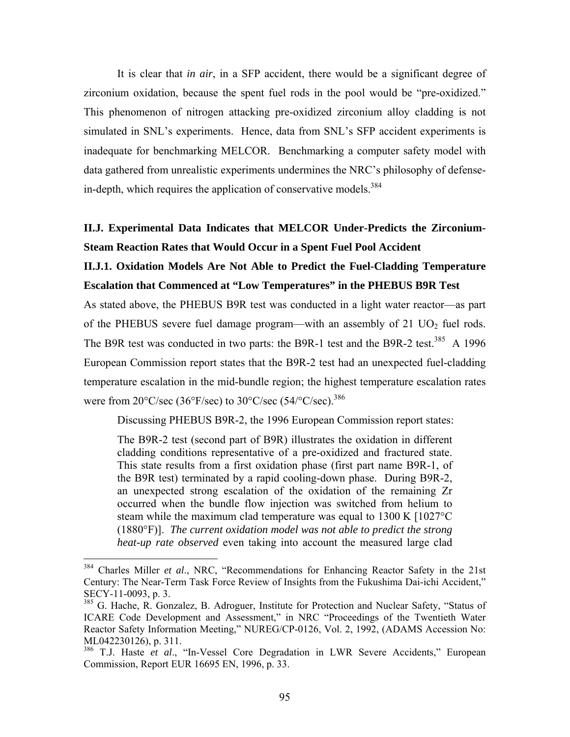It is clear that *in air*, in a SFP accident, there would be a significant degree of zirconium oxidation, because the spent fuel rods in the pool would be "pre-oxidized." This phenomenon of nitrogen attacking pre-oxidized zirconium alloy cladding is not simulated in SNL's experiments. Hence, data from SNL's SFP accident experiments is inadequate for benchmarking MELCOR. Benchmarking a computer safety model with data gathered from unrealistic experiments undermines the NRC's philosophy of defensein-depth, which requires the application of conservative models.<sup>384</sup>

#### **II.J. Experimental Data Indicates that MELCOR Under-Predicts the Zirconium-Steam Reaction Rates that Would Occur in a Spent Fuel Pool Accident**

#### **II.J.1. Oxidation Models Are Not Able to Predict the Fuel-Cladding Temperature Escalation that Commenced at "Low Temperatures" in the PHEBUS B9R Test**

As stated above, the PHEBUS B9R test was conducted in a light water reactor—as part of the PHEBUS severe fuel damage program—with an assembly of  $21 \text{ UO}_2$  fuel rods. The B9R test was conducted in two parts: the B9R-1 test and the B9R-2 test.<sup>385</sup> A 1996 European Commission report states that the B9R-2 test had an unexpected fuel-cladding temperature escalation in the mid-bundle region; the highest temperature escalation rates were from 20°C/sec (36°F/sec) to 30°C/sec (54/°C/sec).<sup>386</sup>

Discussing PHEBUS B9R-2, the 1996 European Commission report states:

The B9R-2 test (second part of B9R) illustrates the oxidation in different cladding conditions representative of a pre-oxidized and fractured state. This state results from a first oxidation phase (first part name B9R-1, of the B9R test) terminated by a rapid cooling-down phase. During B9R-2, an unexpected strong escalation of the oxidation of the remaining Zr occurred when the bundle flow injection was switched from helium to steam while the maximum clad temperature was equal to 1300 K [1027°C (1880°F)]. *The current oxidation model was not able to predict the strong heat-up rate observed* even taking into account the measured large clad

<sup>384</sup> Charles Miller *et al*., NRC, "Recommendations for Enhancing Reactor Safety in the 21st Century: The Near-Term Task Force Review of Insights from the Fukushima Dai-ichi Accident," SECY-11-0093, p. 3.

<sup>&</sup>lt;sup>385</sup> G. Hache, R. Gonzalez, B. Adroguer, Institute for Protection and Nuclear Safety, "Status of ICARE Code Development and Assessment," in NRC "Proceedings of the Twentieth Water Reactor Safety Information Meeting," NUREG/CP-0126, Vol. 2, 1992, (ADAMS Accession No: ML042230126), p. 311.

<sup>&</sup>lt;sup>386</sup> T.J. Haste *et al.*, "In-Vessel Core Degradation in LWR Severe Accidents," European Commission, Report EUR 16695 EN, 1996, p. 33.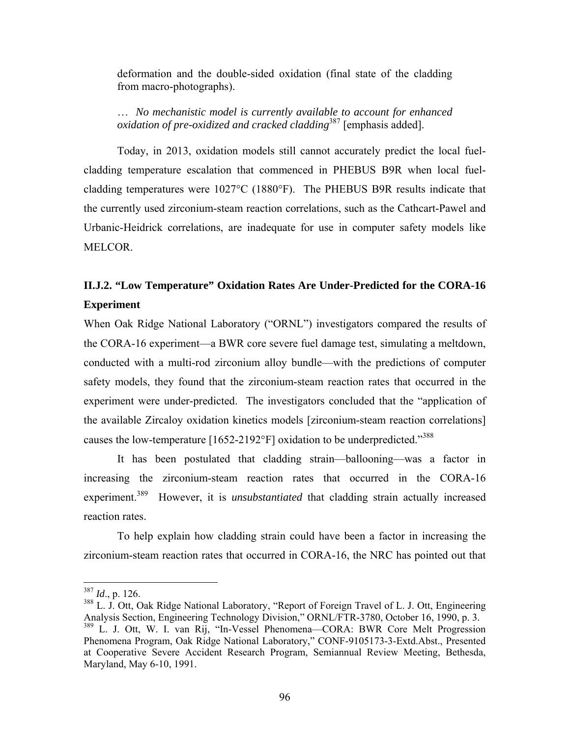deformation and the double-sided oxidation (final state of the cladding from macro-photographs).

… *No mechanistic model is currently available to account for enhanced oxidation of pre-oxidized and cracked cladding*387 [emphasis added].

Today, in 2013, oxidation models still cannot accurately predict the local fuelcladding temperature escalation that commenced in PHEBUS B9R when local fuelcladding temperatures were 1027°C (1880°F). The PHEBUS B9R results indicate that the currently used zirconium-steam reaction correlations, such as the Cathcart-Pawel and Urbanic-Heidrick correlations, are inadequate for use in computer safety models like MELCOR.

## **II.J.2. "Low Temperature" Oxidation Rates Are Under-Predicted for the CORA-16 Experiment**

When Oak Ridge National Laboratory ("ORNL") investigators compared the results of the CORA-16 experiment—a BWR core severe fuel damage test, simulating a meltdown, conducted with a multi-rod zirconium alloy bundle—with the predictions of computer safety models, they found that the zirconium-steam reaction rates that occurred in the experiment were under-predicted. The investigators concluded that the "application of the available Zircaloy oxidation kinetics models [zirconium-steam reaction correlations] causes the low-temperature  $[1652-2192^{\circ}F]$  oxidation to be underpredicted."<sup>388</sup>

It has been postulated that cladding strain—ballooning—was a factor in increasing the zirconium-steam reaction rates that occurred in the CORA-16 experiment.<sup>389</sup> However, it is *unsubstantiated* that cladding strain actually increased reaction rates.

To help explain how cladding strain could have been a factor in increasing the zirconium-steam reaction rates that occurred in CORA-16, the NRC has pointed out that

 $387$  *Id.*, p. 126.

<sup>&</sup>lt;sup>388</sup> L. J. Ott, Oak Ridge National Laboratory, "Report of Foreign Travel of L. J. Ott, Engineering Analysis Section, Engineering Technology Division," ORNL/FTR-3780, October 16, 1990, p. 3. 389 L. J. Ott, W. I. van Rij, "In-Vessel Phenomena—CORA: BWR Core Melt Progression Phenomena Program, Oak Ridge National Laboratory," CONF-9105173-3-Extd.Abst., Presented at Cooperative Severe Accident Research Program, Semiannual Review Meeting, Bethesda, Maryland, May 6-10, 1991.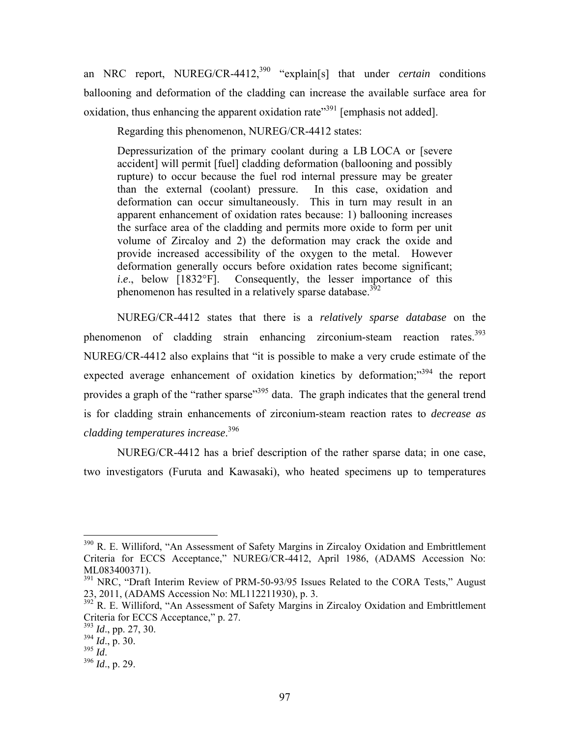an NRC report, NUREG/CR-4412,<sup>390</sup> "explain[s] that under *certain* conditions ballooning and deformation of the cladding can increase the available surface area for oxidation, thus enhancing the apparent oxidation rate<sup> $391$ </sup> [emphasis not added].

Regarding this phenomenon, NUREG/CR-4412 states:

Depressurization of the primary coolant during a LB LOCA or [severe accident] will permit [fuel] cladding deformation (ballooning and possibly rupture) to occur because the fuel rod internal pressure may be greater than the external (coolant) pressure. In this case, oxidation and deformation can occur simultaneously. This in turn may result in an apparent enhancement of oxidation rates because: 1) ballooning increases the surface area of the cladding and permits more oxide to form per unit volume of Zircaloy and 2) the deformation may crack the oxide and provide increased accessibility of the oxygen to the metal. However deformation generally occurs before oxidation rates become significant; *i.e.*, below [1832°F]. Consequently, the lesser importance of this phenomenon has resulted in a relatively sparse database.<sup>392</sup>

NUREG/CR-4412 states that there is a *relatively sparse database* on the phenomenon of cladding strain enhancing zirconium-steam reaction rates.<sup>393</sup> NUREG/CR-4412 also explains that "it is possible to make a very crude estimate of the expected average enhancement of oxidation kinetics by deformation; $^{3394}$  the report provides a graph of the "rather sparse"<sup>395</sup> data. The graph indicates that the general trend is for cladding strain enhancements of zirconium-steam reaction rates to *decrease as cladding temperatures increase*. 396

NUREG/CR-4412 has a brief description of the rather sparse data; in one case, two investigators (Furuta and Kawasaki), who heated specimens up to temperatures

<sup>&</sup>lt;sup>390</sup> R. E. Williford, "An Assessment of Safety Margins in Zircaloy Oxidation and Embrittlement Criteria for ECCS Acceptance," NUREG/CR-4412, April 1986, (ADAMS Accession No: ML083400371).

<sup>&</sup>lt;sup>391</sup> NRC, "Draft Interim Review of PRM-50-93/95 Issues Related to the CORA Tests," August 23, 2011, (ADAMS Accession No: ML112211930), p. 3.

 $392$ <sup>2</sup> R. E. Williford, "An Assessment of Safety Margins in Zircaloy Oxidation and Embrittlement Criteria for ECCS Acceptance," p. 27.

<sup>393</sup> *Id*., pp. 27, 30.

 $\frac{394}{10}$  *Id.*, p. 30.<br> $\frac{395}{10}$  *Id.* 

<sup>395</sup> *Id*. 396 *Id*., p. 29.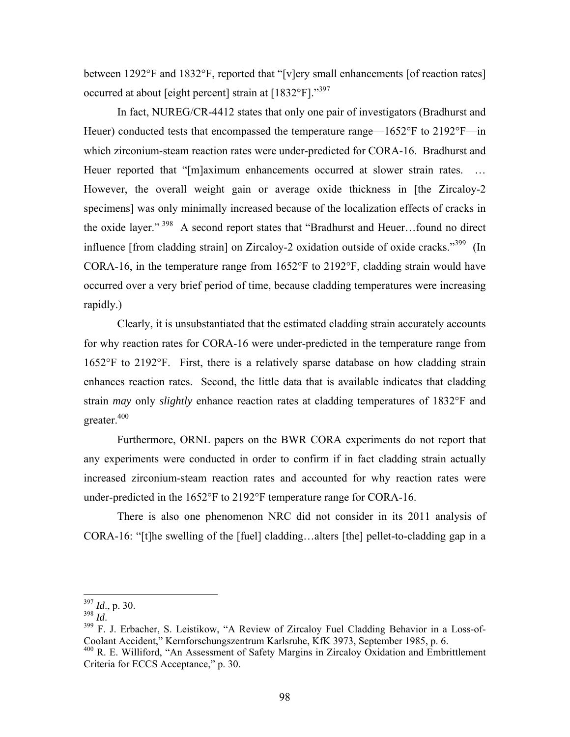between 1292°F and 1832°F, reported that "[v]ery small enhancements [of reaction rates] occurred at about [eight percent] strain at [1832°F]."<sup>397</sup>

In fact, NUREG/CR-4412 states that only one pair of investigators (Bradhurst and Heuer) conducted tests that encompassed the temperature range—1652°F to 2192°F—in which zirconium-steam reaction rates were under-predicted for CORA-16. Bradhurst and Heuer reported that "[m]aximum enhancements occurred at slower strain rates. ... However, the overall weight gain or average oxide thickness in [the Zircaloy-2 specimens] was only minimally increased because of the localization effects of cracks in the oxide layer." 398 A second report states that "Bradhurst and Heuer…found no direct influence [from cladding strain] on Zircaloy-2 oxidation outside of oxide cracks."<sup>399</sup> (In CORA-16, in the temperature range from 1652°F to 2192°F, cladding strain would have occurred over a very brief period of time, because cladding temperatures were increasing rapidly.)

Clearly, it is unsubstantiated that the estimated cladding strain accurately accounts for why reaction rates for CORA-16 were under-predicted in the temperature range from 1652°F to 2192°F. First, there is a relatively sparse database on how cladding strain enhances reaction rates. Second, the little data that is available indicates that cladding strain *may* only *slightly* enhance reaction rates at cladding temperatures of 1832°F and greater.<sup>400</sup>

Furthermore, ORNL papers on the BWR CORA experiments do not report that any experiments were conducted in order to confirm if in fact cladding strain actually increased zirconium-steam reaction rates and accounted for why reaction rates were under-predicted in the 1652°F to 2192°F temperature range for CORA-16.

There is also one phenomenon NRC did not consider in its 2011 analysis of CORA-16: "[t]he swelling of the [fuel] cladding…alters [the] pellet-to-cladding gap in a

<sup>397</sup> *Id*., p. 30.

<sup>398</sup> *Id.*<br><sup>398</sup> F. J. Erbacher, S. Leistikow, "A Review of Zircaloy Fuel Cladding Behavior in a Loss-of-Coolant Accident," Kernforschungszentrum Karlsruhe, KfK 3973, September 1985, p. 6.

<sup>&</sup>lt;sup>400</sup> R. E. Williford, "An Assessment of Safety Margins in Zircaloy Oxidation and Embrittlement Criteria for ECCS Acceptance," p. 30.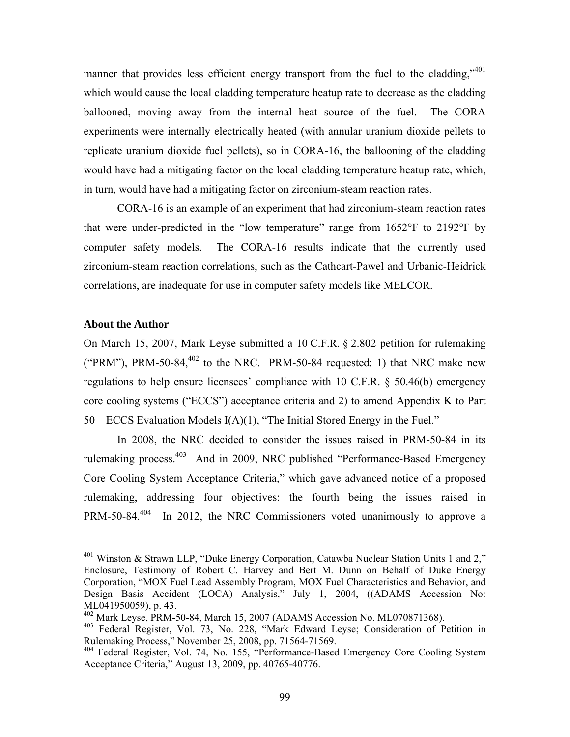manner that provides less efficient energy transport from the fuel to the cladding,"  $401$ which would cause the local cladding temperature heatup rate to decrease as the cladding ballooned, moving away from the internal heat source of the fuel. The CORA experiments were internally electrically heated (with annular uranium dioxide pellets to replicate uranium dioxide fuel pellets), so in CORA-16, the ballooning of the cladding would have had a mitigating factor on the local cladding temperature heatup rate, which, in turn, would have had a mitigating factor on zirconium-steam reaction rates.

CORA-16 is an example of an experiment that had zirconium-steam reaction rates that were under-predicted in the "low temperature" range from 1652°F to 2192°F by computer safety models. The CORA-16 results indicate that the currently used zirconium-steam reaction correlations, such as the Cathcart-Pawel and Urbanic-Heidrick correlations, are inadequate for use in computer safety models like MELCOR.

#### **About the Author**

1

On March 15, 2007, Mark Leyse submitted a 10 C.F.R. § 2.802 petition for rulemaking ("PRM"), PRM-50-84, $^{402}$  to the NRC. PRM-50-84 requested: 1) that NRC make new regulations to help ensure licensees' compliance with 10 C.F.R. § 50.46(b) emergency core cooling systems ("ECCS") acceptance criteria and 2) to amend Appendix K to Part 50—ECCS Evaluation Models I(A)(1), "The Initial Stored Energy in the Fuel."

In 2008, the NRC decided to consider the issues raised in PRM-50-84 in its rulemaking process.403 And in 2009, NRC published "Performance-Based Emergency Core Cooling System Acceptance Criteria," which gave advanced notice of a proposed rulemaking, addressing four objectives: the fourth being the issues raised in PRM-50-84.<sup>404</sup> In 2012, the NRC Commissioners voted unanimously to approve a

 $401$  Winston & Strawn LLP, "Duke Energy Corporation, Catawba Nuclear Station Units 1 and 2," Enclosure, Testimony of Robert C. Harvey and Bert M. Dunn on Behalf of Duke Energy Corporation, "MOX Fuel Lead Assembly Program, MOX Fuel Characteristics and Behavior, and Design Basis Accident (LOCA) Analysis," July 1, 2004, ((ADAMS Accession No: ML041950059), p. 43.

<sup>402</sup> Mark Leyse, PRM-50-84, March 15, 2007 (ADAMS Accession No. ML070871368).

<sup>403</sup> Federal Register, Vol. 73, No. 228, "Mark Edward Leyse; Consideration of Petition in Rulemaking Process," November 25, 2008, pp. 71564-71569.

<sup>404</sup> Federal Register, Vol. 74, No. 155, "Performance-Based Emergency Core Cooling System Acceptance Criteria," August 13, 2009, pp. 40765-40776.